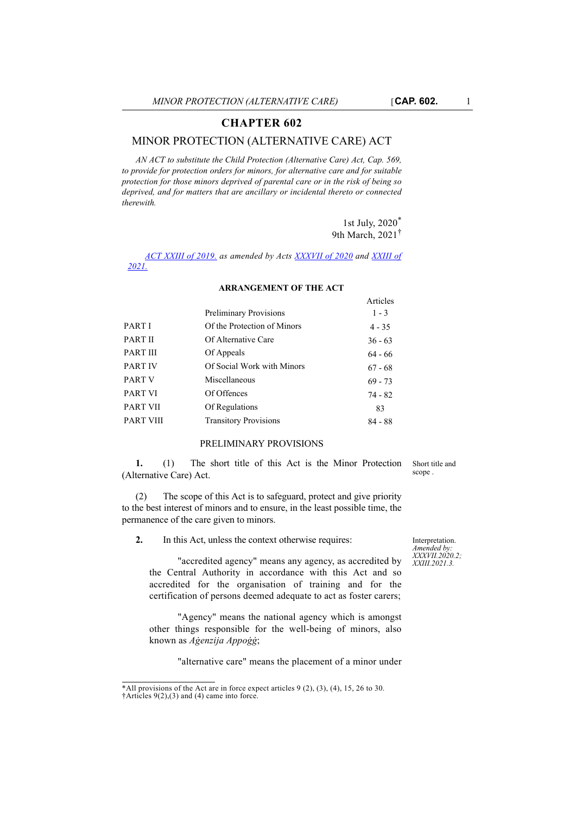# **CHAPTER 602**

## MINOR PROTECTION (ALTERNATIVE CARE) ACT

*AN ACT to substitute the Child Protection (Alternative Care) Act, Cap. 569, to provide for protection orders for minors, for alternative care and for suitable protection for those minors deprived of parental care or in the risk of being so deprived, and for matters that are ancillary or incidental thereto or connected therewith.* 

> 1st July, 2020\* 9th March, 2021†

> > Articles

*[ACT XXIII of 2019.](
https://legislation.mt/eli/act/2019/23/eng/pdf
) as amended by Acts [XXXVII of 2020](
https://legislation.mt/eli/act/2020/39/eng/pdf) and [XXIII of](
https://legislation.mt/eli/act/2021/23/eng) [2021.](
https://legislation.mt/eli/act/2021/23/eng)*

|                   |                               | 111111101 |
|-------------------|-------------------------------|-----------|
|                   | <b>Preliminary Provisions</b> | $1 - 3$   |
| PART I            | Of the Protection of Minors   | $4 - 35$  |
| PART II           | Of Alternative Care           | $36 - 63$ |
| PART III          | Of Appeals                    | $64 - 66$ |
| <b>PART IV</b>    | Of Social Work with Minors    | $67 - 68$ |
| PART <sub>V</sub> | Miscellaneous                 | $69 - 73$ |
| PART VI           | Of Offences                   | 74 - 82   |
| PART VII          | Of Regulations                | 83        |
| <b>PART VIII</b>  | <b>Transitory Provisions</b>  | $84 - 88$ |
|                   |                               |           |

#### **ARRANGEMENT OF THE ACT**

### PRELIMINARY PROVISIONS

**1.** (1) The short title of this Act is the Minor Protection (Alternative Care) Act.

(2) The scope of this Act is to safeguard, protect and give priority to the best interest of minors and to ensure, in the least possible time, the permanence of the care given to minors.

**2.** In this Act, unless the context otherwise requires:

Interpretation. *Amended by: XXXVII.2020.2; XXIII.2021.3.*

Short title and scope .

"accredited agency" means any agency, as accredited by the Central Authority in accordance with this Act and so accredited for the organisation of training and for the certification of persons deemed adequate to act as foster carers;

"Agency" means the national agency which is amongst other things responsible for the well-being of minors, also known as *Aġenzija Appoġġ*;

"alternative care" means the placement of a minor under

<sup>\*</sup>All provisions of the Act are in force expect articles  $9(2)$ ,  $(3)$ ,  $(4)$ ,  $15$ ,  $26$  to  $30$ . †Articles 9(2),(3) and (4) came into force.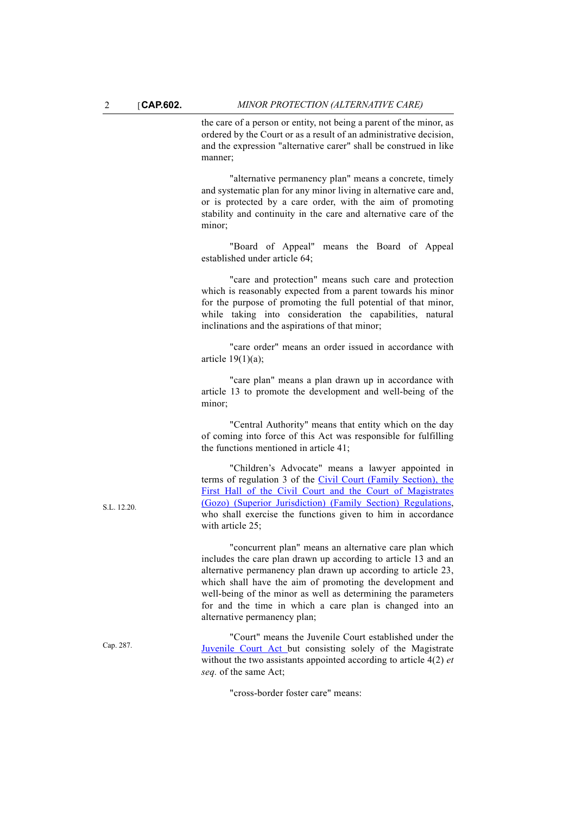the care of a person or entity, not being a parent of the minor, as ordered by the Court or as a result of an administrative decision, and the expression "alternative carer" shall be construed in like manner;

"alternative permanency plan" means a concrete, timely and systematic plan for any minor living in alternative care and, or is protected by a care order, with the aim of promoting stability and continuity in the care and alternative care of the minor;

"Board of Appeal" means the Board of Appeal established under article 64;

"care and protection" means such care and protection which is reasonably expected from a parent towards his minor for the purpose of promoting the full potential of that minor, while taking into consideration the capabilities, natural inclinations and the aspirations of that minor;

"care order" means an order issued in accordance with article 19(1)(a);

"care plan" means a plan drawn up in accordance with article 13 to promote the development and well-being of the minor;

"Central Authority" means that entity which on the day of coming into force of this Act was responsible for fulfilling the functions mentioned in article 41;

"Children's Advocate" means a lawyer appointed in terms of regulation 3 of the [Civil Court \(Family Section\), the](http://justiceservices.gov.mt/DownloadDocument.aspx?app=lom&itemid=9036&l=1) [First Hall of the Civil Court and the Court of Magistrates](http://justiceservices.gov.mt/DownloadDocument.aspx?app=lom&itemid=9036&l=1) [\(Gozo\) \(Superior Jurisdiction\) \(Family Section\) Regulations](http://justiceservices.gov.mt/DownloadDocument.aspx?app=lom&itemid=9036&l=1), who shall exercise the functions given to him in accordance with article 25;

"concurrent plan" means an alternative care plan which includes the care plan drawn up according to article 13 and an alternative permanency plan drawn up according to article 23, which shall have the aim of promoting the development and well-being of the minor as well as determining the parameters for and the time in which a care plan is changed into an alternative permanency plan;

"Court" means the Juvenile Court established under the [Juvenile Court Act](http://www.justiceservices.gov.mt/DownloadDocument.aspx?app=lom&itemid=8774&l=1) but consisting solely of the Magistrate without the two assistants appointed according to article 4(2) *et seq.* of the same Act;

"cross-border foster care" means:

 $ST - 12.20$ 

Cap. 287.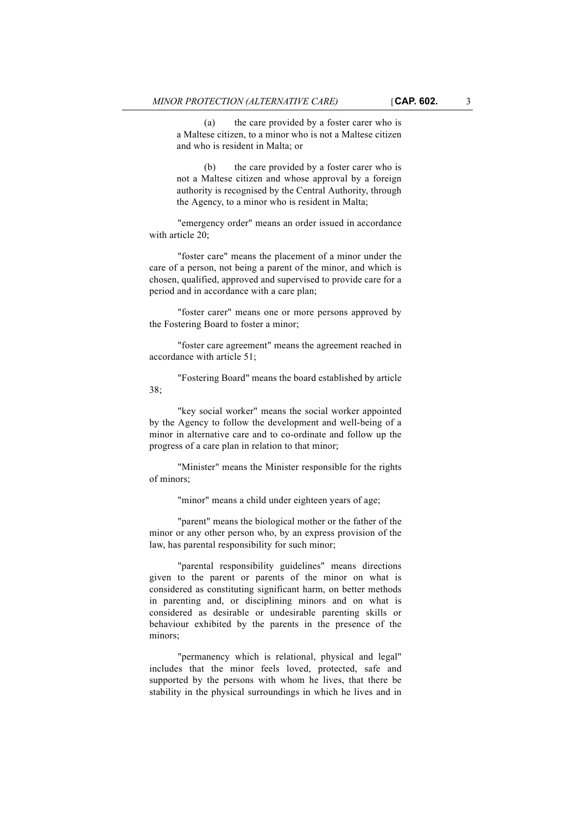and who is resident in Malta; or

(a) the care provided by a foster carer who is a Maltese citizen, to a minor who is not a Maltese citizen

(b) the care provided by a foster carer who is not a Maltese citizen and whose approval by a foreign authority is recognised by the Central Authority, through the Agency, to a minor who is resident in Malta;

"emergency order" means an order issued in accordance with article 20;

"foster care" means the placement of a minor under the care of a person, not being a parent of the minor, and which is chosen, qualified, approved and supervised to provide care for a period and in accordance with a care plan;

"foster carer" means one or more persons approved by the Fostering Board to foster a minor;

"foster care agreement" means the agreement reached in accordance with article 51;

"Fostering Board" means the board established by article 38;

"key social worker" means the social worker appointed by the Agency to follow the development and well-being of a minor in alternative care and to co-ordinate and follow up the progress of a care plan in relation to that minor;

"Minister" means the Minister responsible for the rights of minors;

"minor" means a child under eighteen years of age;

"parent" means the biological mother or the father of the minor or any other person who, by an express provision of the law, has parental responsibility for such minor;

"parental responsibility guidelines" means directions given to the parent or parents of the minor on what is considered as constituting significant harm, on better methods in parenting and, or disciplining minors and on what is considered as desirable or undesirable parenting skills or behaviour exhibited by the parents in the presence of the minors;

"permanency which is relational, physical and legal" includes that the minor feels loved, protected, safe and supported by the persons with whom he lives, that there be stability in the physical surroundings in which he lives and in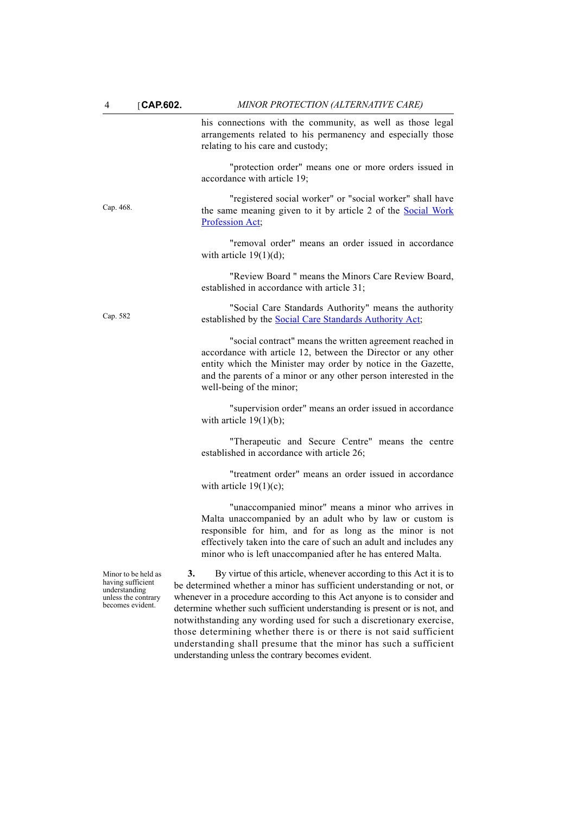| $\overline{4}$                                                                                       | $\sqrt{CAP.602}$ .                                    | MINOR PROTECTION (ALTERNATIVE CARE)                                                                                                                                                                                                                                                                                                                                                                                                                    |  |
|------------------------------------------------------------------------------------------------------|-------------------------------------------------------|--------------------------------------------------------------------------------------------------------------------------------------------------------------------------------------------------------------------------------------------------------------------------------------------------------------------------------------------------------------------------------------------------------------------------------------------------------|--|
|                                                                                                      |                                                       | his connections with the community, as well as those legal<br>arrangements related to his permanency and especially those<br>relating to his care and custody;                                                                                                                                                                                                                                                                                         |  |
|                                                                                                      |                                                       | "protection order" means one or more orders issued in<br>accordance with article 19;                                                                                                                                                                                                                                                                                                                                                                   |  |
| Cap. 468.                                                                                            |                                                       | "registered social worker" or "social worker" shall have<br>the same meaning given to it by article 2 of the <b>Social Work</b><br>Profession Act;                                                                                                                                                                                                                                                                                                     |  |
|                                                                                                      |                                                       | "removal order" means an order issued in accordance<br>with article $19(1)(d)$ ;                                                                                                                                                                                                                                                                                                                                                                       |  |
|                                                                                                      |                                                       | "Review Board " means the Minors Care Review Board,<br>established in accordance with article 31;                                                                                                                                                                                                                                                                                                                                                      |  |
| Cap. 582                                                                                             |                                                       | "Social Care Standards Authority" means the authority<br>established by the <b>Social Care Standards Authority Act</b> ;                                                                                                                                                                                                                                                                                                                               |  |
|                                                                                                      |                                                       | "social contract" means the written agreement reached in<br>accordance with article 12, between the Director or any other<br>entity which the Minister may order by notice in the Gazette,<br>and the parents of a minor or any other person interested in the<br>well-being of the minor;                                                                                                                                                             |  |
| with article $19(1)(b)$ ;<br>established in accordance with article 26;<br>with article $19(1)(c)$ ; |                                                       | "supervision order" means an order issued in accordance                                                                                                                                                                                                                                                                                                                                                                                                |  |
|                                                                                                      | "Therapeutic and Secure Centre" means the centre      |                                                                                                                                                                                                                                                                                                                                                                                                                                                        |  |
|                                                                                                      | "treatment order" means an order issued in accordance |                                                                                                                                                                                                                                                                                                                                                                                                                                                        |  |
|                                                                                                      |                                                       | "unaccompanied minor" means a minor who arrives in<br>Malta unaccompanied by an adult who by law or custom is<br>responsible for him, and for as long as the minor is not<br>effectively taken into the care of such an adult and includes any<br>minor who is left unaccompanied after he has entered Malta.                                                                                                                                          |  |
| Minor to be held as<br>having sufficient<br>understanding<br>unless the contrary<br>becomes evident. |                                                       | 3.<br>By virtue of this article, whenever according to this Act it is to<br>be determined whether a minor has sufficient understanding or not, or<br>whenever in a procedure according to this Act anyone is to consider and<br>determine whether such sufficient understanding is present or is not, and<br>notwithstanding any wording used for such a discretionary exercise,<br>those determining whether there is or there is not said sufficient |  |

understanding shall presume that the minor has such a sufficient

understanding unless the contrary becomes evident.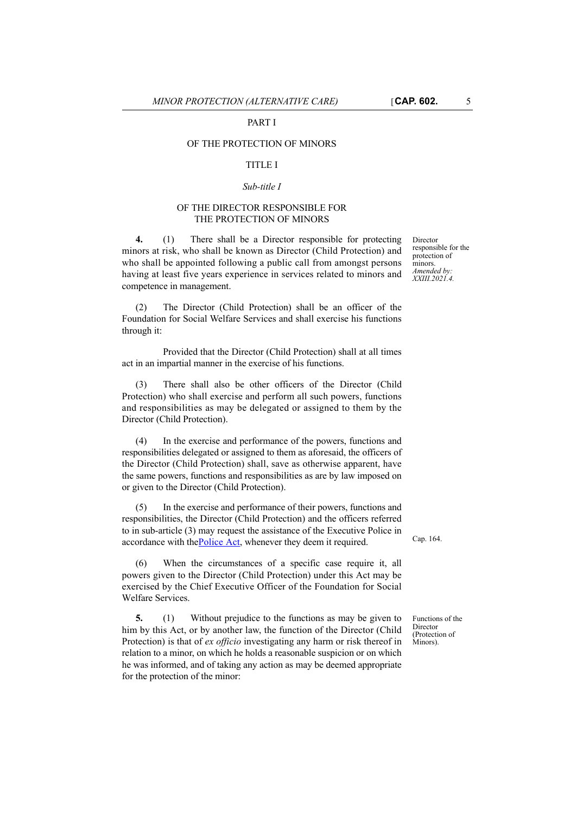## OF THE PROTECTION OF MINORS

#### TITLE I

### *Sub-title I*

## OF THE DIRECTOR RESPONSIBLE FOR THE PROTECTION OF MINORS

**4.** (1) There shall be a Director responsible for protecting minors at risk, who shall be known as Director (Child Protection) and who shall be appointed following a public call from amongst persons having at least five years experience in services related to minors and competence in management.

(2) The Director (Child Protection) shall be an officer of the Foundation for Social Welfare Services and shall exercise his functions through it:

Provided that the Director (Child Protection) shall at all times act in an impartial manner in the exercise of his functions.

(3) There shall also be other officers of the Director (Child Protection) who shall exercise and perform all such powers, functions and responsibilities as may be delegated or assigned to them by the Director (Child Protection).

(4) In the exercise and performance of the powers, functions and responsibilities delegated or assigned to them as aforesaid, the officers of the Director (Child Protection) shall, save as otherwise apparent, have the same powers, functions and responsibilities as are by law imposed on or given to the Director (Child Protection).

[\(5\) In the exercise and performance of their powers, functions and](http://www.justiceservices.gov.mt/DownloadDocument.aspx?app=lom&itemid=8686&l=1) responsibilities, the Director (Child Protection) and the officers referred [to in sub-article \(3\) may request the assistance of the Executive Police in](http://www.justiceservices.gov.mt/DownloadDocument.aspx?app=lom&itemid=8686&l=1) [accordance with the](http://www.justiceservices.gov.mt/DownloadDocument.aspx?app=lom&itemid=8686&l=1) Police Act, whenever they deem it required.

(6) When the circumstances of a specific case require it, all powers given to the Director (Child Protection) under this Act may be exercised by the Chief Executive Officer of the Foundation for Social Welfare Services.

**5.** (1) Without prejudice to the functions as may be given to him by this Act, or by another law, the function of the Director (Child Protection) is that of *ex officio* investigating any harm or risk thereof in relation to a minor, on which he holds a reasonable suspicion or on which he was informed, and of taking any action as may be deemed appropriate for the protection of the minor:

Director responsible for the protection of minors. *Amended by: XXIII.2021.4.*

Cap. 164.

Functions of the Director (Protection of Minors).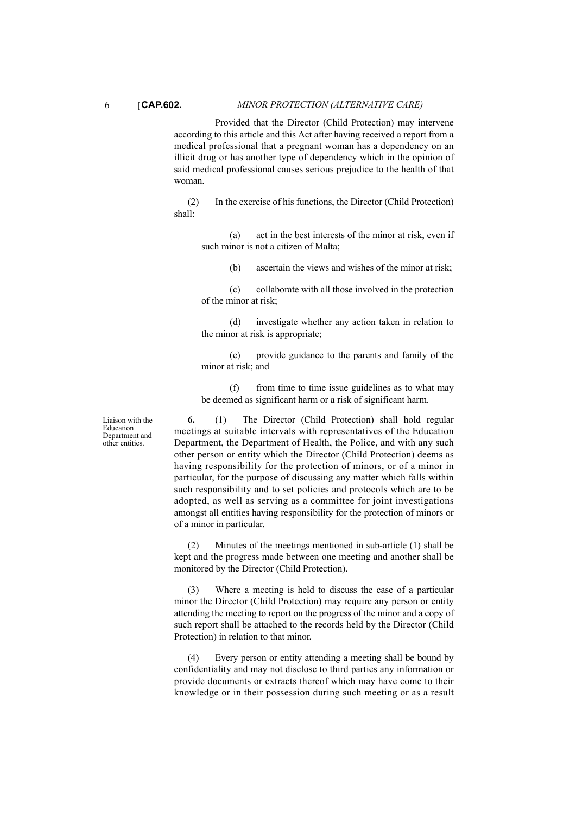Provided that the Director (Child Protection) may intervene according to this article and this Act after having received a report from a medical professional that a pregnant woman has a dependency on an illicit drug or has another type of dependency which in the opinion of said medical professional causes serious prejudice to the health of that woman.

(2) In the exercise of his functions, the Director (Child Protection) shall:

(a) act in the best interests of the minor at risk, even if such minor is not a citizen of Malta;

(b) ascertain the views and wishes of the minor at risk;

(c) collaborate with all those involved in the protection of the minor at risk;

(d) investigate whether any action taken in relation to the minor at risk is appropriate;

(e) provide guidance to the parents and family of the minor at risk; and

 $(f)$  from time to time issue guidelines as to what may be deemed as significant harm or a risk of significant harm.

**6.** (1) The Director (Child Protection) shall hold regular meetings at suitable intervals with representatives of the Education Department, the Department of Health, the Police, and with any such other person or entity which the Director (Child Protection) deems as having responsibility for the protection of minors, or of a minor in particular, for the purpose of discussing any matter which falls within such responsibility and to set policies and protocols which are to be adopted, as well as serving as a committee for joint investigations amongst all entities having responsibility for the protection of minors or of a minor in particular.

(2) Minutes of the meetings mentioned in sub-article (1) shall be kept and the progress made between one meeting and another shall be monitored by the Director (Child Protection).

(3) Where a meeting is held to discuss the case of a particular minor the Director (Child Protection) may require any person or entity attending the meeting to report on the progress of the minor and a copy of such report shall be attached to the records held by the Director (Child Protection) in relation to that minor.

(4) Every person or entity attending a meeting shall be bound by confidentiality and may not disclose to third parties any information or provide documents or extracts thereof which may have come to their knowledge or in their possession during such meeting or as a result

Liaison with the Education Department and other entities.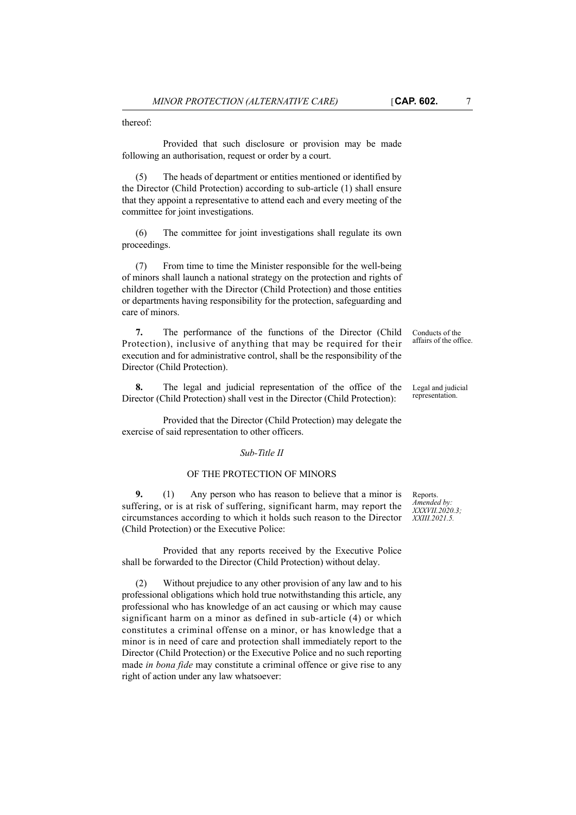thereof:

Provided that such disclosure or provision may be made following an authorisation, request or order by a court.

(5) The heads of department or entities mentioned or identified by the Director (Child Protection) according to sub-article (1) shall ensure that they appoint a representative to attend each and every meeting of the committee for joint investigations.

(6) The committee for joint investigations shall regulate its own proceedings.

(7) From time to time the Minister responsible for the well-being of minors shall launch a national strategy on the protection and rights of children together with the Director (Child Protection) and those entities or departments having responsibility for the protection, safeguarding and care of minors.

**7.** The performance of the functions of the Director (Child Protection), inclusive of anything that may be required for their execution and for administrative control, shall be the responsibility of the Director (Child Protection).

**8.** The legal and judicial representation of the office of the Director (Child Protection) shall vest in the Director (Child Protection):

Provided that the Director (Child Protection) may delegate the exercise of said representation to other officers.

#### *Sub-Title II*

### OF THE PROTECTION OF MINORS

**9.** (1) Any person who has reason to believe that a minor is suffering, or is at risk of suffering, significant harm, may report the circumstances according to which it holds such reason to the Director (Child Protection) or the Executive Police:

Provided that any reports received by the Executive Police shall be forwarded to the Director (Child Protection) without delay.

Without prejudice to any other provision of any law and to his professional obligations which hold true notwithstanding this article, any professional who has knowledge of an act causing or which may cause significant harm on a minor as defined in sub-article (4) or which constitutes a criminal offense on a minor, or has knowledge that a minor is in need of care and protection shall immediately report to the Director (Child Protection) or the Executive Police and no such reporting made *in bona fide* may constitute a criminal offence or give rise to any right of action under any law whatsoever:

Reports. *Amended by: XXXVII.2020.3; XXIII.2021.5.*

Conducts of the affairs of the office.

Legal and judicial representation.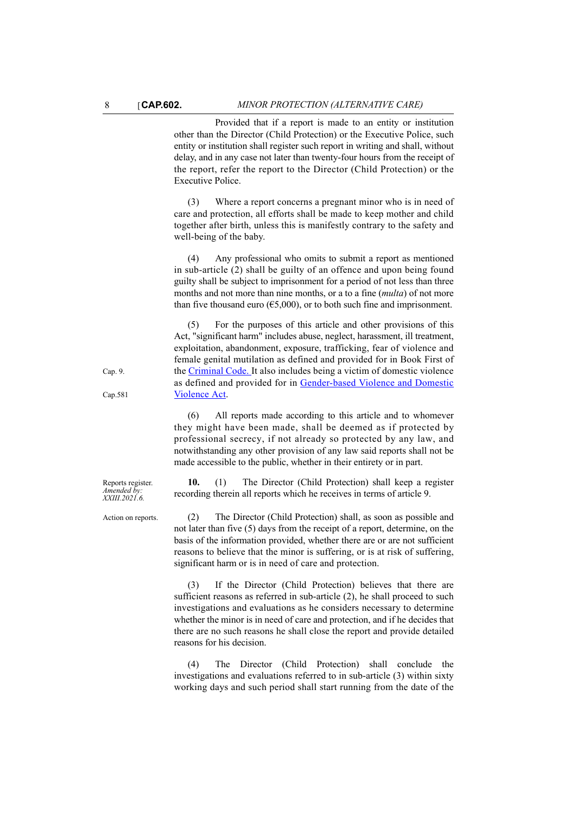Provided that if a report is made to an entity or institution other than the Director (Child Protection) or the Executive Police, such entity or institution shall register such report in writing and shall, without delay, and in any case not later than twenty-four hours from the receipt of the report, refer the report to the Director (Child Protection) or the Executive Police.

(3) Where a report concerns a pregnant minor who is in need of care and protection, all efforts shall be made to keep mother and child together after birth, unless this is manifestly contrary to the safety and well-being of the baby.

(4) Any professional who omits to submit a report as mentioned in sub-article (2) shall be guilty of an offence and upon being found guilty shall be subject to imprisonment for a period of not less than three months and not more than nine months, or a to a fine (*multa*) of not more than five thousand euro ( $65,000$ ), or to both such fine and imprisonment.

For the purposes of this article and other provisions of this Act, "significant harm" includes abuse, neglect, harassment, ill treatment, exploitation, abandonment, exposure, trafficking, fear of violence and female genital mutilation as defined and provided for in Book First of the [Criminal Code. I](http://www.justiceservices.gov.mt/DownloadDocument.aspx?app=lom&itemid=8574&l=1)t also includes being a victim of domestic violence as defined and provided for in [Gender-based Violence and Domestic](
https://legislation.mt/eli/cap/581/eng/pdf) [Violence Act.](
https://legislation.mt/eli/cap/581/eng/pdf)

(6) All reports made according to this article and to whomever they might have been made, shall be deemed as if protected by professional secrecy, if not already so protected by any law, and notwithstanding any other provision of any law said reports shall not be made accessible to the public, whether in their entirety or in part.

**10.** (1) The Director (Child Protection) shall keep a register recording therein all reports which he receives in terms of article 9.

Action on reports. (2) The Director (Child Protection) shall, as soon as possible and not later than five (5) days from the receipt of a report, determine, on the basis of the information provided, whether there are or are not sufficient reasons to believe that the minor is suffering, or is at risk of suffering, significant harm or is in need of care and protection.

> (3) If the Director (Child Protection) believes that there are sufficient reasons as referred in sub-article (2), he shall proceed to such investigations and evaluations as he considers necessary to determine whether the minor is in need of care and protection, and if he decides that there are no such reasons he shall close the report and provide detailed reasons for his decision.

> (4) The Director (Child Protection) shall conclude the investigations and evaluations referred to in sub-article (3) within sixty working days and such period shall start running from the date of the

Reports register. *Amended by: XXIII.2021.6.*

Cap. 9.

Cap.581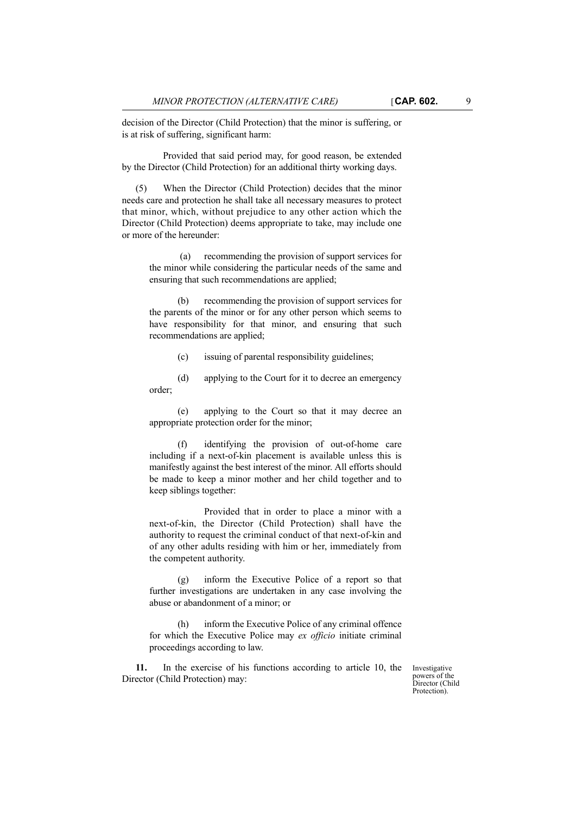decision of the Director (Child Protection) that the minor is suffering, or is at risk of suffering, significant harm:

Provided that said period may, for good reason, be extended by the Director (Child Protection) for an additional thirty working days.

(5) When the Director (Child Protection) decides that the minor needs care and protection he shall take all necessary measures to protect that minor, which, without prejudice to any other action which the Director (Child Protection) deems appropriate to take, may include one or more of the hereunder:

 (a) recommending the provision of support services for the minor while considering the particular needs of the same and ensuring that such recommendations are applied;

recommending the provision of support services for the parents of the minor or for any other person which seems to have responsibility for that minor, and ensuring that such recommendations are applied;

(c) issuing of parental responsibility guidelines;

(d) applying to the Court for it to decree an emergency order;

(e) applying to the Court so that it may decree an appropriate protection order for the minor;

(f) identifying the provision of out-of-home care including if a next-of-kin placement is available unless this is manifestly against the best interest of the minor. All efforts should be made to keep a minor mother and her child together and to keep siblings together:

Provided that in order to place a minor with a next-of-kin, the Director (Child Protection) shall have the authority to request the criminal conduct of that next-of-kin and of any other adults residing with him or her, immediately from the competent authority.

(g) inform the Executive Police of a report so that further investigations are undertaken in any case involving the abuse or abandonment of a minor; or

(h) inform the Executive Police of any criminal offence for which the Executive Police may *ex officio* initiate criminal proceedings according to law.

**11.** In the exercise of his functions according to article 10, the Director (Child Protection) may:

Investigative powers of the Director (Child Protection).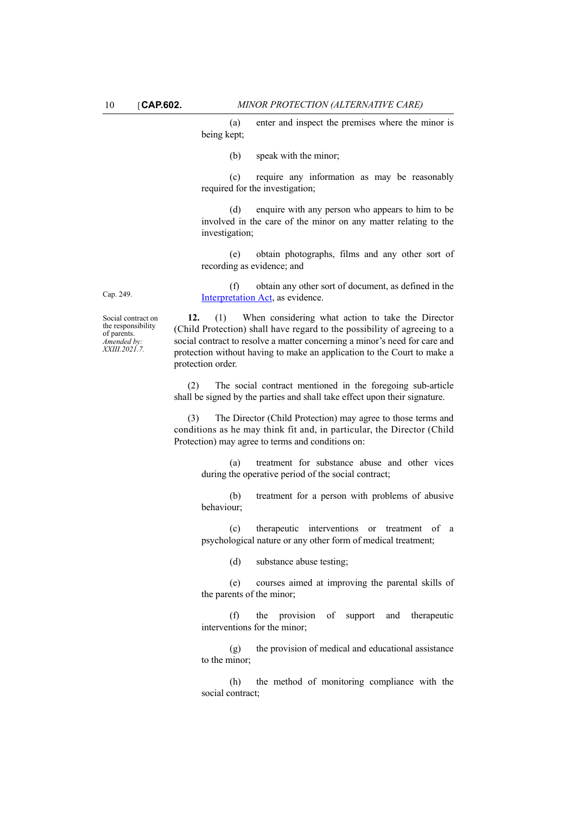(a) enter and inspect the premises where the minor is being kept;

(b) speak with the minor;

(c) require any information as may be reasonably required for the investigation;

(d) enquire with any person who appears to him to be involved in the care of the minor on any matter relating to the investigation;

(e) obtain photographs, films and any other sort of recording as evidence; and

(f) obtain any other sort of document, as defined in the [Interpretation Act](http://www.justiceservices.gov.mt/DownloadDocument.aspx?app=lom&itemid=8744&l=1), as evidence.

Social contract on the responsibility of parents. *Amended by: XXIII.2021.7.*

Cap. 249.

**12.** (1) When considering what action to take the Director (Child Protection) shall have regard to the possibility of agreeing to a social contract to resolve a matter concerning a minor's need for care and protection without having to make an application to the Court to make a protection order.

(2) The social contract mentioned in the foregoing sub-article shall be signed by the parties and shall take effect upon their signature.

(3) The Director (Child Protection) may agree to those terms and conditions as he may think fit and, in particular, the Director (Child Protection) may agree to terms and conditions on:

(a) treatment for substance abuse and other vices during the operative period of the social contract;

(b) treatment for a person with problems of abusive behaviour;

(c) therapeutic interventions or treatment of a psychological nature or any other form of medical treatment;

(d) substance abuse testing;

(e) courses aimed at improving the parental skills of the parents of the minor;

(f) the provision of support and therapeutic interventions for the minor;

(g) the provision of medical and educational assistance to the minor;

(h) the method of monitoring compliance with the social contract;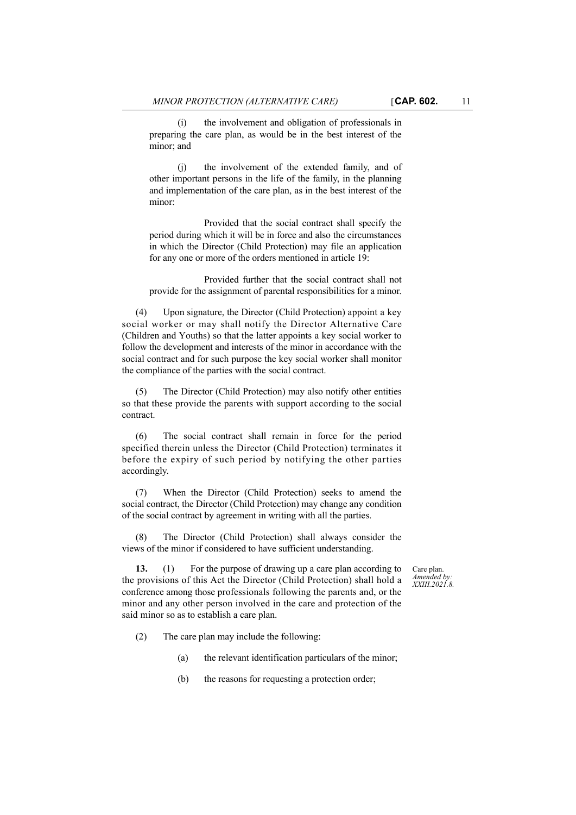(i) the involvement and obligation of professionals in preparing the care plan, as would be in the best interest of the minor; and

(j) the involvement of the extended family, and of other important persons in the life of the family, in the planning and implementation of the care plan, as in the best interest of the minor:

Provided that the social contract shall specify the period during which it will be in force and also the circumstances in which the Director (Child Protection) may file an application for any one or more of the orders mentioned in article 19:

Provided further that the social contract shall not provide for the assignment of parental responsibilities for a minor.

(4) Upon signature, the Director (Child Protection) appoint a key social worker or may shall notify the Director Alternative Care (Children and Youths) so that the latter appoints a key social worker to follow the development and interests of the minor in accordance with the social contract and for such purpose the key social worker shall monitor the compliance of the parties with the social contract.

(5) The Director (Child Protection) may also notify other entities so that these provide the parents with support according to the social contract.

(6) The social contract shall remain in force for the period specified therein unless the Director (Child Protection) terminates it before the expiry of such period by notifying the other parties accordingly.

(7) When the Director (Child Protection) seeks to amend the social contract, the Director (Child Protection) may change any condition of the social contract by agreement in writing with all the parties.

(8) The Director (Child Protection) shall always consider the views of the minor if considered to have sufficient understanding.

**13.** (1) For the purpose of drawing up a care plan according to the provisions of this Act the Director (Child Protection) shall hold a conference among those professionals following the parents and, or the minor and any other person involved in the care and protection of the said minor so as to establish a care plan.

Care plan. *Amended by: XXIII.2021.8.*

- (2) The care plan may include the following:
	- (a) the relevant identification particulars of the minor;
	- (b) the reasons for requesting a protection order;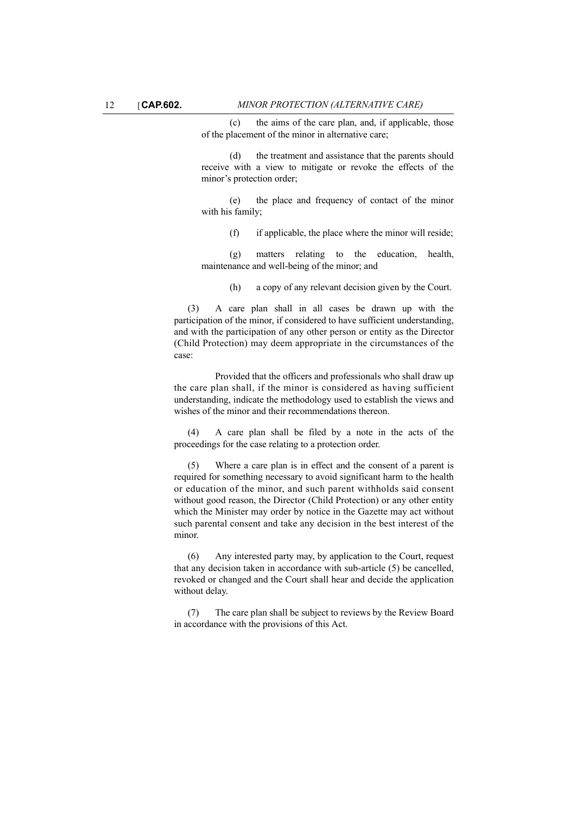(c) the aims of the care plan, and, if applicable, those of the placement of the minor in alternative care;

(d) the treatment and assistance that the parents should receive with a view to mitigate or revoke the effects of the minor's protection order;

(e) the place and frequency of contact of the minor with his family;

(f) if applicable, the place where the minor will reside;

(g) matters relating to the education, health, maintenance and well-being of the minor; and

(h) a copy of any relevant decision given by the Court.

(3) A care plan shall in all cases be drawn up with the participation of the minor, if considered to have sufficient understanding, and with the participation of any other person or entity as the Director (Child Protection) may deem appropriate in the circumstances of the case:

Provided that the officers and professionals who shall draw up the care plan shall, if the minor is considered as having sufficient understanding, indicate the methodology used to establish the views and wishes of the minor and their recommendations thereon.

(4) A care plan shall be filed by a note in the acts of the proceedings for the case relating to a protection order.

(5) Where a care plan is in effect and the consent of a parent is required for something necessary to avoid significant harm to the health or education of the minor, and such parent withholds said consent without good reason, the Director (Child Protection) or any other entity which the Minister may order by notice in the Gazette may act without such parental consent and take any decision in the best interest of the minor.

(6) Any interested party may, by application to the Court, request that any decision taken in accordance with sub-article (5) be cancelled, revoked or changed and the Court shall hear and decide the application without delay.

(7) The care plan shall be subject to reviews by the Review Board in accordance with the provisions of this Act.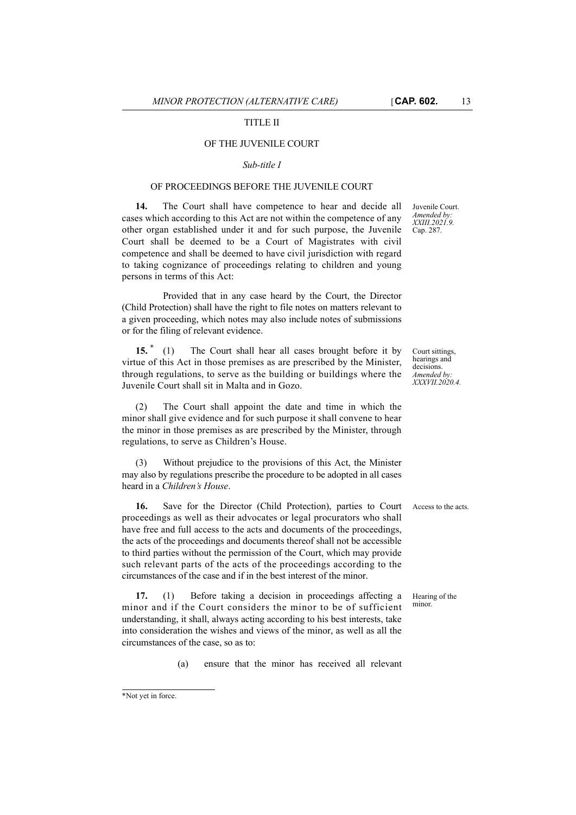## TITLE II

## OF THE JUVENILE COURT

#### *Sub-title I*

### OF PROCEEDINGS BEFORE THE JUVENILE COURT

**14.** The Court shall have competence to hear and decide all cases which according to this Act are not within the competence of any other organ established under it and for such purpose, the Juvenile Court shall be deemed to be a Court of Magistrates with civil competence and shall be deemed to have civil jurisdiction with regard to taking cognizance of proceedings relating to children and young persons in terms of this Act:

Provided that in any case heard by the Court, the Director (Child Protection) shall have the right to file notes on matters relevant to a given proceeding, which notes may also include notes of submissions or for the filing of relevant evidence.

**15.** \* (1) The Court shall hear all cases brought before it by virtue of this Act in those premises as are prescribed by the Minister, through regulations, to serve as the building or buildings where the Juvenile Court shall sit in Malta and in Gozo.

(2) The Court shall appoint the date and time in which the minor shall give evidence and for such purpose it shall convene to hear the minor in those premises as are prescribed by the Minister, through regulations, to serve as Children's House.

(3) Without prejudice to the provisions of this Act, the Minister may also by regulations prescribe the procedure to be adopted in all cases heard in a *Children's House*.

**16.** Save for the Director (Child Protection), parties to Court Access to the acts. proceedings as well as their advocates or legal procurators who shall have free and full access to the acts and documents of the proceedings, the acts of the proceedings and documents thereof shall not be accessible to third parties without the permission of the Court, which may provide such relevant parts of the acts of the proceedings according to the circumstances of the case and if in the best interest of the minor.

**17.** (1) Before taking a decision in proceedings affecting a minor and if the Court considers the minor to be of sufficient understanding, it shall, always acting according to his best interests, take into consideration the wishes and views of the minor, as well as all the circumstances of the case, so as to:

(a) ensure that the minor has received all relevant

Juvenile Court. *Amended by: XXIII.2021.9.* Cap. 287.

Court sittings, hearings and decisions. *Amended by: XXXVII.2020.4.*

Hearing of the minor.

<sup>\*</sup>Not yet in force.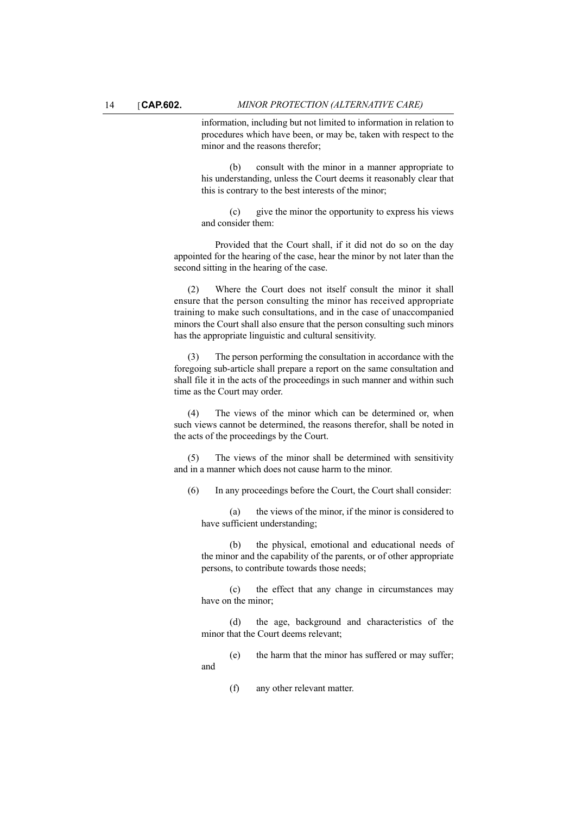information, including but not limited to information in relation to procedures which have been, or may be, taken with respect to the minor and the reasons therefor;

(b) consult with the minor in a manner appropriate to his understanding, unless the Court deems it reasonably clear that this is contrary to the best interests of the minor;

(c) give the minor the opportunity to express his views and consider them:

Provided that the Court shall, if it did not do so on the day appointed for the hearing of the case, hear the minor by not later than the second sitting in the hearing of the case.

(2) Where the Court does not itself consult the minor it shall ensure that the person consulting the minor has received appropriate training to make such consultations, and in the case of unaccompanied minors the Court shall also ensure that the person consulting such minors has the appropriate linguistic and cultural sensitivity.

(3) The person performing the consultation in accordance with the foregoing sub-article shall prepare a report on the same consultation and shall file it in the acts of the proceedings in such manner and within such time as the Court may order.

(4) The views of the minor which can be determined or, when such views cannot be determined, the reasons therefor, shall be noted in the acts of the proceedings by the Court.

(5) The views of the minor shall be determined with sensitivity and in a manner which does not cause harm to the minor.

(6) In any proceedings before the Court, the Court shall consider:

(a) the views of the minor, if the minor is considered to have sufficient understanding;

(b) the physical, emotional and educational needs of the minor and the capability of the parents, or of other appropriate persons, to contribute towards those needs;

(c) the effect that any change in circumstances may have on the minor;

(d) the age, background and characteristics of the minor that the Court deems relevant;

(e) the harm that the minor has suffered or may suffer; and

(f) any other relevant matter.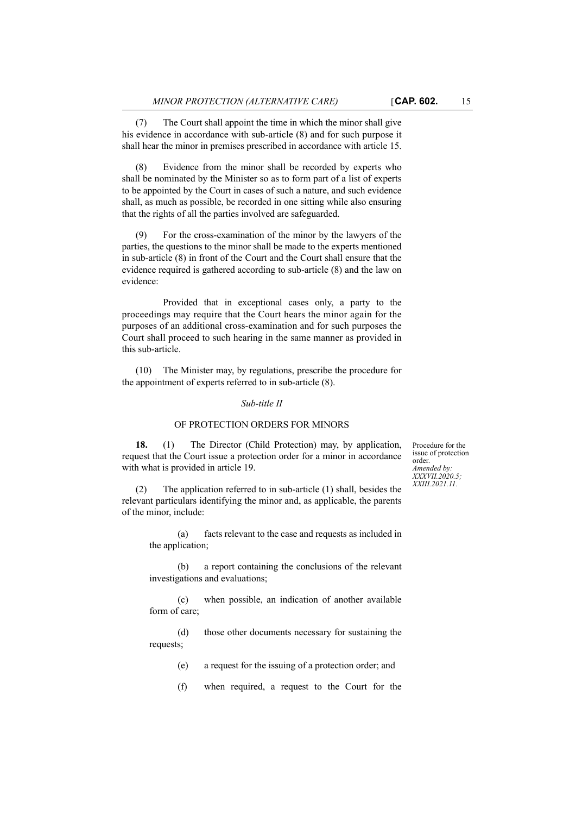(7) The Court shall appoint the time in which the minor shall give his evidence in accordance with sub-article (8) and for such purpose it shall hear the minor in premises prescribed in accordance with article 15.

(8) Evidence from the minor shall be recorded by experts who shall be nominated by the Minister so as to form part of a list of experts to be appointed by the Court in cases of such a nature, and such evidence shall, as much as possible, be recorded in one sitting while also ensuring that the rights of all the parties involved are safeguarded.

(9) For the cross-examination of the minor by the lawyers of the parties, the questions to the minor shall be made to the experts mentioned in sub-article (8) in front of the Court and the Court shall ensure that the evidence required is gathered according to sub-article (8) and the law on evidence:

Provided that in exceptional cases only, a party to the proceedings may require that the Court hears the minor again for the purposes of an additional cross-examination and for such purposes the Court shall proceed to such hearing in the same manner as provided in this sub-article.

(10) The Minister may, by regulations, prescribe the procedure for the appointment of experts referred to in sub-article (8).

#### *Sub-title II*

#### OF PROTECTION ORDERS FOR MINORS

**18.** (1) The Director (Child Protection) may, by application, request that the Court issue a protection order for a minor in accordance with what is provided in article 19.

(2) The application referred to in sub-article (1) shall, besides the relevant particulars identifying the minor and, as applicable, the parents of the minor, include:

> (a) facts relevant to the case and requests as included in the application;

> (b) a report containing the conclusions of the relevant investigations and evaluations;

> (c) when possible, an indication of another available form of care;

> (d) those other documents necessary for sustaining the requests;

- (e) a request for the issuing of a protection order; and
- (f) when required, a request to the Court for the

Procedure for the issue of protection order. *Amended by: XXXVII.2020.5; XXIII.2021.11.*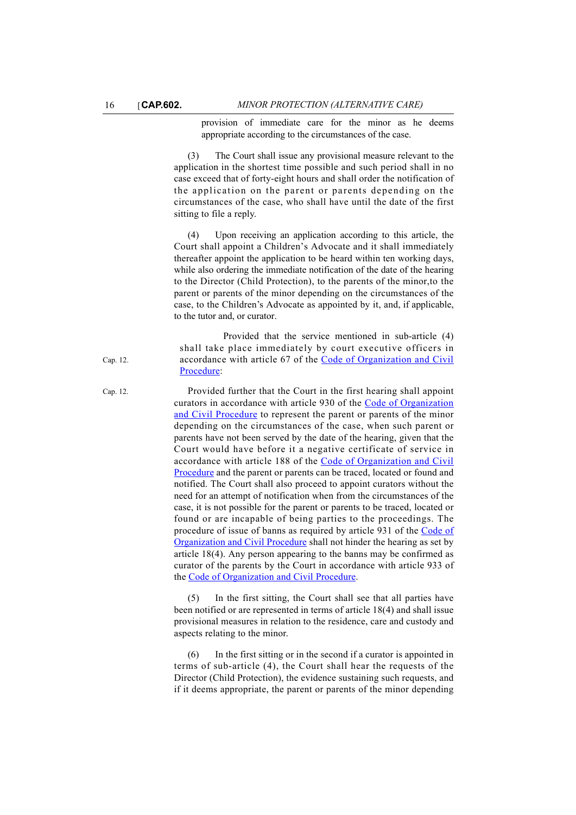provision of immediate care for the minor as he deems appropriate according to the circumstances of the case.

(3) The Court shall issue any provisional measure relevant to the application in the shortest time possible and such period shall in no case exceed that of forty-eight hours and shall order the notification of the application on the parent or parents depending on the circumstances of the case, who shall have until the date of the first sitting to file a reply.

(4) Upon receiving an application according to this article, the Court shall appoint a Children's Advocate and it shall immediately thereafter appoint the application to be heard within ten working days, while also ordering the immediate notification of the date of the hearing to the Director (Child Protection), to the parents of the minor,to the parent or parents of the minor depending on the circumstances of the case, to the Children's Advocate as appointed by it, and, if applicable, to the tutor and, or curator.

Provided that the service mentioned in sub-article (4) shall take place immediately by court executive officers in accordance with article 67 of the [Code of Organization and Civil](
https://legislation.mt/eli/cap/12/eng/pdf) [Procedure](
https://legislation.mt/eli/cap/12/eng/pdf):

Cap. 12. Provided further that the Court in the first hearing shall appoint curators in accordance with article 930 of the [Code of Organization](
https://legislation.mt/eli/cap/12/eng/pdf) [and Civil Procedure](
https://legislation.mt/eli/cap/12/eng/pdf) to represent the parent or parents of the minor depending on the circumstances of the case, when such parent or parents have not been served by the date of the hearing, given that the Court would have before it a negative certificate of service in accordance with article 188 of the [Code of Organization and Civil](
https://legislation.mt/eli/cap/12/eng/pdf) [Procedure](
https://legislation.mt/eli/cap/12/eng/pdf) and the parent or parents can be traced, located or found and notified. The Court shall also proceed to appoint curators without the need for an attempt of notification when from the circumstances of the case, it is not possible for the parent or parents to be traced, located or found or are incapable of being parties to the proceedings. The procedure of issue of banns as required by article 931 of the [Code of](
https://legislation.mt/eli/cap/12/eng/pdf) [Organization and Civil Procedure](
https://legislation.mt/eli/cap/12/eng/pdf) shall not hinder the hearing as set by article 18(4). Any person appearing to the banns may be confirmed as curator of the parents by the Court in accordance with article 933 of the [Code of Organization and Civil Procedure.](
https://legislation.mt/eli/cap/12/eng/pdf)

> (5) In the first sitting, the Court shall see that all parties have been notified or are represented in terms of article 18(4) and shall issue provisional measures in relation to the residence, care and custody and aspects relating to the minor.

> (6) In the first sitting or in the second if a curator is appointed in terms of sub-article (4), the Court shall hear the requests of the Director (Child Protection), the evidence sustaining such requests, and if it deems appropriate, the parent or parents of the minor depending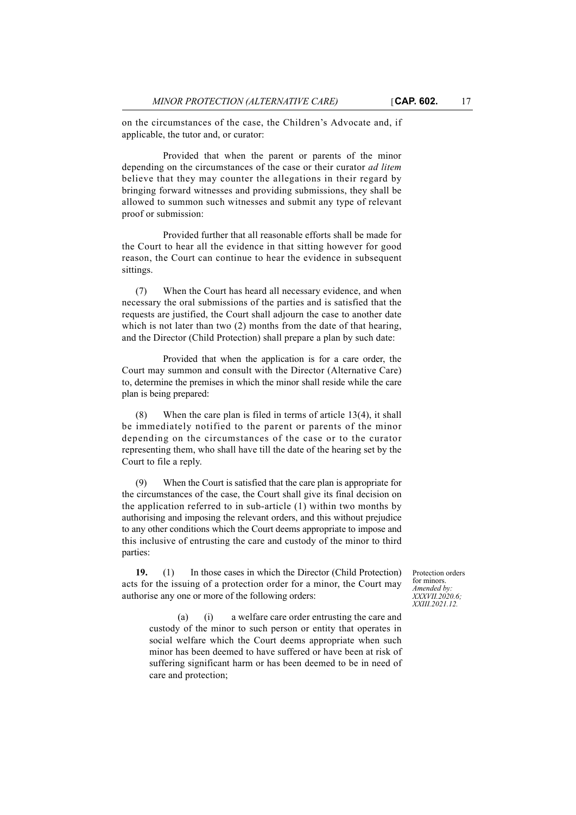on the circumstances of the case, the Children's Advocate and, if applicable, the tutor and, or curator:

Provided that when the parent or parents of the minor depending on the circumstances of the case or their curator *ad litem* believe that they may counter the allegations in their regard by bringing forward witnesses and providing submissions, they shall be allowed to summon such witnesses and submit any type of relevant proof or submission:

Provided further that all reasonable efforts shall be made for the Court to hear all the evidence in that sitting however for good reason, the Court can continue to hear the evidence in subsequent sittings.

(7) When the Court has heard all necessary evidence, and when necessary the oral submissions of the parties and is satisfied that the requests are justified, the Court shall adjourn the case to another date which is not later than two (2) months from the date of that hearing, and the Director (Child Protection) shall prepare a plan by such date:

Provided that when the application is for a care order, the Court may summon and consult with the Director (Alternative Care) to, determine the premises in which the minor shall reside while the care plan is being prepared:

(8) When the care plan is filed in terms of article 13(4), it shall be immediately notified to the parent or parents of the minor depending on the circumstances of the case or to the curator representing them, who shall have till the date of the hearing set by the Court to file a reply.

(9) When the Court is satisfied that the care plan is appropriate for the circumstances of the case, the Court shall give its final decision on the application referred to in sub-article (1) within two months by authorising and imposing the relevant orders, and this without prejudice to any other conditions which the Court deems appropriate to impose and this inclusive of entrusting the care and custody of the minor to third parties:

**19.** (1) In those cases in which the Director (Child Protection) acts for the issuing of a protection order for a minor, the Court may authorise any one or more of the following orders:

Protection orders for minors. *Amended by: XXXVII.2020.6; XXIII.2021.12.*

(a) (i) a welfare care order entrusting the care and custody of the minor to such person or entity that operates in social welfare which the Court deems appropriate when such minor has been deemed to have suffered or have been at risk of suffering significant harm or has been deemed to be in need of care and protection;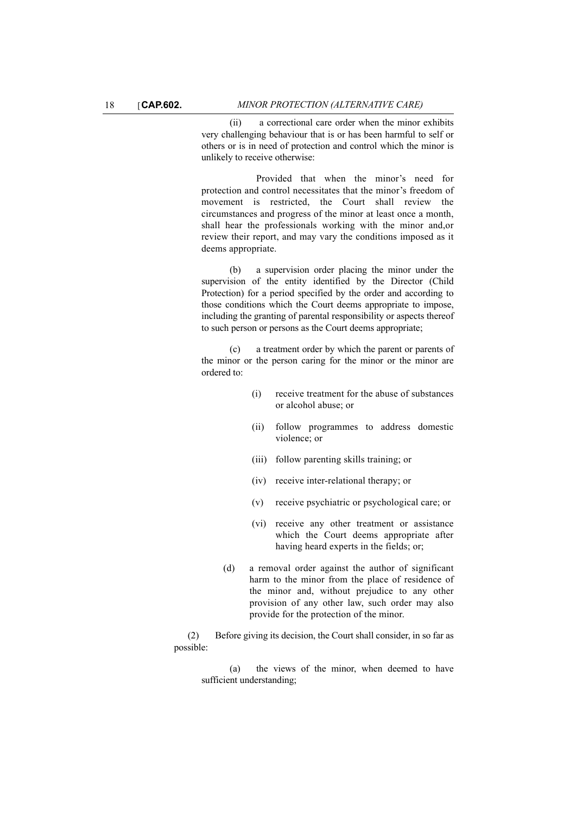(ii) a correctional care order when the minor exhibits very challenging behaviour that is or has been harmful to self or others or is in need of protection and control which the minor is unlikely to receive otherwise:

Provided that when the minor's need for protection and control necessitates that the minor's freedom of movement is restricted, the Court shall review the circumstances and progress of the minor at least once a month, shall hear the professionals working with the minor and,or review their report, and may vary the conditions imposed as it deems appropriate.

(b) a supervision order placing the minor under the supervision of the entity identified by the Director (Child Protection) for a period specified by the order and according to those conditions which the Court deems appropriate to impose, including the granting of parental responsibility or aspects thereof to such person or persons as the Court deems appropriate;

(c) a treatment order by which the parent or parents of the minor or the person caring for the minor or the minor are ordered to:

- (i) receive treatment for the abuse of substances or alcohol abuse; or
- (ii) follow programmes to address domestic violence; or
- (iii) follow parenting skills training; or
- (iv) receive inter-relational therapy; or
- (v) receive psychiatric or psychological care; or
- (vi) receive any other treatment or assistance which the Court deems appropriate after having heard experts in the fields; or;
- (d) a removal order against the author of significant harm to the minor from the place of residence of the minor and, without prejudice to any other provision of any other law, such order may also provide for the protection of the minor.

(2) Before giving its decision, the Court shall consider, in so far as possible:

(a) the views of the minor, when deemed to have sufficient understanding;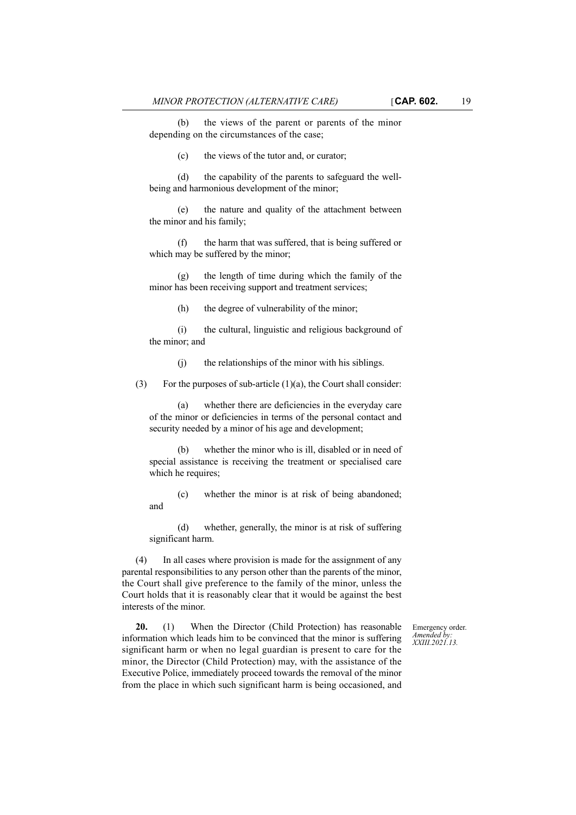(b) the views of the parent or parents of the minor depending on the circumstances of the case;

(c) the views of the tutor and, or curator;

(d) the capability of the parents to safeguard the wellbeing and harmonious development of the minor;

(e) the nature and quality of the attachment between the minor and his family;

(f) the harm that was suffered, that is being suffered or which may be suffered by the minor;

(g) the length of time during which the family of the minor has been receiving support and treatment services;

(h) the degree of vulnerability of the minor;

(i) the cultural, linguistic and religious background of the minor; and

(j) the relationships of the minor with his siblings.

(3) For the purposes of sub-article  $(1)(a)$ , the Court shall consider:

(a) whether there are deficiencies in the everyday care of the minor or deficiencies in terms of the personal contact and security needed by a minor of his age and development;

(b) whether the minor who is ill, disabled or in need of special assistance is receiving the treatment or specialised care which he requires;

(c) whether the minor is at risk of being abandoned; and

(d) whether, generally, the minor is at risk of suffering significant harm.

(4) In all cases where provision is made for the assignment of any parental responsibilities to any person other than the parents of the minor, the Court shall give preference to the family of the minor, unless the Court holds that it is reasonably clear that it would be against the best interests of the minor.

> Emergency order. *Amended by: XXIII.2021.13.*

**20.** (1) When the Director (Child Protection) has reasonable information which leads him to be convinced that the minor is suffering significant harm or when no legal guardian is present to care for the minor, the Director (Child Protection) may, with the assistance of the Executive Police, immediately proceed towards the removal of the minor from the place in which such significant harm is being occasioned, and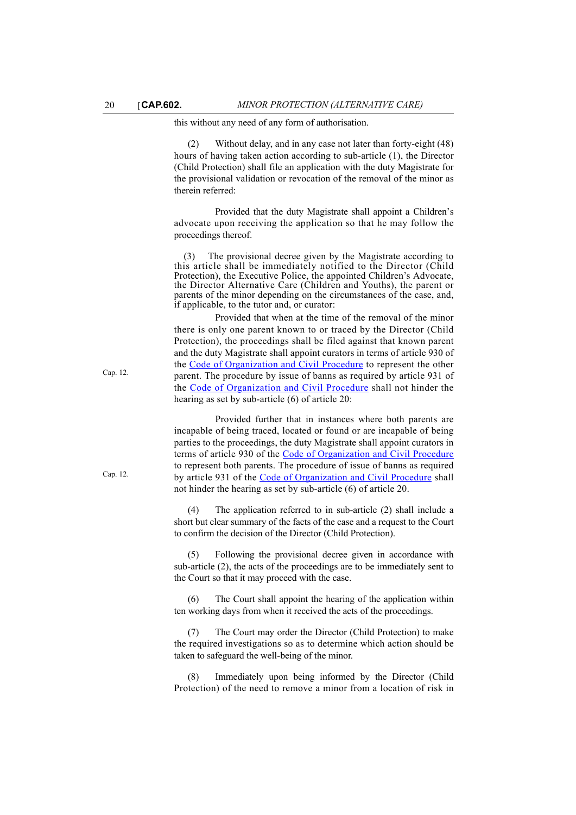this without any need of any form of authorisation.

(2) Without delay, and in any case not later than forty-eight (48) hours of having taken action according to sub-article (1), the Director (Child Protection) shall file an application with the duty Magistrate for the provisional validation or revocation of the removal of the minor as therein referred:

Provided that the duty Magistrate shall appoint a Children's advocate upon receiving the application so that he may follow the proceedings thereof.

(3) The provisional decree given by the Magistrate according to this article shall be immediately notified to the Director (Child Protection), the Executive Police, the appointed Children's Advocate, the Director Alternative Care (Children and Youths), the parent or parents of the minor depending on the circumstances of the case, and, if applicable, to the tutor and, or curator:

Provided that when at the time of the removal of the minor there is only one parent known to or traced by the Director (Child Protection), the proceedings shall be filed against that known parent and the duty Magistrate shall appoint curators in terms of article 930 of the Code of Organization and Civil Procedure to represent the other parent. The procedure by issue of banns as required by article 931 of the Code of Organization and Civil Procedure shall not hinder the hearing as set by sub-article (6) of article 20:

Provided further that in instances where both parents are incapable of being traced, located or found or are incapable of being parties to the proceedings, the duty Magistrate shall appoint curators in terms of article 930 of the Code of Organization and Civil Procedure to represent both parents. The procedure of issue of banns as required by article 931 of the Code of Organization and Civil Procedure shall not hinder the hearing as set by sub-article (6) of article 20.

(4) The application referred to in sub-article (2) shall include a short but clear summary of the facts of the case and a request to the Court to confirm the decision of the Director (Child Protection).

(5) Following the provisional decree given in accordance with sub-article (2), the acts of the proceedings are to be immediately sent to the Court so that it may proceed with the case.

(6) The Court shall appoint the hearing of the application within ten working days from when it received the acts of the proceedings.

(7) The Court may order the Director (Child Protection) to make the required investigations so as to determine which action should be taken to safeguard the well-being of the minor.

(8) Immediately upon being informed by the Director (Child Protection) of the need to remove a minor from a location of risk in

Cap. 12.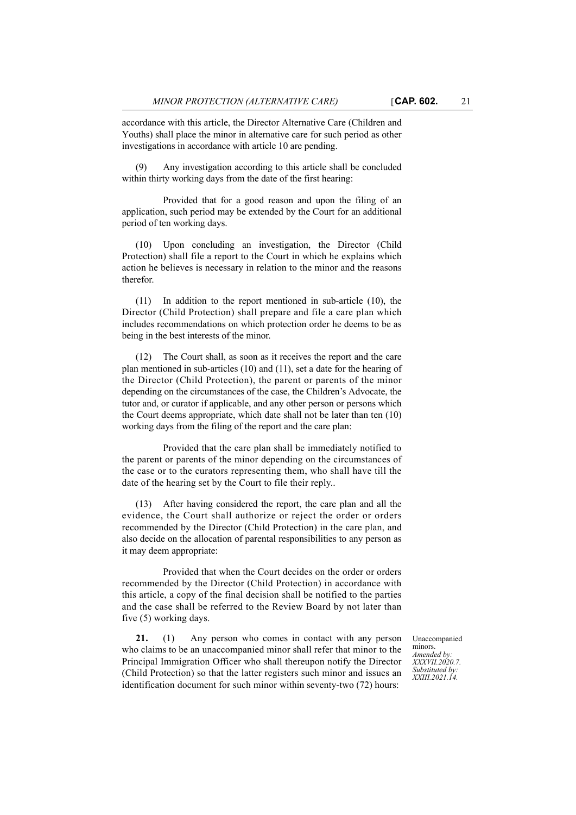accordance with this article, the Director Alternative Care (Children and Youths) shall place the minor in alternative care for such period as other investigations in accordance with article 10 are pending.

Any investigation according to this article shall be concluded within thirty working days from the date of the first hearing:

Provided that for a good reason and upon the filing of an application, such period may be extended by the Court for an additional period of ten working days.

(10) Upon concluding an investigation, the Director (Child Protection) shall file a report to the Court in which he explains which action he believes is necessary in relation to the minor and the reasons therefor.

(11) In addition to the report mentioned in sub-article (10), the Director (Child Protection) shall prepare and file a care plan which includes recommendations on which protection order he deems to be as being in the best interests of the minor.

(12) The Court shall, as soon as it receives the report and the care plan mentioned in sub-articles (10) and (11), set a date for the hearing of the Director (Child Protection), the parent or parents of the minor depending on the circumstances of the case, the Children's Advocate, the tutor and, or curator if applicable, and any other person or persons which the Court deems appropriate, which date shall not be later than ten (10) working days from the filing of the report and the care plan:

Provided that the care plan shall be immediately notified to the parent or parents of the minor depending on the circumstances of the case or to the curators representing them, who shall have till the date of the hearing set by the Court to file their reply..

(13) After having considered the report, the care plan and all the evidence, the Court shall authorize or reject the order or orders recommended by the Director (Child Protection) in the care plan, and also decide on the allocation of parental responsibilities to any person as it may deem appropriate:

Provided that when the Court decides on the order or orders recommended by the Director (Child Protection) in accordance with this article, a copy of the final decision shall be notified to the parties and the case shall be referred to the Review Board by not later than five (5) working days.

**21.** (1) Any person who comes in contact with any person who claims to be an unaccompanied minor shall refer that minor to the Principal Immigration Officer who shall thereupon notify the Director (Child Protection) so that the latter registers such minor and issues an identification document for such minor within seventy-two (72) hours:

Unaccompanied minors. *Amended by: XXXVII.2020.7. Substituted by: XXIII.2021.14.*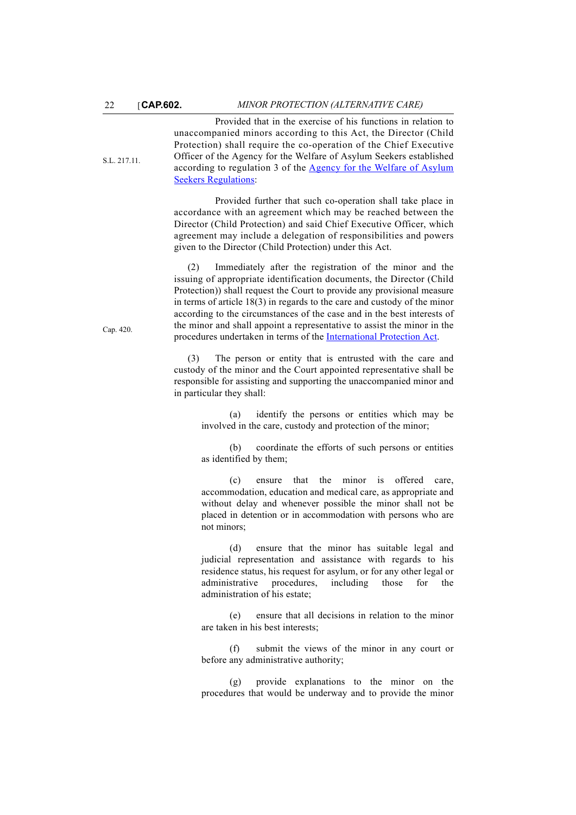S.L. 217.11.

Provided that in the exercise of his functions in relation to unaccompanied minors according to this Act, the Director (Child Protection) shall require the co-operation of the Chief Executive Officer of the Agency for the Welfare of Asylum Seekers established according to regulation 3 of the [Agency for the Welfare of Asylum](
https://legislation.mt/eli/sl/217.11/eng) [Seekers Regulations](
https://legislation.mt/eli/sl/217.11/eng):

Provided further that such co-operation shall take place in accordance with an agreement which may be reached between the Director (Child Protection) and said Chief Executive Officer, which agreement may include a delegation of responsibilities and powers given to the Director (Child Protection) under this Act.

(2) Immediately after the registration of the minor and the issuing of appropriate identification documents, the Director (Child Protection)) shall request the Court to provide any provisional measure in terms of article 18(3) in regards to the care and custody of the minor according to the circumstances of the case and in the best interests of the minor and shall appoint a representative to assist the minor in the procedures undertaken in terms of the [International Protection Act.](
https://legislation.mt/eli/cap/420/eng)

(3) The person or entity that is entrusted with the care and custody of the minor and the Court appointed representative shall be responsible for assisting and supporting the unaccompanied minor and in particular they shall:

> (a) identify the persons or entities which may be involved in the care, custody and protection of the minor;

> (b) coordinate the efforts of such persons or entities as identified by them;

> (c) ensure that the minor is offered care, accommodation, education and medical care, as appropriate and without delay and whenever possible the minor shall not be placed in detention or in accommodation with persons who are not minors;

> (d) ensure that the minor has suitable legal and judicial representation and assistance with regards to his residence status, his request for asylum, or for any other legal or administrative procedures, including those for the administration of his estate;

> (e) ensure that all decisions in relation to the minor are taken in his best interests;

> (f) submit the views of the minor in any court or before any administrative authority;

> (g) provide explanations to the minor on the procedures that would be underway and to provide the minor

Cap. 420.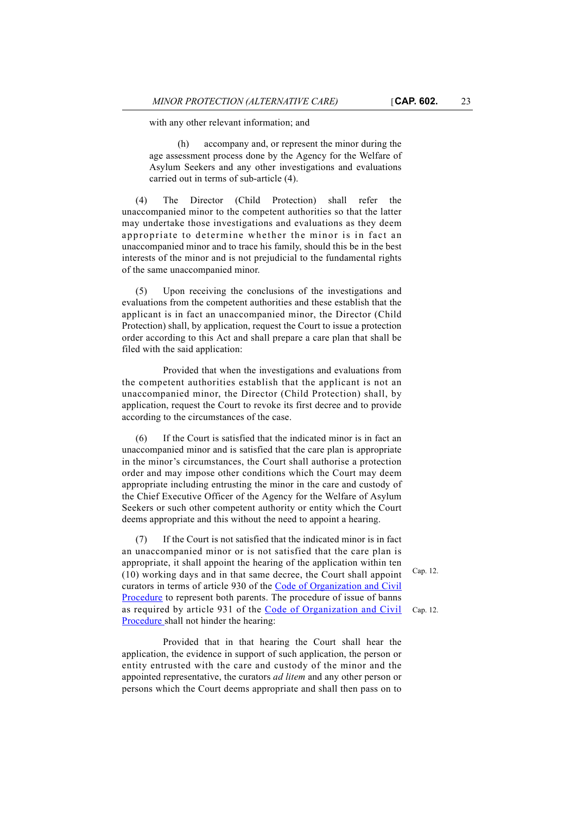with any other relevant information; and

(h) accompany and, or represent the minor during the age assessment process done by the Agency for the Welfare of Asylum Seekers and any other investigations and evaluations carried out in terms of sub-article (4).

(4) The Director (Child Protection) shall refer the unaccompanied minor to the competent authorities so that the latter may undertake those investigations and evaluations as they deem appropriate to determine whether the minor is in fact an unaccompanied minor and to trace his family, should this be in the best interests of the minor and is not prejudicial to the fundamental rights of the same unaccompanied minor.

(5) Upon receiving the conclusions of the investigations and evaluations from the competent authorities and these establish that the applicant is in fact an unaccompanied minor, the Director (Child Protection) shall, by application, request the Court to issue a protection order according to this Act and shall prepare a care plan that shall be filed with the said application:

Provided that when the investigations and evaluations from the competent authorities establish that the applicant is not an unaccompanied minor, the Director (Child Protection) shall, by application, request the Court to revoke its first decree and to provide according to the circumstances of the case.

(6) If the Court is satisfied that the indicated minor is in fact an unaccompanied minor and is satisfied that the care plan is appropriate in the minor's circumstances, the Court shall authorise a protection order and may impose other conditions which the Court may deem appropriate including entrusting the minor in the care and custody of the Chief Executive Officer of the Agency for the Welfare of Asylum Seekers or such other competent authority or entity which the Court deems appropriate and this without the need to appoint a hearing.

(7) If the Court is not satisfied that the indicated minor is in fact an unaccompanied minor or is not satisfied that the care plan is appropriate, it shall appoint the hearing of the application within ten (10) working days and in that same decree, the Court shall appoint curators in terms of article 930 of the [Code of Organization and Civil](
https://legislation.mt/eli/cap/12/eng) [Procedure](
https://legislation.mt/eli/cap/12/eng) to represent both parents. The procedure of issue of banns as required by article 931 of the [Code of Organization and Civil](
https://legislation.mt/eli/cap/12/eng) [Procedure](
https://legislation.mt/eli/cap/12/eng) shall not hinder the hearing:

Provided that in that hearing the Court shall hear the application, the evidence in support of such application, the person or entity entrusted with the care and custody of the minor and the appointed representative, the curators *ad litem* and any other person or persons which the Court deems appropriate and shall then pass on to

Cap. 12.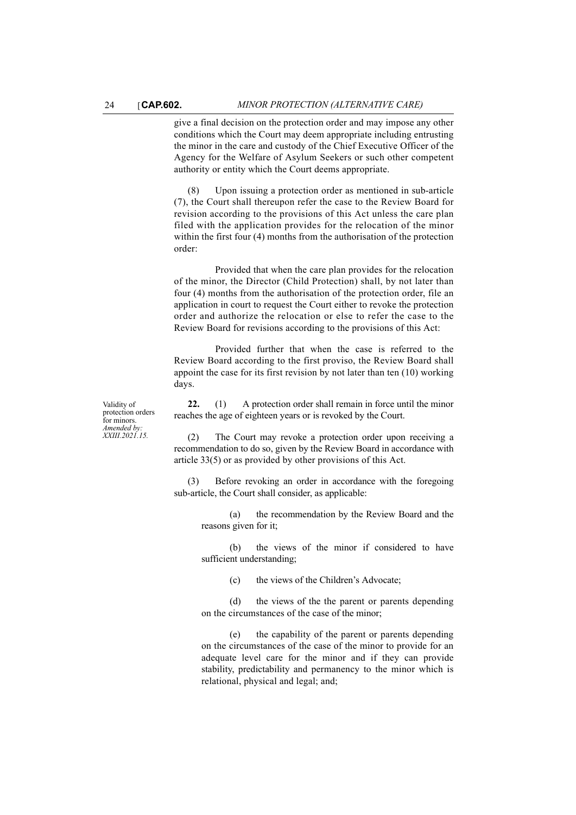give a final decision on the protection order and may impose any other conditions which the Court may deem appropriate including entrusting the minor in the care and custody of the Chief Executive Officer of the Agency for the Welfare of Asylum Seekers or such other competent authority or entity which the Court deems appropriate.

(8) Upon issuing a protection order as mentioned in sub-article (7), the Court shall thereupon refer the case to the Review Board for revision according to the provisions of this Act unless the care plan filed with the application provides for the relocation of the minor within the first four (4) months from the authorisation of the protection order:

Provided that when the care plan provides for the relocation of the minor, the Director (Child Protection) shall, by not later than four (4) months from the authorisation of the protection order, file an application in court to request the Court either to revoke the protection order and authorize the relocation or else to refer the case to the Review Board for revisions according to the provisions of this Act:

Provided further that when the case is referred to the Review Board according to the first proviso, the Review Board shall appoint the case for its first revision by not later than ten (10) working days.

**22.** (1) A protection order shall remain in force until the minor reaches the age of eighteen years or is revoked by the Court.

Validity of protection orders for minors. *Amended by: XXIII.2021.15.*

(2) The Court may revoke a protection order upon receiving a recommendation to do so, given by the Review Board in accordance with article 33(5) or as provided by other provisions of this Act.

(3) Before revoking an order in accordance with the foregoing sub-article, the Court shall consider, as applicable:

(a) the recommendation by the Review Board and the reasons given for it;

(b) the views of the minor if considered to have sufficient understanding;

(c) the views of the Children's Advocate;

(d) the views of the the parent or parents depending on the circumstances of the case of the minor;

(e) the capability of the parent or parents depending on the circumstances of the case of the minor to provide for an adequate level care for the minor and if they can provide stability, predictability and permanency to the minor which is relational, physical and legal; and;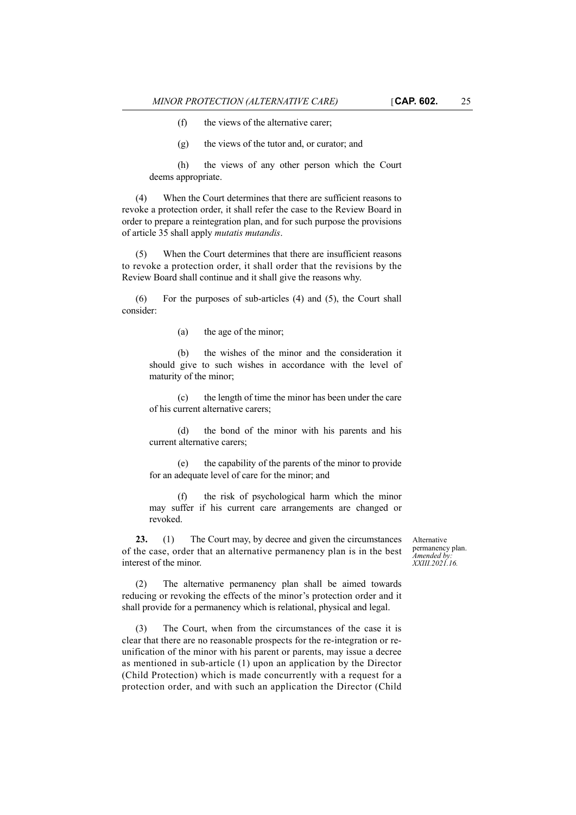(f) the views of the alternative carer;

(g) the views of the tutor and, or curator; and

(h) the views of any other person which the Court deems appropriate.

(4) When the Court determines that there are sufficient reasons to revoke a protection order, it shall refer the case to the Review Board in order to prepare a reintegration plan, and for such purpose the provisions of article 35 shall apply *mutatis mutandis*.

(5) When the Court determines that there are insufficient reasons to revoke a protection order, it shall order that the revisions by the Review Board shall continue and it shall give the reasons why.

(6) For the purposes of sub-articles (4) and (5), the Court shall consider:

(a) the age of the minor;

(b) the wishes of the minor and the consideration it should give to such wishes in accordance with the level of maturity of the minor;

(c) the length of time the minor has been under the care of his current alternative carers;

(d) the bond of the minor with his parents and his current alternative carers;

(e) the capability of the parents of the minor to provide for an adequate level of care for the minor; and

(f) the risk of psychological harm which the minor may suffer if his current care arrangements are changed or revoked.

**23.** (1) The Court may, by decree and given the circumstances of the case, order that an alternative permanency plan is in the best interest of the minor.

Alternative permanency plan. *Amended by: XXIII.2021.16.*

(2) The alternative permanency plan shall be aimed towards reducing or revoking the effects of the minor's protection order and it shall provide for a permanency which is relational, physical and legal.

(3) The Court, when from the circumstances of the case it is clear that there are no reasonable prospects for the re-integration or reunification of the minor with his parent or parents, may issue a decree as mentioned in sub-article (1) upon an application by the Director (Child Protection) which is made concurrently with a request for a protection order, and with such an application the Director (Child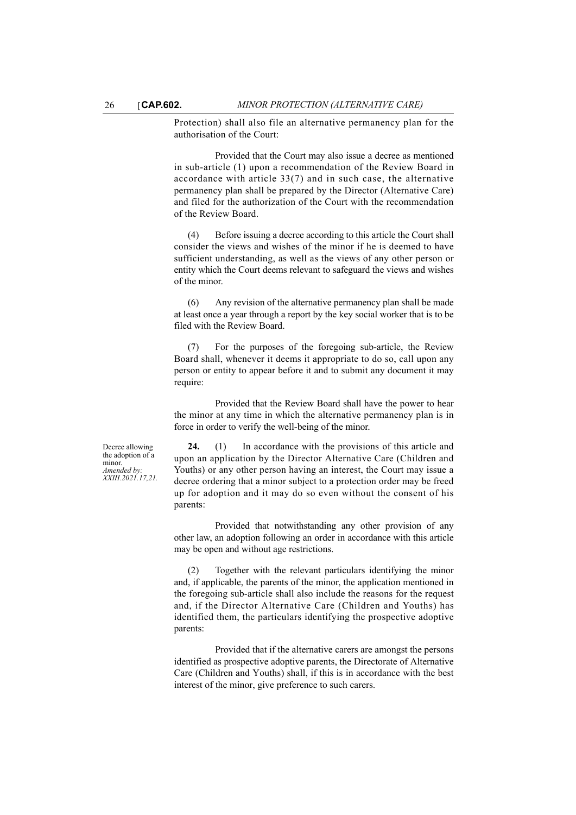Protection) shall also file an alternative permanency plan for the authorisation of the Court:

Provided that the Court may also issue a decree as mentioned in sub-article (1) upon a recommendation of the Review Board in accordance with article 33(7) and in such case, the alternative permanency plan shall be prepared by the Director (Alternative Care) and filed for the authorization of the Court with the recommendation of the Review Board.

(4) Before issuing a decree according to this article the Court shall consider the views and wishes of the minor if he is deemed to have sufficient understanding, as well as the views of any other person or entity which the Court deems relevant to safeguard the views and wishes of the minor.

(6) Any revision of the alternative permanency plan shall be made at least once a year through a report by the key social worker that is to be filed with the Review Board.

(7) For the purposes of the foregoing sub-article, the Review Board shall, whenever it deems it appropriate to do so, call upon any person or entity to appear before it and to submit any document it may require:

Provided that the Review Board shall have the power to hear the minor at any time in which the alternative permanency plan is in force in order to verify the well-being of the minor.

Decree allowing the adoption of a minor. *Amended by: XXIII.2021.17,21.*

**24.** (1) In accordance with the provisions of this article and upon an application by the Director Alternative Care (Children and Youths) or any other person having an interest, the Court may issue a decree ordering that a minor subject to a protection order may be freed up for adoption and it may do so even without the consent of his parents:

Provided that notwithstanding any other provision of any other law, an adoption following an order in accordance with this article may be open and without age restrictions.

(2) Together with the relevant particulars identifying the minor and, if applicable, the parents of the minor, the application mentioned in the foregoing sub-article shall also include the reasons for the request and, if the Director Alternative Care (Children and Youths) has identified them, the particulars identifying the prospective adoptive parents:

Provided that if the alternative carers are amongst the persons identified as prospective adoptive parents, the Directorate of Alternative Care (Children and Youths) shall, if this is in accordance with the best interest of the minor, give preference to such carers.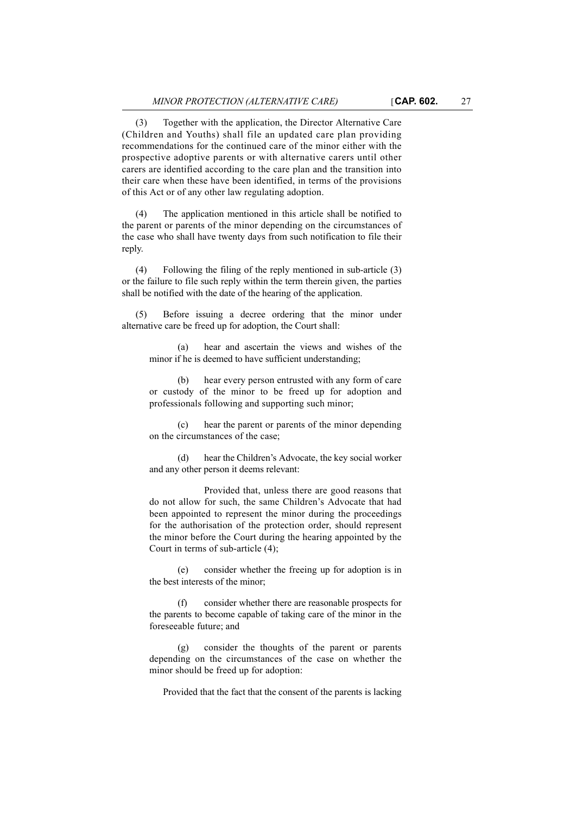(3) Together with the application, the Director Alternative Care (Children and Youths) shall file an updated care plan providing recommendations for the continued care of the minor either with the prospective adoptive parents or with alternative carers until other carers are identified according to the care plan and the transition into their care when these have been identified, in terms of the provisions of this Act or of any other law regulating adoption.

The application mentioned in this article shall be notified to the parent or parents of the minor depending on the circumstances of the case who shall have twenty days from such notification to file their reply.

(4) Following the filing of the reply mentioned in sub-article (3) or the failure to file such reply within the term therein given, the parties shall be notified with the date of the hearing of the application.

(5) Before issuing a decree ordering that the minor under alternative care be freed up for adoption, the Court shall:

(a) hear and ascertain the views and wishes of the minor if he is deemed to have sufficient understanding;

(b) hear every person entrusted with any form of care or custody of the minor to be freed up for adoption and professionals following and supporting such minor;

(c) hear the parent or parents of the minor depending on the circumstances of the case;

(d) hear the Children's Advocate, the key social worker and any other person it deems relevant:

Provided that, unless there are good reasons that do not allow for such, the same Children's Advocate that had been appointed to represent the minor during the proceedings for the authorisation of the protection order, should represent the minor before the Court during the hearing appointed by the Court in terms of sub-article (4);

(e) consider whether the freeing up for adoption is in the best interests of the minor;

consider whether there are reasonable prospects for the parents to become capable of taking care of the minor in the foreseeable future; and

(g) consider the thoughts of the parent or parents depending on the circumstances of the case on whether the minor should be freed up for adoption:

Provided that the fact that the consent of the parents is lacking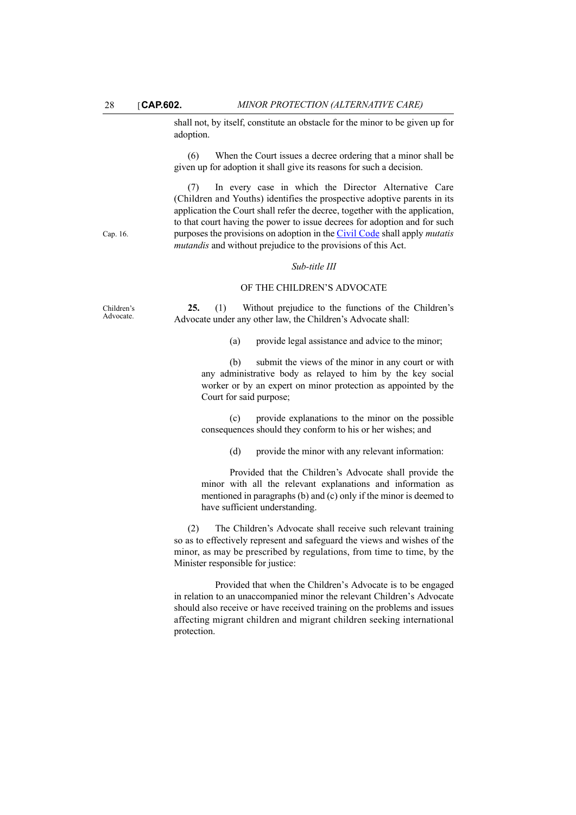shall not, by itself, constitute an obstacle for the minor to be given up for adoption.

(6) When the Court issues a decree ordering that a minor shall be given up for adoption it shall give its reasons for such a decision.

(7) In every case in which the Director Alternative Care (Children and Youths) identifies the prospective adoptive parents in its application the Court shall refer the decree, together with the application, to that court having the power to issue decrees for adoption and for such purposes the provisions on adoption in the [Civil Code](http://www.justiceservices.gov.mt/DownloadDocument.aspx?app=lom&itemid=8580&l=1) shall apply *mutatis mutandis* and without prejudice to the provisions of this Act.

#### *Sub-title III*

#### OF THE CHILDREN'S ADVOCATE

**25.** (1) Without prejudice to the functions of the Children's Advocate under any other law, the Children's Advocate shall:

(a) provide legal assistance and advice to the minor;

(b) submit the views of the minor in any court or with any administrative body as relayed to him by the key social worker or by an expert on minor protection as appointed by the Court for said purpose;

(c) provide explanations to the minor on the possible consequences should they conform to his or her wishes; and

(d) provide the minor with any relevant information:

Provided that the Children's Advocate shall provide the minor with all the relevant explanations and information as mentioned in paragraphs (b) and (c) only if the minor is deemed to have sufficient understanding.

(2) The Children's Advocate shall receive such relevant training so as to effectively represent and safeguard the views and wishes of the minor, as may be prescribed by regulations, from time to time, by the Minister responsible for justice:

Provided that when the Children's Advocate is to be engaged in relation to an unaccompanied minor the relevant Children's Advocate should also receive or have received training on the problems and issues affecting migrant children and migrant children seeking international protection.

Cap. 16.

Children's Advocate.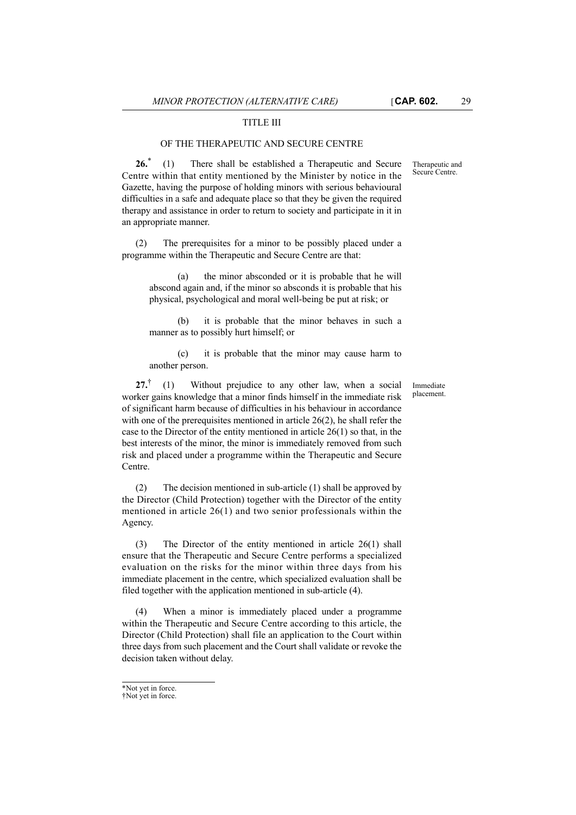### TITLE III

### OF THE THERAPEUTIC AND SECURE CENTRE

**26.**\* (1) There shall be established a Therapeutic and Secure Centre within that entity mentioned by the Minister by notice in the Gazette, having the purpose of holding minors with serious behavioural difficulties in a safe and adequate place so that they be given the required therapy and assistance in order to return to society and participate in it in an appropriate manner.

(2) The prerequisites for a minor to be possibly placed under a programme within the Therapeutic and Secure Centre are that:

(a) the minor absconded or it is probable that he will abscond again and, if the minor so absconds it is probable that his physical, psychological and moral well-being be put at risk; or

(b) it is probable that the minor behaves in such a manner as to possibly hurt himself; or

(c) it is probable that the minor may cause harm to another person.

**27.**† (1) Without prejudice to any other law, when a social worker gains knowledge that a minor finds himself in the immediate risk of significant harm because of difficulties in his behaviour in accordance with one of the prerequisites mentioned in article 26(2), he shall refer the case to the Director of the entity mentioned in article 26(1) so that, in the best interests of the minor, the minor is immediately removed from such risk and placed under a programme within the Therapeutic and Secure Centre.

(2) The decision mentioned in sub-article (1) shall be approved by the Director (Child Protection) together with the Director of the entity mentioned in article 26(1) and two senior professionals within the Agency.

(3) The Director of the entity mentioned in article 26(1) shall ensure that the Therapeutic and Secure Centre performs a specialized evaluation on the risks for the minor within three days from his immediate placement in the centre, which specialized evaluation shall be filed together with the application mentioned in sub-article (4).

(4) When a minor is immediately placed under a programme within the Therapeutic and Secure Centre according to this article, the Director (Child Protection) shall file an application to the Court within three days from such placement and the Court shall validate or revoke the decision taken without delay.

Therapeutic and Secure Centre.

Immediate placement.

<sup>\*</sup>Not yet in force.

<sup>†</sup>Not yet in force.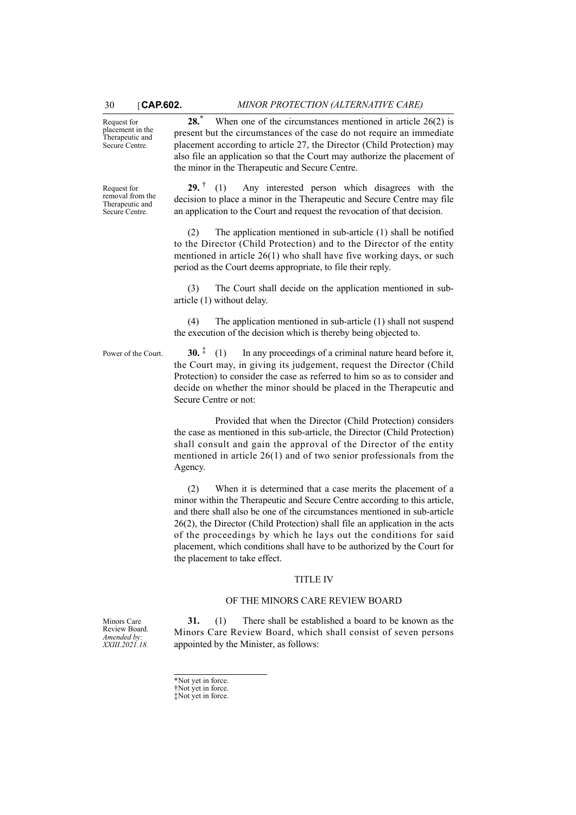Request for placement in the Therapeutic and Secure Centre.

**28.**\* When one of the circumstances mentioned in article 26(2) is present but the circumstances of the case do not require an immediate placement according to article 27, the Director (Child Protection) may also file an application so that the Court may authorize the placement of the minor in the Therapeutic and Secure Centre.

Request for removal from the Therapeutic and Secure Centre. **29.** † (1) Any interested person which disagrees with the decision to place a minor in the Therapeutic and Secure Centre may file an application to the Court and request the revocation of that decision.

> (2) The application mentioned in sub-article (1) shall be notified to the Director (Child Protection) and to the Director of the entity mentioned in article 26(1) who shall have five working days, or such period as the Court deems appropriate, to file their reply.

> (3) The Court shall decide on the application mentioned in subarticle (1) without delay.

> (4) The application mentioned in sub-article (1) shall not suspend the execution of the decision which is thereby being objected to.

Power of the Court. **30.**  $\ddot{\textbf{i}}$  (1) In any proceedings of a criminal nature heard before it, the Court may, in giving its judgement, request the Director (Child Protection) to consider the case as referred to him so as to consider and decide on whether the minor should be placed in the Therapeutic and Secure Centre or not:

> Provided that when the Director (Child Protection) considers the case as mentioned in this sub-article, the Director (Child Protection) shall consult and gain the approval of the Director of the entity mentioned in article 26(1) and of two senior professionals from the Agency.

> (2) When it is determined that a case merits the placement of a minor within the Therapeutic and Secure Centre according to this article, and there shall also be one of the circumstances mentioned in sub-article 26(2), the Director (Child Protection) shall file an application in the acts of the proceedings by which he lays out the conditions for said placement, which conditions shall have to be authorized by the Court for the placement to take effect.

#### TITLE IV

## OF THE MINORS CARE REVIEW BOARD

**31.** (1) There shall be established a board to be known as the Minors Care Review Board, which shall consist of seven persons appointed by the Minister, as follows:

\*Not yet in force. †Not yet in force. ‡Not yet in force.

Minors Care Review Board. *Amended by: XXIII.2021.18.*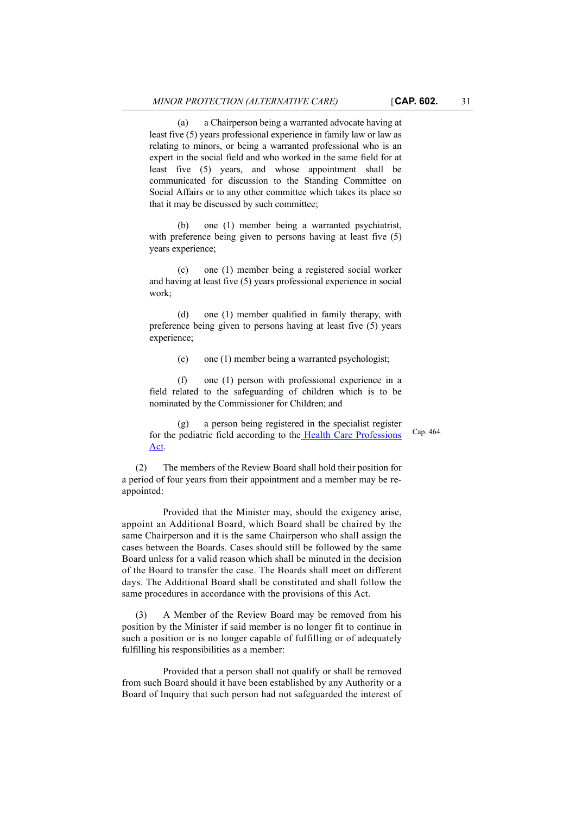(a) a Chairperson being a warranted advocate having at least five (5) years professional experience in family law or law as relating to minors, or being a warranted professional who is an expert in the social field and who worked in the same field for at least five (5) years, and whose appointment shall be communicated for discussion to the Standing Committee on Social Affairs or to any other committee which takes its place so that it may be discussed by such committee;

(b) one (1) member being a warranted psychiatrist, with preference being given to persons having at least five (5) years experience;

(c) one (1) member being a registered social worker and having at least five (5) years professional experience in social work;

(d) one (1) member qualified in family therapy, with preference being given to persons having at least five (5) years experience;

(e) one (1) member being a warranted psychologist;

(f) one (1) person with professional experience in a field related to the safeguarding of children which is to be nominated by the Commissioner for Children; and

(g) a person being registered in the specialist register for the pediatric field according to th[e Health Care Professions](http://www.justiceservices.gov.mt/DownloadDocument.aspx?app=lom&itemid=8930&l=1) [Act](http://www.justiceservices.gov.mt/DownloadDocument.aspx?app=lom&itemid=8930&l=1).

(2) The members of the Review Board shall hold their position for a period of four years from their appointment and a member may be reappointed:

Provided that the Minister may, should the exigency arise, appoint an Additional Board, which Board shall be chaired by the same Chairperson and it is the same Chairperson who shall assign the cases between the Boards. Cases should still be followed by the same Board unless for a valid reason which shall be minuted in the decision of the Board to transfer the case. The Boards shall meet on different days. The Additional Board shall be constituted and shall follow the same procedures in accordance with the provisions of this Act.

(3) A Member of the Review Board may be removed from his position by the Minister if said member is no longer fit to continue in such a position or is no longer capable of fulfilling or of adequately fulfilling his responsibilities as a member:

Provided that a person shall not qualify or shall be removed from such Board should it have been established by any Authority or a Board of Inquiry that such person had not safeguarded the interest of Cap. 464.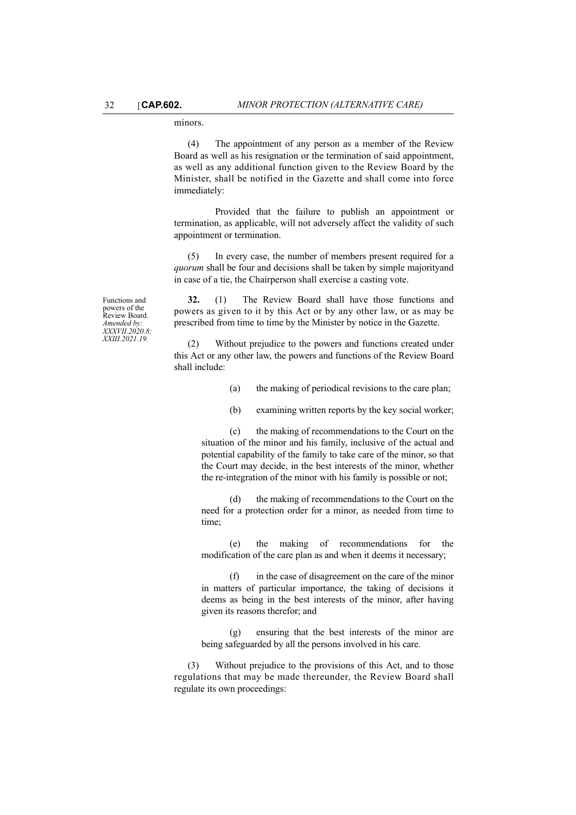## minors.

(4) The appointment of any person as a member of the Review Board as well as his resignation or the termination of said appointment, as well as any additional function given to the Review Board by the Minister, shall be notified in the Gazette and shall come into force immediately:

Provided that the failure to publish an appointment or termination, as applicable, will not adversely affect the validity of such appointment or termination.

(5) In every case, the number of members present required for a *quorum* shall be four and decisions shall be taken by simple majorityand in case of a tie, the Chairperson shall exercise a casting vote.

Functions and powers of the Review Board. *Amended by: XXXVII.2020.8; XXIII.2021.19.*

**32.** (1) The Review Board shall have those functions and powers as given to it by this Act or by any other law, or as may be prescribed from time to time by the Minister by notice in the Gazette.

(2) Without prejudice to the powers and functions created under this Act or any other law, the powers and functions of the Review Board shall include:

- (a) the making of periodical revisions to the care plan;
- (b) examining written reports by the key social worker;

(c) the making of recommendations to the Court on the situation of the minor and his family, inclusive of the actual and potential capability of the family to take care of the minor, so that the Court may decide, in the best interests of the minor, whether the re-integration of the minor with his family is possible or not;

(d) the making of recommendations to the Court on the need for a protection order for a minor, as needed from time to time;

(e) the making of recommendations for the modification of the care plan as and when it deems it necessary;

(f) in the case of disagreement on the care of the minor in matters of particular importance, the taking of decisions it deems as being in the best interests of the minor, after having given its reasons therefor; and

(g) ensuring that the best interests of the minor are being safeguarded by all the persons involved in his care.

(3) Without prejudice to the provisions of this Act, and to those regulations that may be made thereunder, the Review Board shall regulate its own proceedings: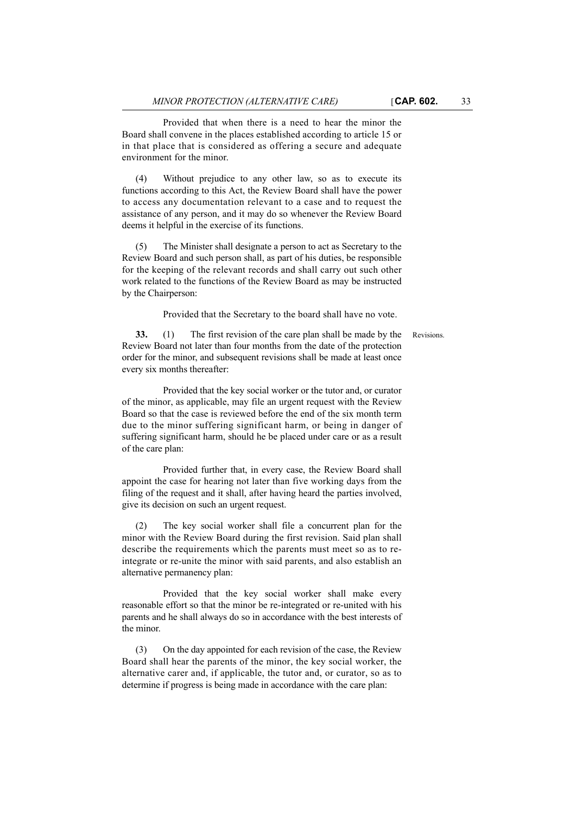Provided that when there is a need to hear the minor the Board shall convene in the places established according to article 15 or in that place that is considered as offering a secure and adequate environment for the minor.

(4) Without prejudice to any other law, so as to execute its functions according to this Act, the Review Board shall have the power to access any documentation relevant to a case and to request the assistance of any person, and it may do so whenever the Review Board deems it helpful in the exercise of its functions.

(5) The Minister shall designate a person to act as Secretary to the Review Board and such person shall, as part of his duties, be responsible for the keeping of the relevant records and shall carry out such other work related to the functions of the Review Board as may be instructed by the Chairperson:

Provided that the Secretary to the board shall have no vote.

**33.** (1) The first revision of the care plan shall be made by the Revisions. Review Board not later than four months from the date of the protection order for the minor, and subsequent revisions shall be made at least once every six months thereafter:

Provided that the key social worker or the tutor and, or curator of the minor, as applicable, may file an urgent request with the Review Board so that the case is reviewed before the end of the six month term due to the minor suffering significant harm, or being in danger of suffering significant harm, should he be placed under care or as a result of the care plan:

Provided further that, in every case, the Review Board shall appoint the case for hearing not later than five working days from the filing of the request and it shall, after having heard the parties involved, give its decision on such an urgent request.

(2) The key social worker shall file a concurrent plan for the minor with the Review Board during the first revision. Said plan shall describe the requirements which the parents must meet so as to reintegrate or re-unite the minor with said parents, and also establish an alternative permanency plan:

Provided that the key social worker shall make every reasonable effort so that the minor be re-integrated or re-united with his parents and he shall always do so in accordance with the best interests of the minor.

(3) On the day appointed for each revision of the case, the Review Board shall hear the parents of the minor, the key social worker, the alternative carer and, if applicable, the tutor and, or curator, so as to determine if progress is being made in accordance with the care plan: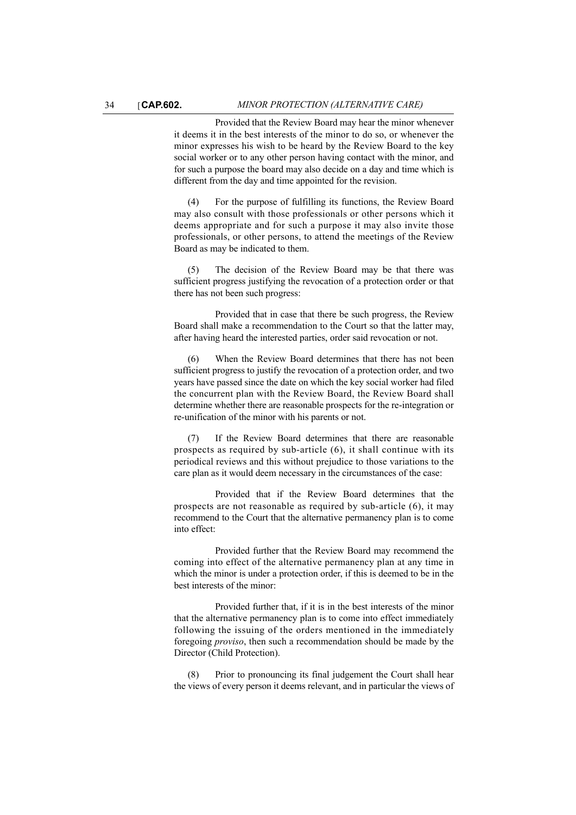Provided that the Review Board may hear the minor whenever it deems it in the best interests of the minor to do so, or whenever the minor expresses his wish to be heard by the Review Board to the key social worker or to any other person having contact with the minor, and for such a purpose the board may also decide on a day and time which is different from the day and time appointed for the revision.

(4) For the purpose of fulfilling its functions, the Review Board may also consult with those professionals or other persons which it deems appropriate and for such a purpose it may also invite those professionals, or other persons, to attend the meetings of the Review Board as may be indicated to them.

(5) The decision of the Review Board may be that there was sufficient progress justifying the revocation of a protection order or that there has not been such progress:

Provided that in case that there be such progress, the Review Board shall make a recommendation to the Court so that the latter may, after having heard the interested parties, order said revocation or not.

(6) When the Review Board determines that there has not been sufficient progress to justify the revocation of a protection order, and two years have passed since the date on which the key social worker had filed the concurrent plan with the Review Board, the Review Board shall determine whether there are reasonable prospects for the re-integration or re-unification of the minor with his parents or not.

(7) If the Review Board determines that there are reasonable prospects as required by sub-article (6), it shall continue with its periodical reviews and this without prejudice to those variations to the care plan as it would deem necessary in the circumstances of the case:

Provided that if the Review Board determines that the prospects are not reasonable as required by sub-article (6), it may recommend to the Court that the alternative permanency plan is to come into effect:

Provided further that the Review Board may recommend the coming into effect of the alternative permanency plan at any time in which the minor is under a protection order, if this is deemed to be in the best interests of the minor:

Provided further that, if it is in the best interests of the minor that the alternative permanency plan is to come into effect immediately following the issuing of the orders mentioned in the immediately foregoing *proviso*, then such a recommendation should be made by the Director (Child Protection).

(8) Prior to pronouncing its final judgement the Court shall hear the views of every person it deems relevant, and in particular the views of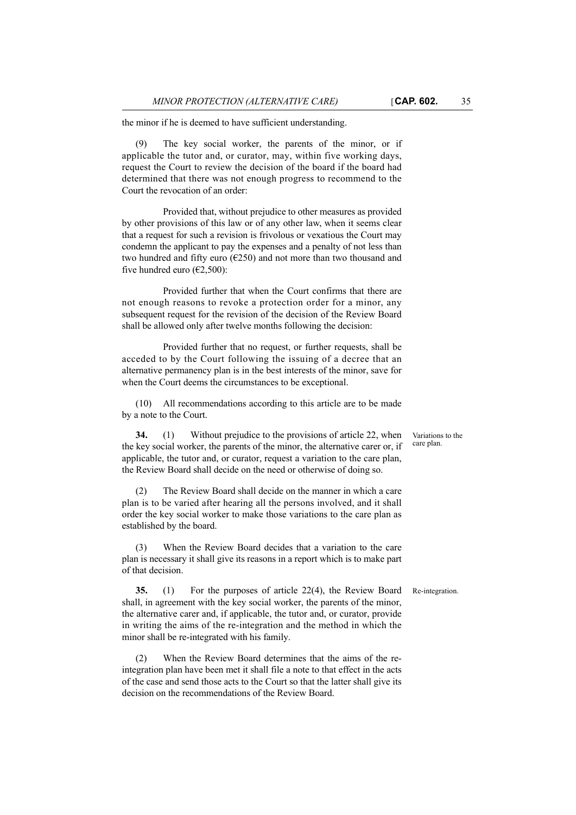the minor if he is deemed to have sufficient understanding.

The key social worker, the parents of the minor, or if applicable the tutor and, or curator, may, within five working days, request the Court to review the decision of the board if the board had determined that there was not enough progress to recommend to the Court the revocation of an order:

Provided that, without prejudice to other measures as provided by other provisions of this law or of any other law, when it seems clear that a request for such a revision is frivolous or vexatious the Court may condemn the applicant to pay the expenses and a penalty of not less than two hundred and fifty euro ( $E$ 250) and not more than two thousand and five hundred euro ( $\epsilon$ 2,500):

Provided further that when the Court confirms that there are not enough reasons to revoke a protection order for a minor, any subsequent request for the revision of the decision of the Review Board shall be allowed only after twelve months following the decision:

Provided further that no request, or further requests, shall be acceded to by the Court following the issuing of a decree that an alternative permanency plan is in the best interests of the minor, save for when the Court deems the circumstances to be exceptional.

(10) All recommendations according to this article are to be made by a note to the Court.

**34.** (1) Without prejudice to the provisions of article 22, when the key social worker, the parents of the minor, the alternative carer or, if applicable, the tutor and, or curator, request a variation to the care plan, the Review Board shall decide on the need or otherwise of doing so.

(2) The Review Board shall decide on the manner in which a care plan is to be varied after hearing all the persons involved, and it shall order the key social worker to make those variations to the care plan as established by the board.

(3) When the Review Board decides that a variation to the care plan is necessary it shall give its reasons in a report which is to make part of that decision.

**35.** (1) For the purposes of article 22(4), the Review Board Re-integration. shall, in agreement with the key social worker, the parents of the minor, the alternative carer and, if applicable, the tutor and, or curator, provide in writing the aims of the re-integration and the method in which the minor shall be re-integrated with his family.

(2) When the Review Board determines that the aims of the reintegration plan have been met it shall file a note to that effect in the acts of the case and send those acts to the Court so that the latter shall give its decision on the recommendations of the Review Board.

Variations to the care plan.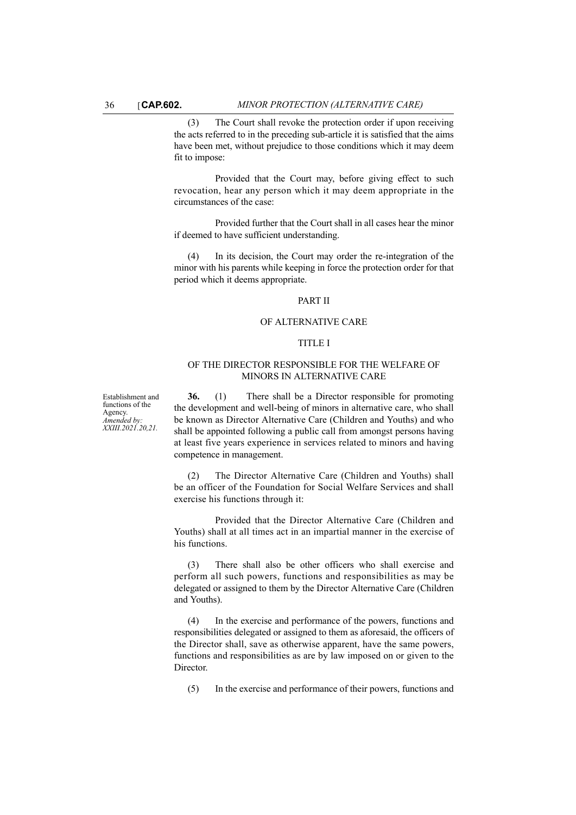(3) The Court shall revoke the protection order if upon receiving the acts referred to in the preceding sub-article it is satisfied that the aims have been met, without prejudice to those conditions which it may deem fit to impose:

Provided that the Court may, before giving effect to such revocation, hear any person which it may deem appropriate in the circumstances of the case:

Provided further that the Court shall in all cases hear the minor if deemed to have sufficient understanding.

(4) In its decision, the Court may order the re-integration of the minor with his parents while keeping in force the protection order for that period which it deems appropriate.

### PART II

## OF ALTERNATIVE CARE

## TITLE I

## OF THE DIRECTOR RESPONSIBLE FOR THE WELFARE OF MINORS IN ALTERNATIVE CARE

Establishment and functions of the Agency. *Amended by: XXIII.2021.20,21.*

**36.** (1) There shall be a Director responsible for promoting the development and well-being of minors in alternative care, who shall be known as Director Alternative Care (Children and Youths) and who shall be appointed following a public call from amongst persons having at least five years experience in services related to minors and having competence in management.

(2) The Director Alternative Care (Children and Youths) shall be an officer of the Foundation for Social Welfare Services and shall exercise his functions through it:

Provided that the Director Alternative Care (Children and Youths) shall at all times act in an impartial manner in the exercise of his functions.

(3) There shall also be other officers who shall exercise and perform all such powers, functions and responsibilities as may be delegated or assigned to them by the Director Alternative Care (Children and Youths).

(4) In the exercise and performance of the powers, functions and responsibilities delegated or assigned to them as aforesaid, the officers of the Director shall, save as otherwise apparent, have the same powers, functions and responsibilities as are by law imposed on or given to the Director.

(5) In the exercise and performance of their powers, functions and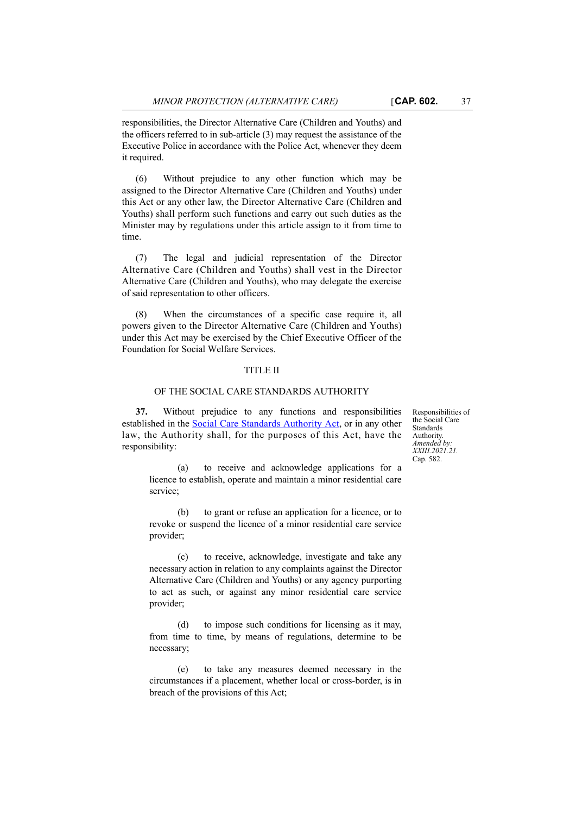responsibilities, the Director Alternative Care (Children and Youths) and the officers referred to in sub-article (3) may request the assistance of the Executive Police in accordance with the Police Act, whenever they deem it required.

(6) Without prejudice to any other function which may be assigned to the Director Alternative Care (Children and Youths) under this Act or any other law, the Director Alternative Care (Children and Youths) shall perform such functions and carry out such duties as the Minister may by regulations under this article assign to it from time to time.

(7) The legal and judicial representation of the Director Alternative Care (Children and Youths) shall vest in the Director Alternative Care (Children and Youths), who may delegate the exercise of said representation to other officers.

(8) When the circumstances of a specific case require it, all powers given to the Director Alternative Care (Children and Youths) under this Act may be exercised by the Chief Executive Officer of the Foundation for Social Welfare Services.

### TITLE II

#### OF THE SOCIAL CARE STANDARDS AUTHORITY

**37.** Without prejudice to any functions and responsibilities established in the [Social Care Standards Authority Act,](http://www.justiceservices.gov.mt/DownloadDocument.aspx?app=lom&itemid=12831&l=1) or in any other law, the Authority shall, for the purposes of this Act, have the responsibility:

Responsibilities of the Social Care Standards Authority. *Amended by: XXIII.2021.21.* Cap. 582.

(a) to receive and acknowledge applications for a licence to establish, operate and maintain a minor residential care service;

(b) to grant or refuse an application for a licence, or to revoke or suspend the licence of a minor residential care service provider;

(c) to receive, acknowledge, investigate and take any necessary action in relation to any complaints against the Director Alternative Care (Children and Youths) or any agency purporting to act as such, or against any minor residential care service provider;

(d) to impose such conditions for licensing as it may, from time to time, by means of regulations, determine to be necessary;

(e) to take any measures deemed necessary in the circumstances if a placement, whether local or cross-border, is in breach of the provisions of this Act;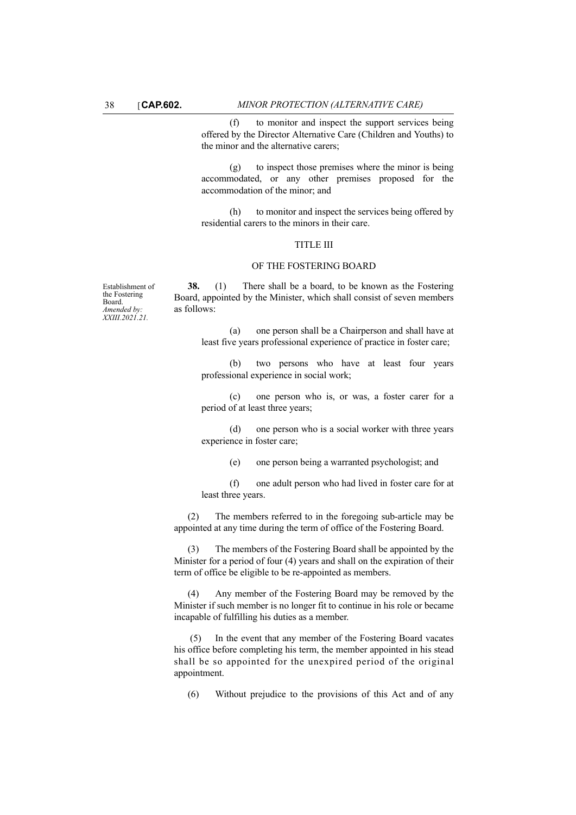(f) to monitor and inspect the support services being offered by the Director Alternative Care (Children and Youths) to the minor and the alternative carers;

(g) to inspect those premises where the minor is being accommodated, or any other premises proposed for the accommodation of the minor; and

(h) to monitor and inspect the services being offered by residential carers to the minors in their care.

#### TITLE III

#### OF THE FOSTERING BOARD

Establishment of the Fostering Board. *Amended by: XXIII.2021.21.*

**38.** (1) There shall be a board, to be known as the Fostering Board, appointed by the Minister, which shall consist of seven members as follows:

> (a) one person shall be a Chairperson and shall have at least five years professional experience of practice in foster care;

> (b) two persons who have at least four years professional experience in social work;

> (c) one person who is, or was, a foster carer for a period of at least three years;

> (d) one person who is a social worker with three years experience in foster care;

> > (e) one person being a warranted psychologist; and

(f) one adult person who had lived in foster care for at least three years.

(2) The members referred to in the foregoing sub-article may be appointed at any time during the term of office of the Fostering Board.

(3) The members of the Fostering Board shall be appointed by the Minister for a period of four (4) years and shall on the expiration of their term of office be eligible to be re-appointed as members.

(4) Any member of the Fostering Board may be removed by the Minister if such member is no longer fit to continue in his role or became incapable of fulfilling his duties as a member.

 (5) In the event that any member of the Fostering Board vacates his office before completing his term, the member appointed in his stead shall be so appointed for the unexpired period of the original appointment.

(6) Without prejudice to the provisions of this Act and of any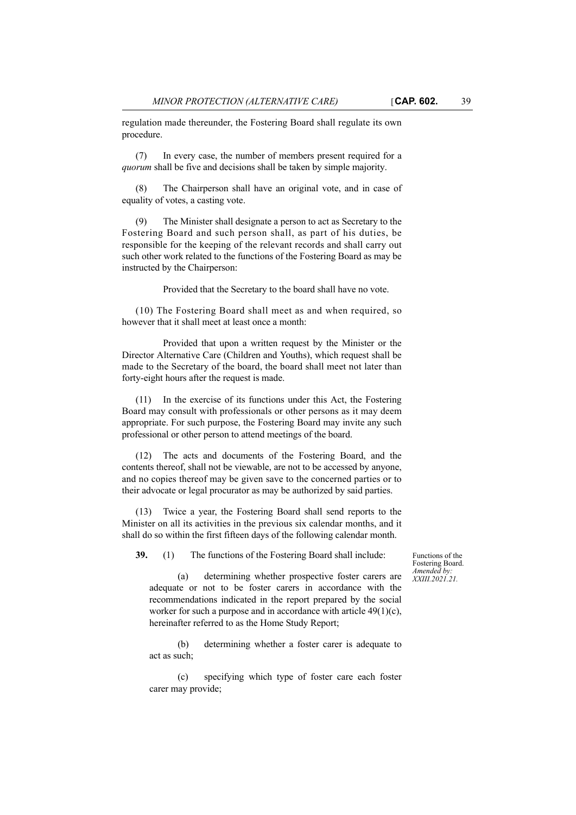regulation made thereunder, the Fostering Board shall regulate its own procedure.

(7) In every case, the number of members present required for a *quorum* shall be five and decisions shall be taken by simple majority.

(8) The Chairperson shall have an original vote, and in case of equality of votes, a casting vote.

(9) The Minister shall designate a person to act as Secretary to the Fostering Board and such person shall, as part of his duties, be responsible for the keeping of the relevant records and shall carry out such other work related to the functions of the Fostering Board as may be instructed by the Chairperson:

Provided that the Secretary to the board shall have no vote.

(10) The Fostering Board shall meet as and when required, so however that it shall meet at least once a month:

Provided that upon a written request by the Minister or the Director Alternative Care (Children and Youths), which request shall be made to the Secretary of the board, the board shall meet not later than forty-eight hours after the request is made.

(11) In the exercise of its functions under this Act, the Fostering Board may consult with professionals or other persons as it may deem appropriate. For such purpose, the Fostering Board may invite any such professional or other person to attend meetings of the board.

(12) The acts and documents of the Fostering Board, and the contents thereof, shall not be viewable, are not to be accessed by anyone, and no copies thereof may be given save to the concerned parties or to their advocate or legal procurator as may be authorized by said parties.

(13) Twice a year, the Fostering Board shall send reports to the Minister on all its activities in the previous six calendar months, and it shall do so within the first fifteen days of the following calendar month.

**39.** (1) The functions of the Fostering Board shall include:

Functions of the Fostering Board. *Amended by: XXIII.2021.21.*

(a) determining whether prospective foster carers are adequate or not to be foster carers in accordance with the recommendations indicated in the report prepared by the social worker for such a purpose and in accordance with article 49(1)(c), hereinafter referred to as the Home Study Report;

(b) determining whether a foster carer is adequate to act as such;

(c) specifying which type of foster care each foster carer may provide;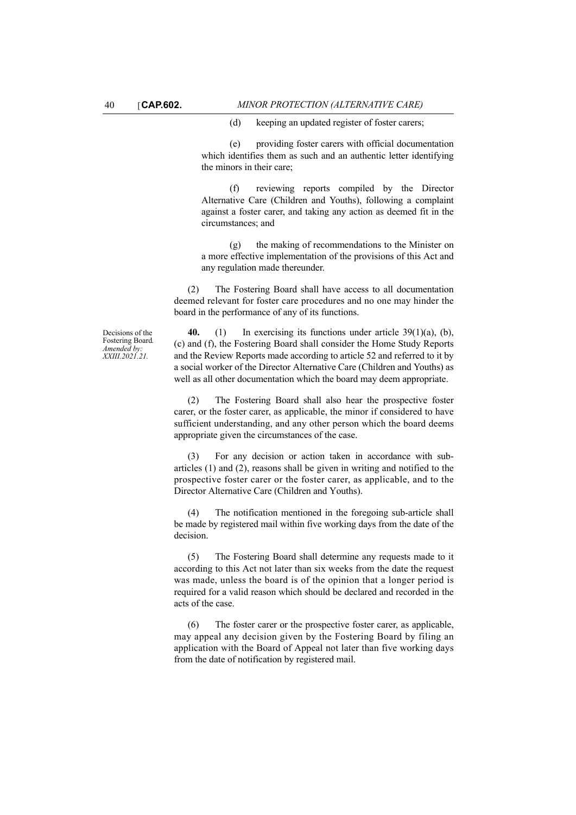(d) keeping an updated register of foster carers;

(e) providing foster carers with official documentation which identifies them as such and an authentic letter identifying the minors in their care;

(f) reviewing reports compiled by the Director Alternative Care (Children and Youths), following a complaint against a foster carer, and taking any action as deemed fit in the circumstances; and

(g) the making of recommendations to the Minister on a more effective implementation of the provisions of this Act and any regulation made thereunder.

(2) The Fostering Board shall have access to all documentation deemed relevant for foster care procedures and no one may hinder the board in the performance of any of its functions.

Decisions of the Fostering Board*. Amended by: XXIII.2021.21.*

**40.** (1) In exercising its functions under article 39(1)(a), (b), (c) and (f), the Fostering Board shall consider the Home Study Reports and the Review Reports made according to article 52 and referred to it by a social worker of the Director Alternative Care (Children and Youths) as well as all other documentation which the board may deem appropriate.

(2) The Fostering Board shall also hear the prospective foster carer, or the foster carer, as applicable, the minor if considered to have sufficient understanding, and any other person which the board deems appropriate given the circumstances of the case.

(3) For any decision or action taken in accordance with subarticles (1) and (2), reasons shall be given in writing and notified to the prospective foster carer or the foster carer, as applicable, and to the Director Alternative Care (Children and Youths).

(4) The notification mentioned in the foregoing sub-article shall be made by registered mail within five working days from the date of the decision.

(5) The Fostering Board shall determine any requests made to it according to this Act not later than six weeks from the date the request was made, unless the board is of the opinion that a longer period is required for a valid reason which should be declared and recorded in the acts of the case.

(6) The foster carer or the prospective foster carer, as applicable, may appeal any decision given by the Fostering Board by filing an application with the Board of Appeal not later than five working days from the date of notification by registered mail.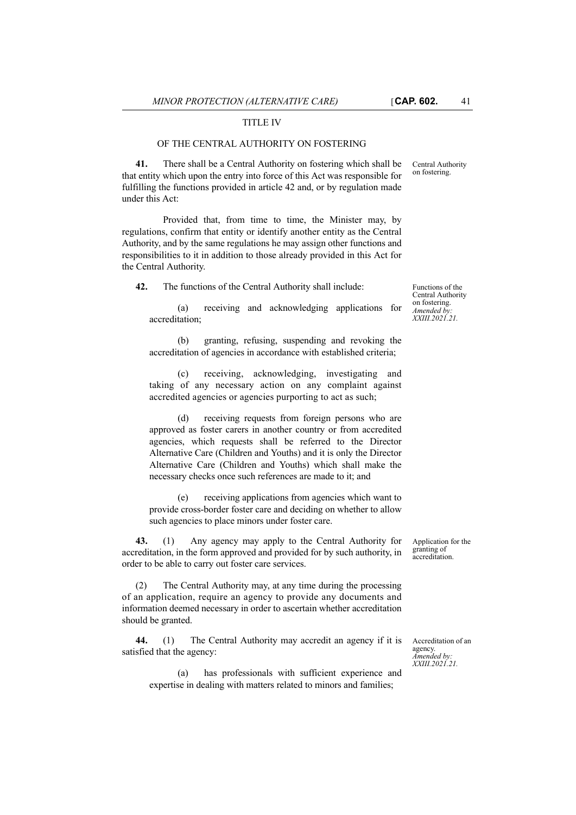Central Authority on fostering.

## TITLE IV

#### OF THE CENTRAL AUTHORITY ON FOSTERING

**41.** There shall be a Central Authority on fostering which shall be that entity which upon the entry into force of this Act was responsible for fulfilling the functions provided in article 42 and, or by regulation made under this Act:

Provided that, from time to time, the Minister may, by regulations, confirm that entity or identify another entity as the Central Authority, and by the same regulations he may assign other functions and responsibilities to it in addition to those already provided in this Act for the Central Authority.

**42.** The functions of the Central Authority shall include:

(a) receiving and acknowledging applications for accreditation;

(b) granting, refusing, suspending and revoking the accreditation of agencies in accordance with established criteria;

(c) receiving, acknowledging, investigating and taking of any necessary action on any complaint against accredited agencies or agencies purporting to act as such;

(d) receiving requests from foreign persons who are approved as foster carers in another country or from accredited agencies, which requests shall be referred to the Director Alternative Care (Children and Youths) and it is only the Director Alternative Care (Children and Youths) which shall make the necessary checks once such references are made to it; and

(e) receiving applications from agencies which want to provide cross-border foster care and deciding on whether to allow such agencies to place minors under foster care.

**43.** (1) Any agency may apply to the Central Authority for accreditation, in the form approved and provided for by such authority, in order to be able to carry out foster care services.

(2) The Central Authority may, at any time during the processing of an application, require an agency to provide any documents and information deemed necessary in order to ascertain whether accreditation should be granted.

**44.** (1) The Central Authority may accredit an agency if it is satisfied that the agency:

(a) has professionals with sufficient experience and expertise in dealing with matters related to minors and families;

Functions of the Central Authority on fostering. *Amended by: XXIII.2021.21.*

Application for the granting of accreditation.

Accreditation of an agency. *Amended by: XXIII.2021.21.*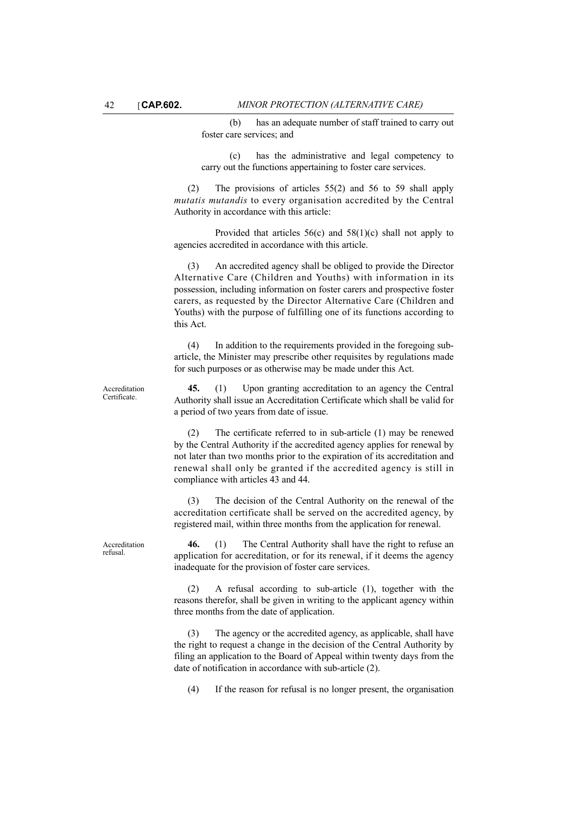(b) has an adequate number of staff trained to carry out foster care services; and

(c) has the administrative and legal competency to carry out the functions appertaining to foster care services.

(2) The provisions of articles 55(2) and 56 to 59 shall apply *mutatis mutandis* to every organisation accredited by the Central Authority in accordance with this article:

Provided that articles  $56(c)$  and  $58(1)(c)$  shall not apply to agencies accredited in accordance with this article.

(3) An accredited agency shall be obliged to provide the Director Alternative Care (Children and Youths) with information in its possession, including information on foster carers and prospective foster carers, as requested by the Director Alternative Care (Children and Youths) with the purpose of fulfilling one of its functions according to this Act.

(4) In addition to the requirements provided in the foregoing subarticle, the Minister may prescribe other requisites by regulations made for such purposes or as otherwise may be made under this Act.

**45.** (1) Upon granting accreditation to an agency the Central Authority shall issue an Accreditation Certificate which shall be valid for a period of two years from date of issue.

(2) The certificate referred to in sub-article (1) may be renewed by the Central Authority if the accredited agency applies for renewal by not later than two months prior to the expiration of its accreditation and renewal shall only be granted if the accredited agency is still in compliance with articles 43 and 44.

(3) The decision of the Central Authority on the renewal of the accreditation certificate shall be served on the accredited agency, by registered mail, within three months from the application for renewal.

Accreditation refusal.

Accreditation **Certificate** 

> **46.** (1) The Central Authority shall have the right to refuse an application for accreditation, or for its renewal, if it deems the agency inadequate for the provision of foster care services.

> (2) A refusal according to sub-article (1), together with the reasons therefor, shall be given in writing to the applicant agency within three months from the date of application.

> (3) The agency or the accredited agency, as applicable, shall have the right to request a change in the decision of the Central Authority by filing an application to the Board of Appeal within twenty days from the date of notification in accordance with sub-article (2).

(4) If the reason for refusal is no longer present, the organisation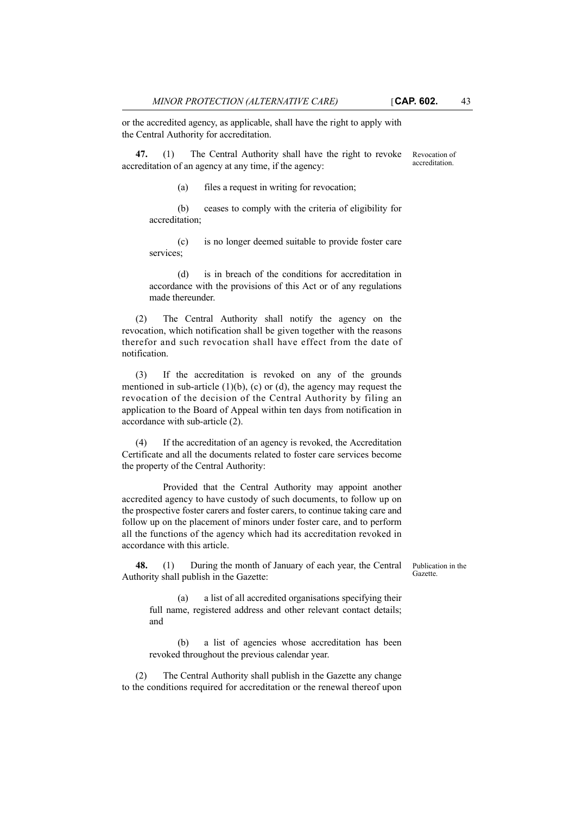or the accredited agency, as applicable, shall have the right to apply with the Central Authority for accreditation.

**47.** (1) The Central Authority shall have the right to revoke accreditation of an agency at any time, if the agency:

(a) files a request in writing for revocation;

(b) ceases to comply with the criteria of eligibility for accreditation;

(c) is no longer deemed suitable to provide foster care services;

(d) is in breach of the conditions for accreditation in accordance with the provisions of this Act or of any regulations made thereunder.

(2) The Central Authority shall notify the agency on the revocation, which notification shall be given together with the reasons therefor and such revocation shall have effect from the date of notification.

(3) If the accreditation is revoked on any of the grounds mentioned in sub-article  $(1)(b)$ ,  $(c)$  or  $(d)$ , the agency may request the revocation of the decision of the Central Authority by filing an application to the Board of Appeal within ten days from notification in accordance with sub-article (2).

(4) If the accreditation of an agency is revoked, the Accreditation Certificate and all the documents related to foster care services become the property of the Central Authority:

Provided that the Central Authority may appoint another accredited agency to have custody of such documents, to follow up on the prospective foster carers and foster carers, to continue taking care and follow up on the placement of minors under foster care, and to perform all the functions of the agency which had its accreditation revoked in accordance with this article.

**48.** (1) During the month of January of each year, the Central Authority shall publish in the Gazette:

Publication in the Gazette.

(a) a list of all accredited organisations specifying their full name, registered address and other relevant contact details; and

(b) a list of agencies whose accreditation has been revoked throughout the previous calendar year.

(2) The Central Authority shall publish in the Gazette any change to the conditions required for accreditation or the renewal thereof upon

Revocation of accreditation.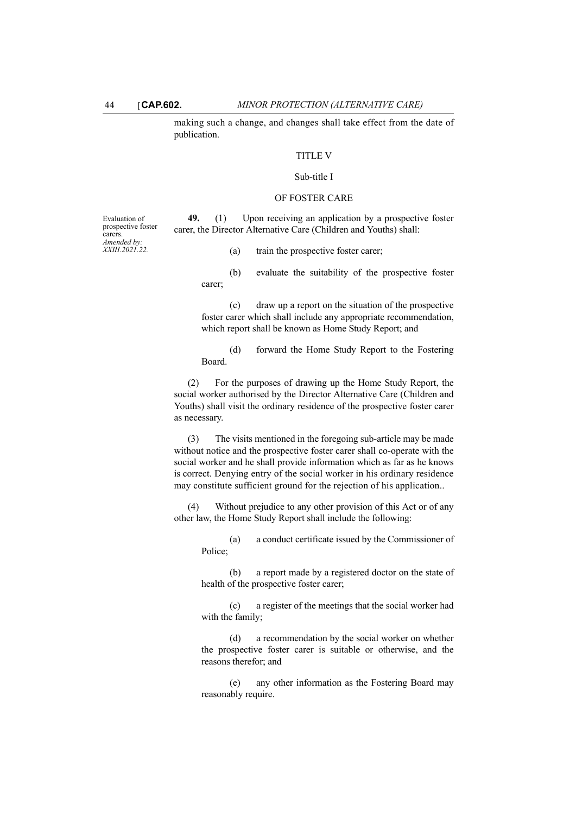making such a change, and changes shall take effect from the date of publication.

## TITLE V

### Sub-title I

#### OF FOSTER CARE

**49.** (1) Upon receiving an application by a prospective foster carer, the Director Alternative Care (Children and Youths) shall:

(a) train the prospective foster carer;

(b) evaluate the suitability of the prospective foster carer;

(c) draw up a report on the situation of the prospective foster carer which shall include any appropriate recommendation, which report shall be known as Home Study Report; and

(d) forward the Home Study Report to the Fostering Board.

(2) For the purposes of drawing up the Home Study Report, the social worker authorised by the Director Alternative Care (Children and Youths) shall visit the ordinary residence of the prospective foster carer as necessary.

(3) The visits mentioned in the foregoing sub-article may be made without notice and the prospective foster carer shall co-operate with the social worker and he shall provide information which as far as he knows is correct. Denying entry of the social worker in his ordinary residence may constitute sufficient ground for the rejection of his application..

(4) Without prejudice to any other provision of this Act or of any other law, the Home Study Report shall include the following:

(a) a conduct certificate issued by the Commissioner of Police;

(b) a report made by a registered doctor on the state of health of the prospective foster carer;

(c) a register of the meetings that the social worker had with the family;

(d) a recommendation by the social worker on whether the prospective foster carer is suitable or otherwise, and the reasons therefor; and

(e) any other information as the Fostering Board may reasonably require.

Evaluation of prospective foster carers. *Amended by: XXIII.2021.22.*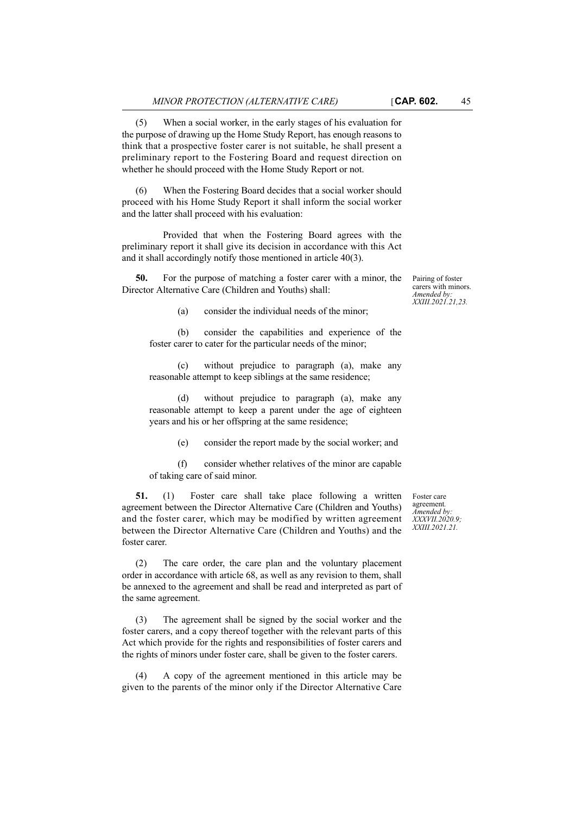(5) When a social worker, in the early stages of his evaluation for the purpose of drawing up the Home Study Report, has enough reasons to think that a prospective foster carer is not suitable, he shall present a preliminary report to the Fostering Board and request direction on whether he should proceed with the Home Study Report or not.

(6) When the Fostering Board decides that a social worker should proceed with his Home Study Report it shall inform the social worker and the latter shall proceed with his evaluation:

Provided that when the Fostering Board agrees with the preliminary report it shall give its decision in accordance with this Act and it shall accordingly notify those mentioned in article 40(3).

**50.** For the purpose of matching a foster carer with a minor, the Director Alternative Care (Children and Youths) shall:

Pairing of foster carers with minors. *Amended by: XXIII.2021.21,23.*

(a) consider the individual needs of the minor;

(b) consider the capabilities and experience of the foster carer to cater for the particular needs of the minor;

(c) without prejudice to paragraph (a), make any reasonable attempt to keep siblings at the same residence;

(d) without prejudice to paragraph (a), make any reasonable attempt to keep a parent under the age of eighteen years and his or her offspring at the same residence;

(e) consider the report made by the social worker; and

(f) consider whether relatives of the minor are capable of taking care of said minor.

**51.** (1) Foster care shall take place following a written agreement between the Director Alternative Care (Children and Youths) and the foster carer, which may be modified by written agreement between the Director Alternative Care (Children and Youths) and the foster carer.

(2) The care order, the care plan and the voluntary placement order in accordance with article 68, as well as any revision to them, shall be annexed to the agreement and shall be read and interpreted as part of the same agreement.

(3) The agreement shall be signed by the social worker and the foster carers, and a copy thereof together with the relevant parts of this Act which provide for the rights and responsibilities of foster carers and the rights of minors under foster care, shall be given to the foster carers.

(4) A copy of the agreement mentioned in this article may be given to the parents of the minor only if the Director Alternative Care

Foster care agreement*. Amended by: XXXVII.2020.9; XXIII.2021.21.*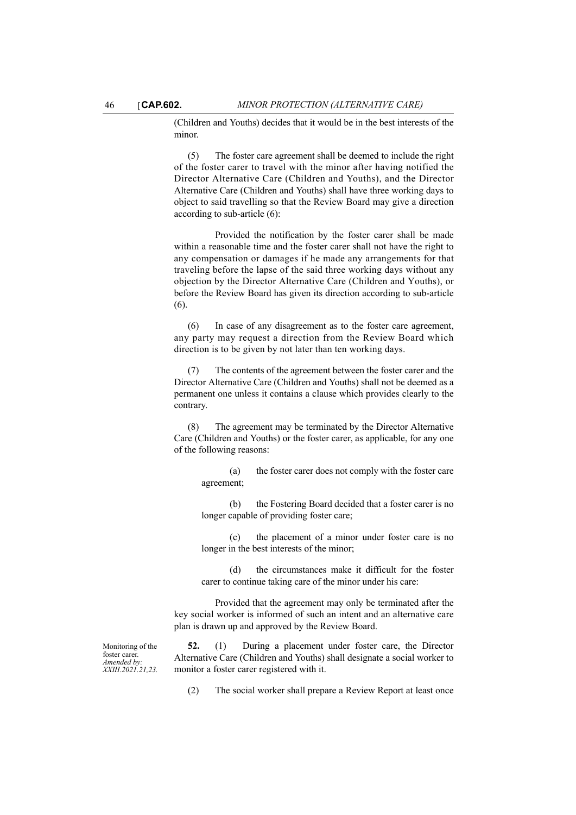(Children and Youths) decides that it would be in the best interests of the minor.

(5) The foster care agreement shall be deemed to include the right of the foster carer to travel with the minor after having notified the Director Alternative Care (Children and Youths), and the Director Alternative Care (Children and Youths) shall have three working days to object to said travelling so that the Review Board may give a direction according to sub-article (6):

Provided the notification by the foster carer shall be made within a reasonable time and the foster carer shall not have the right to any compensation or damages if he made any arrangements for that traveling before the lapse of the said three working days without any objection by the Director Alternative Care (Children and Youths), or before the Review Board has given its direction according to sub-article (6).

(6) In case of any disagreement as to the foster care agreement, any party may request a direction from the Review Board which direction is to be given by not later than ten working days.

(7) The contents of the agreement between the foster carer and the Director Alternative Care (Children and Youths) shall not be deemed as a permanent one unless it contains a clause which provides clearly to the contrary.

(8) The agreement may be terminated by the Director Alternative Care (Children and Youths) or the foster carer, as applicable, for any one of the following reasons:

> (a) the foster carer does not comply with the foster care agreement;

> (b) the Fostering Board decided that a foster carer is no longer capable of providing foster care;

> (c) the placement of a minor under foster care is no longer in the best interests of the minor;

> (d) the circumstances make it difficult for the foster carer to continue taking care of the minor under his care:

Provided that the agreement may only be terminated after the key social worker is informed of such an intent and an alternative care plan is drawn up and approved by the Review Board.

Monitoring of the foster carei *Amended by: XXIII.2021.21,23.*

**52.** (1) During a placement under foster care, the Director Alternative Care (Children and Youths) shall designate a social worker to monitor a foster carer registered with it.

(2) The social worker shall prepare a Review Report at least once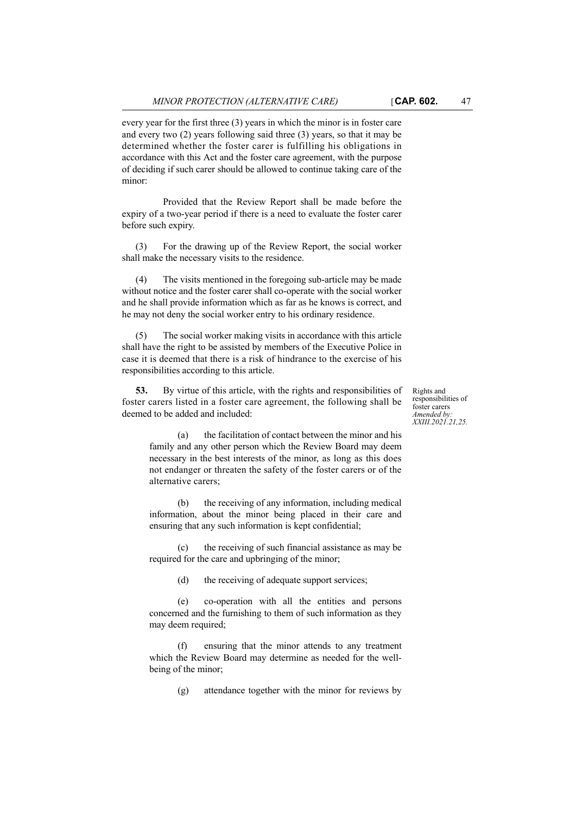every year for the first three (3) years in which the minor is in foster care and every two (2) years following said three (3) years, so that it may be determined whether the foster carer is fulfilling his obligations in accordance with this Act and the foster care agreement, with the purpose of deciding if such carer should be allowed to continue taking care of the minor:

Provided that the Review Report shall be made before the expiry of a two-year period if there is a need to evaluate the foster carer before such expiry.

(3) For the drawing up of the Review Report, the social worker shall make the necessary visits to the residence.

The visits mentioned in the foregoing sub-article may be made without notice and the foster carer shall co-operate with the social worker and he shall provide information which as far as he knows is correct, and he may not deny the social worker entry to his ordinary residence.

(5) The social worker making visits in accordance with this article shall have the right to be assisted by members of the Executive Police in case it is deemed that there is a risk of hindrance to the exercise of his responsibilities according to this article.

**53.** By virtue of this article, with the rights and responsibilities of foster carers listed in a foster care agreement, the following shall be deemed to be added and included:

Rights and responsibilities of foster carers *Amended by: XXIII.2021.21,25.*

(a) the facilitation of contact between the minor and his family and any other person which the Review Board may deem necessary in the best interests of the minor, as long as this does not endanger or threaten the safety of the foster carers or of the alternative carers;

(b) the receiving of any information, including medical information, about the minor being placed in their care and ensuring that any such information is kept confidential;

(c) the receiving of such financial assistance as may be required for the care and upbringing of the minor;

(d) the receiving of adequate support services;

(e) co-operation with all the entities and persons concerned and the furnishing to them of such information as they may deem required;

(f) ensuring that the minor attends to any treatment which the Review Board may determine as needed for the wellbeing of the minor;

(g) attendance together with the minor for reviews by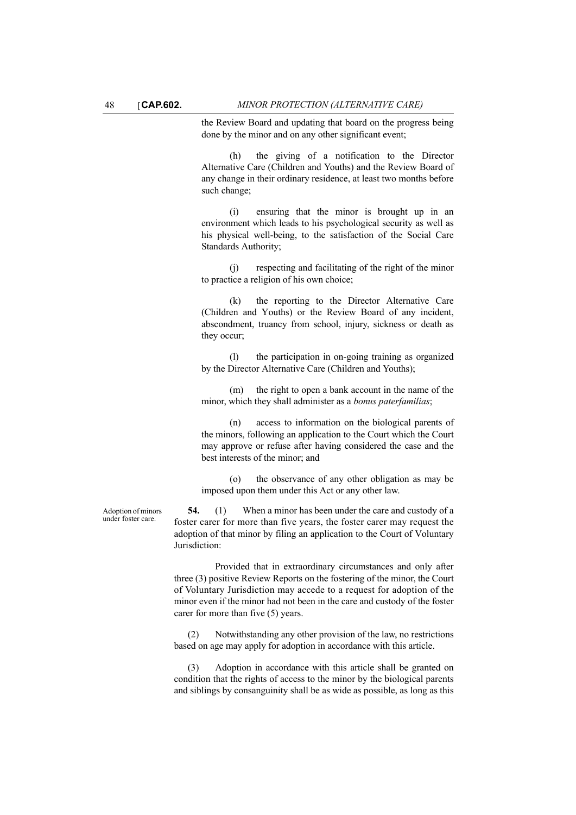the Review Board and updating that board on the progress being done by the minor and on any other significant event;

(h) the giving of a notification to the Director Alternative Care (Children and Youths) and the Review Board of any change in their ordinary residence, at least two months before such change;

(i) ensuring that the minor is brought up in an environment which leads to his psychological security as well as his physical well-being, to the satisfaction of the Social Care Standards Authority;

(j) respecting and facilitating of the right of the minor to practice a religion of his own choice;

(k) the reporting to the Director Alternative Care (Children and Youths) or the Review Board of any incident, abscondment, truancy from school, injury, sickness or death as they occur;

(l) the participation in on-going training as organized by the Director Alternative Care (Children and Youths);

(m) the right to open a bank account in the name of the minor, which they shall administer as a *bonus paterfamilias*;

(n) access to information on the biological parents of the minors, following an application to the Court which the Court may approve or refuse after having considered the case and the best interests of the minor; and

(o) the observance of any other obligation as may be imposed upon them under this Act or any other law.

**54.** (1) When a minor has been under the care and custody of a foster carer for more than five years, the foster carer may request the adoption of that minor by filing an application to the Court of Voluntary Jurisdiction:

Provided that in extraordinary circumstances and only after three (3) positive Review Reports on the fostering of the minor, the Court of Voluntary Jurisdiction may accede to a request for adoption of the minor even if the minor had not been in the care and custody of the foster carer for more than five (5) years.

(2) Notwithstanding any other provision of the law, no restrictions based on age may apply for adoption in accordance with this article.

Adoption in accordance with this article shall be granted on condition that the rights of access to the minor by the biological parents and siblings by consanguinity shall be as wide as possible, as long as this

Adoption of minors under foster care.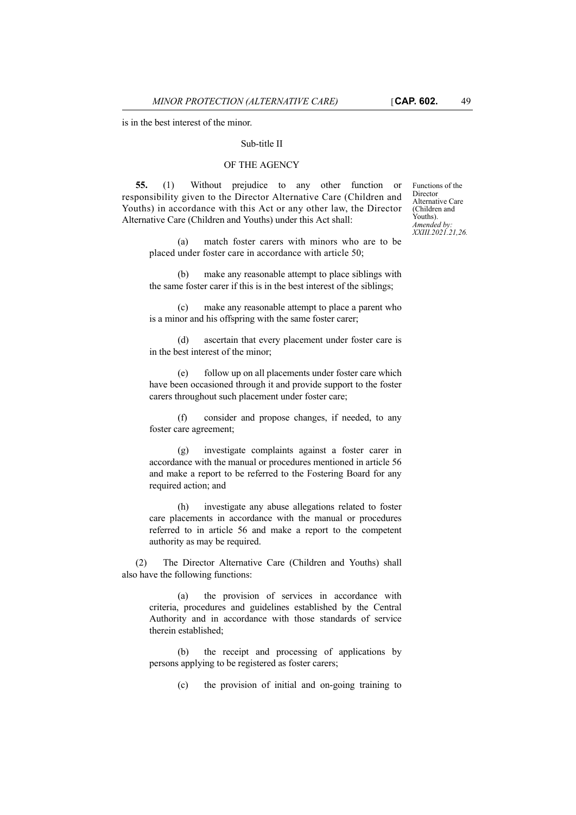is in the best interest of the minor.

### Sub-title II

## OF THE AGENCY

**55.** (1) Without prejudice to any other function or responsibility given to the Director Alternative Care (Children and Youths) in accordance with this Act or any other law, the Director Alternative Care (Children and Youths) under this Act shall:

(a) match foster carers with minors who are to be placed under foster care in accordance with article 50;

(b) make any reasonable attempt to place siblings with the same foster carer if this is in the best interest of the siblings;

(c) make any reasonable attempt to place a parent who is a minor and his offspring with the same foster carer;

(d) ascertain that every placement under foster care is in the best interest of the minor;

(e) follow up on all placements under foster care which have been occasioned through it and provide support to the foster carers throughout such placement under foster care;

(f) consider and propose changes, if needed, to any foster care agreement;

(g) investigate complaints against a foster carer in accordance with the manual or procedures mentioned in article 56 and make a report to be referred to the Fostering Board for any required action; and

(h) investigate any abuse allegations related to foster care placements in accordance with the manual or procedures referred to in article 56 and make a report to the competent authority as may be required.

(2) The Director Alternative Care (Children and Youths) shall also have the following functions:

> (a) the provision of services in accordance with criteria, procedures and guidelines established by the Central Authority and in accordance with those standards of service therein established;

> (b) the receipt and processing of applications by persons applying to be registered as foster carers;

> > (c) the provision of initial and on-going training to

Functions of the Director Alternative Care (Children and Youths). *Amended by: XXIII.2021.21,26.*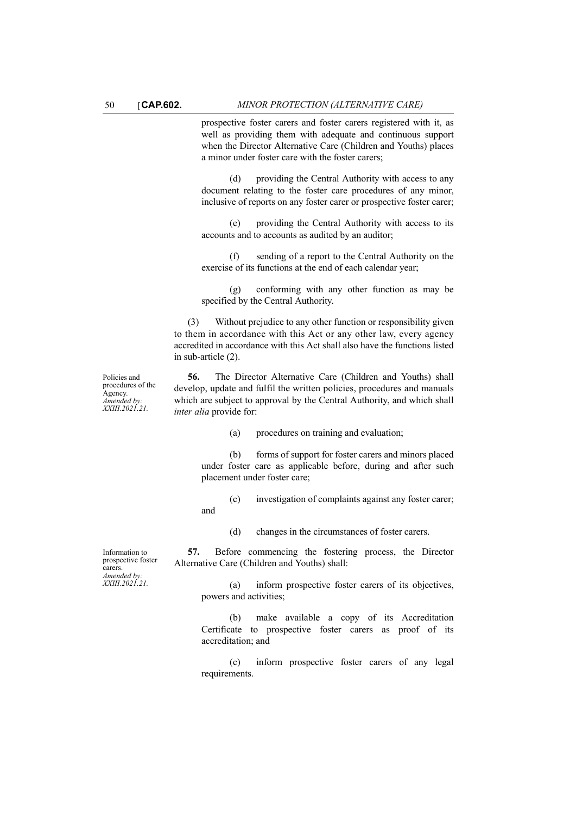prospective foster carers and foster carers registered with it, as well as providing them with adequate and continuous support when the Director Alternative Care (Children and Youths) places a minor under foster care with the foster carers;

(d) providing the Central Authority with access to any document relating to the foster care procedures of any minor, inclusive of reports on any foster carer or prospective foster carer;

(e) providing the Central Authority with access to its accounts and to accounts as audited by an auditor;

(f) sending of a report to the Central Authority on the exercise of its functions at the end of each calendar year;

(g) conforming with any other function as may be specified by the Central Authority.

(3) Without prejudice to any other function or responsibility given to them in accordance with this Act or any other law, every agency accredited in accordance with this Act shall also have the functions listed in sub-article (2).

Policies and procedures of the Agency. *Amended by: XXIII.2021.21.*

**56.** The Director Alternative Care (Children and Youths) shall develop, update and fulfil the written policies, procedures and manuals which are subject to approval by the Central Authority, and which shall *inter alia* provide for:

(a) procedures on training and evaluation;

(b) forms of support for foster carers and minors placed under foster care as applicable before, during and after such placement under foster care;

(c) investigation of complaints against any foster carer;

(d) changes in the circumstances of foster carers.

**57.** Before commencing the fostering process, the Director Alternative Care (Children and Youths) shall:

> (a) inform prospective foster carers of its objectives, powers and activities;

> (b) make available a copy of its Accreditation Certificate to prospective foster carers as proof of its accreditation; and

> (c) inform prospective foster carers of any legal requirements.

Information to prospective foster carers. *Amended by: XXIII.2021.21.*

and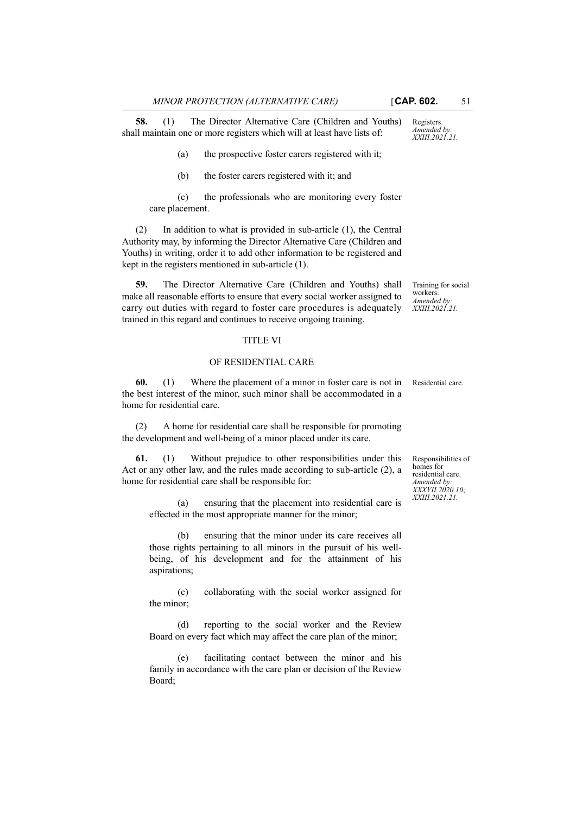**58.** (1) The Director Alternative Care (Children and Youths) shall maintain one or more registers which will at least have lists of:

(a) the prospective foster carers registered with it;

(b) the foster carers registered with it; and

(c) the professionals who are monitoring every foster care placement.

(2) In addition to what is provided in sub-article (1), the Central Authority may, by informing the Director Alternative Care (Children and Youths) in writing, order it to add other information to be registered and kept in the registers mentioned in sub-article (1).

**59.** The Director Alternative Care (Children and Youths) shall make all reasonable efforts to ensure that every social worker assigned to carry out duties with regard to foster care procedures is adequately trained in this regard and continues to receive ongoing training.

#### TITLE VI

#### OF RESIDENTIAL CARE

**60.** (1) Where the placement of a minor in foster care is not in Residential care. the best interest of the minor, such minor shall be accommodated in a home for residential care.

(2) A home for residential care shall be responsible for promoting the development and well-being of a minor placed under its care.

**61.** (1) Without prejudice to other responsibilities under this Act or any other law, and the rules made according to sub-article (2), a home for residential care shall be responsible for:

(a) ensuring that the placement into residential care is effected in the most appropriate manner for the minor;

(b) ensuring that the minor under its care receives all those rights pertaining to all minors in the pursuit of his wellbeing, of his development and for the attainment of his aspirations;

(c) collaborating with the social worker assigned for the minor;

(d) reporting to the social worker and the Review Board on every fact which may affect the care plan of the minor;

(e) facilitating contact between the minor and his family in accordance with the care plan or decision of the Review Board;

workers. *Amended by: XXIII.2021.21.*

Training for social

Responsibilities of homes for residential care. *Amended by: XXXVII.2020.10*; *XXIII.2021.21.*

Registers. *Amended by: XXIII.2021.21.*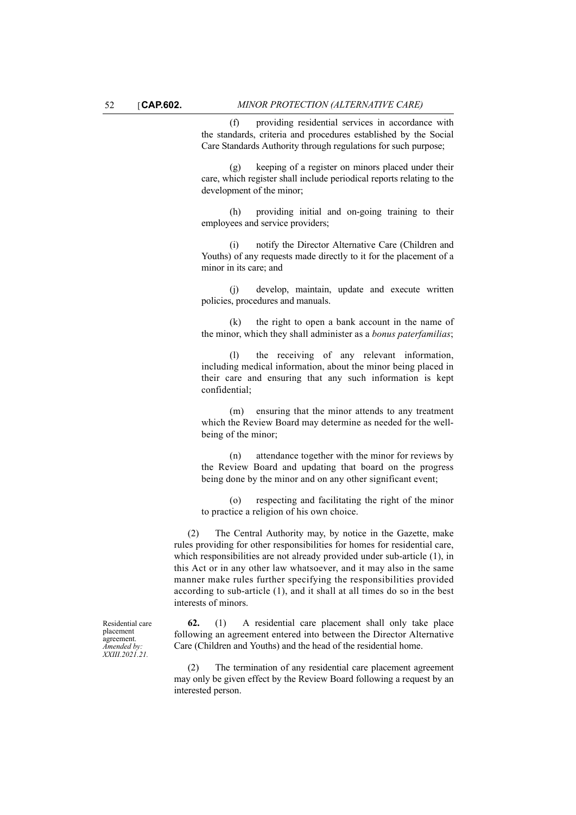(f) providing residential services in accordance with the standards, criteria and procedures established by the Social Care Standards Authority through regulations for such purpose;

(g) keeping of a register on minors placed under their care, which register shall include periodical reports relating to the development of the minor;

(h) providing initial and on-going training to their employees and service providers;

(i) notify the Director Alternative Care (Children and Youths) of any requests made directly to it for the placement of a minor in its care; and

(j) develop, maintain, update and execute written policies, procedures and manuals.

(k) the right to open a bank account in the name of the minor, which they shall administer as a *bonus paterfamilias*;

(l) the receiving of any relevant information, including medical information, about the minor being placed in their care and ensuring that any such information is kept confidential;

(m) ensuring that the minor attends to any treatment which the Review Board may determine as needed for the wellbeing of the minor;

(n) attendance together with the minor for reviews by the Review Board and updating that board on the progress being done by the minor and on any other significant event;

(o) respecting and facilitating the right of the minor to practice a religion of his own choice.

(2) The Central Authority may, by notice in the Gazette, make rules providing for other responsibilities for homes for residential care, which responsibilities are not already provided under sub-article (1), in this Act or in any other law whatsoever, and it may also in the same manner make rules further specifying the responsibilities provided according to sub-article (1), and it shall at all times do so in the best interests of minors.

**62.** (1) A residential care placement shall only take place following an agreement entered into between the Director Alternative Care (Children and Youths) and the head of the residential home.

(2) The termination of any residential care placement agreement may only be given effect by the Review Board following a request by an interested person.

Residential care placement agreement. *Amended by: XXIII.2021.21.*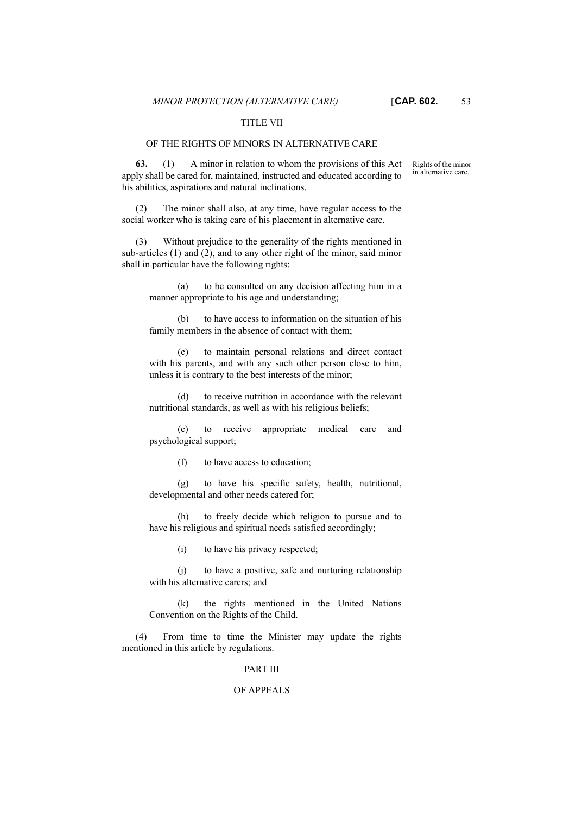#### TITLE VII

### OF THE RIGHTS OF MINORS IN ALTERNATIVE CARE

**63.** (1) A minor in relation to whom the provisions of this Act apply shall be cared for, maintained, instructed and educated according to his abilities, aspirations and natural inclinations.

(2) The minor shall also, at any time, have regular access to the social worker who is taking care of his placement in alternative care.

(3) Without prejudice to the generality of the rights mentioned in sub-articles (1) and (2), and to any other right of the minor, said minor shall in particular have the following rights:

(a) to be consulted on any decision affecting him in a manner appropriate to his age and understanding;

(b) to have access to information on the situation of his family members in the absence of contact with them;

(c) to maintain personal relations and direct contact with his parents, and with any such other person close to him, unless it is contrary to the best interests of the minor;

(d) to receive nutrition in accordance with the relevant nutritional standards, as well as with his religious beliefs;

(e) to receive appropriate medical care and psychological support;

(f) to have access to education;

(g) to have his specific safety, health, nutritional, developmental and other needs catered for;

(h) to freely decide which religion to pursue and to have his religious and spiritual needs satisfied accordingly;

(i) to have his privacy respected;

(j) to have a positive, safe and nurturing relationship with his alternative carers; and

(k) the rights mentioned in the United Nations Convention on the Rights of the Child.

(4) From time to time the Minister may update the rights mentioned in this article by regulations.

#### PART III

#### OF APPEALS

Rights of the minor in alternative care.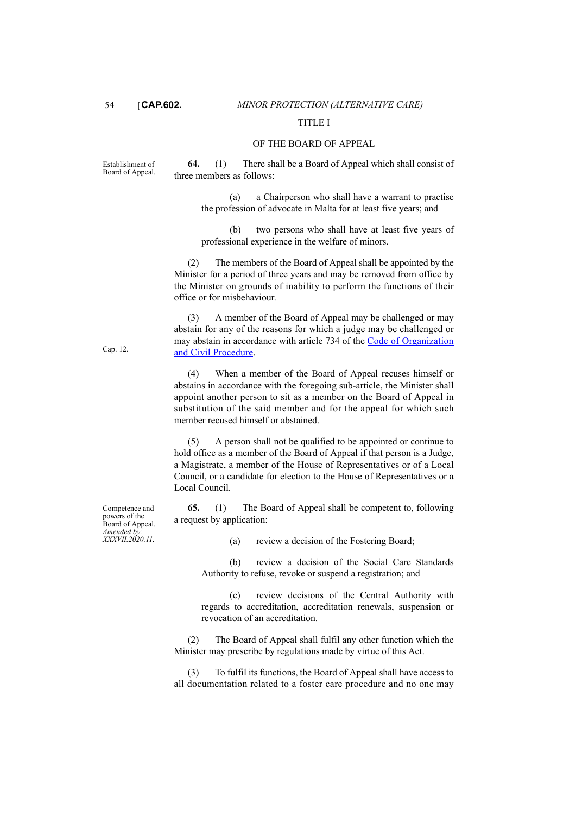### TITLE I

### OF THE BOARD OF APPEAL

Establishment of Board of Appeal. **64.** (1) There shall be a Board of Appeal which shall consist of three members as follows:

> (a) a Chairperson who shall have a warrant to practise the profession of advocate in Malta for at least five years; and

(b) two persons who shall have at least five years of professional experience in the welfare of minors.

(2) The members of the Board of Appeal shall be appointed by the Minister for a period of three years and may be removed from office by the Minister on grounds of inability to perform the functions of their office or for misbehaviour.

(3) A member of the Board of Appeal may be challenged or may abstain for any of the reasons for which a judge may be challenged or may abstain in accordance with article 734 of the [Code of Organization](http://www.justiceservices.gov.mt/DownloadDocument.aspx?app=lom&itemid=8577&l=1) [and Civil Procedure.](http://www.justiceservices.gov.mt/DownloadDocument.aspx?app=lom&itemid=8577&l=1)

(4) When a member of the Board of Appeal recuses himself or abstains in accordance with the foregoing sub-article, the Minister shall appoint another person to sit as a member on the Board of Appeal in substitution of the said member and for the appeal for which such member recused himself or abstained.

(5) A person shall not be qualified to be appointed or continue to hold office as a member of the Board of Appeal if that person is a Judge, a Magistrate, a member of the House of Representatives or of a Local Council, or a candidate for election to the House of Representatives or a Local Council.

**65.** (1) The Board of Appeal shall be competent to, following a request by application:

(a) review a decision of the Fostering Board;

(b) review a decision of the Social Care Standards Authority to refuse, revoke or suspend a registration; and

(c) review decisions of the Central Authority with regards to accreditation, accreditation renewals, suspension or revocation of an accreditation.

(2) The Board of Appeal shall fulfil any other function which the Minister may prescribe by regulations made by virtue of this Act.

(3) To fulfil its functions, the Board of Appeal shall have access to all documentation related to a foster care procedure and no one may

Competence and powers of the Board of Appeal. *Amended by: XXXVII.2020.11.*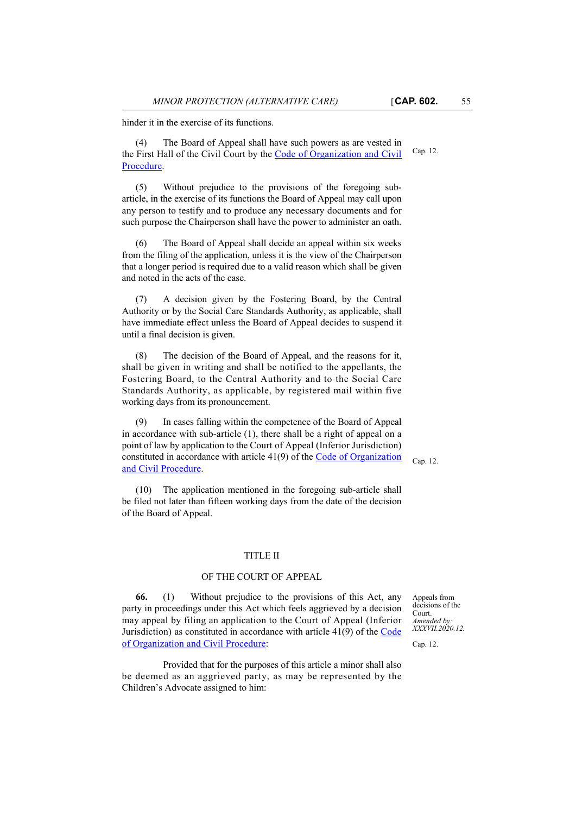hinder it in the exercise of its functions.

Cap. 12. (4) The Board of Appeal shall have such powers as are vested in the First Hall of the Civil Court by the [Code of Organization and Civil](http://www.justiceservices.gov.mt/DownloadDocument.aspx?app=lom&itemid=8577&l=1) [Procedure.](http://www.justiceservices.gov.mt/DownloadDocument.aspx?app=lom&itemid=8577&l=1)

(5) Without prejudice to the provisions of the foregoing subarticle, in the exercise of its functions the Board of Appeal may call upon any person to testify and to produce any necessary documents and for such purpose the Chairperson shall have the power to administer an oath.

(6) The Board of Appeal shall decide an appeal within six weeks from the filing of the application, unless it is the view of the Chairperson that a longer period is required due to a valid reason which shall be given and noted in the acts of the case.

(7) A decision given by the Fostering Board, by the Central Authority or by the Social Care Standards Authority, as applicable, shall have immediate effect unless the Board of Appeal decides to suspend it until a final decision is given.

(8) The decision of the Board of Appeal, and the reasons for it, shall be given in writing and shall be notified to the appellants, the Fostering Board, to the Central Authority and to the Social Care Standards Authority, as applicable, by registered mail within five working days from its pronouncement.

(9) In cases falling within the competence of the Board of Appeal in accordance with sub-article (1), there shall be a right of appeal on a point of law by application to the Court of Appeal (Inferior Jurisdiction) constituted in accordance with article 41(9) of the [Code of Organization](http://www.justiceservices.gov.mt/DownloadDocument.aspx?app=lom&itemid=8577&l=1) [and Civil Procedure.](http://www.justiceservices.gov.mt/DownloadDocument.aspx?app=lom&itemid=8577&l=1)

Cap. 12.

(10) The application mentioned in the foregoing sub-article shall be filed not later than fifteen working days from the date of the decision of the Board of Appeal.

#### TITLE II

## OF THE COURT OF APPEAL

**66.** (1) Without prejudice to the provisions of this Act, any party in proceedings under this Act which feels aggrieved by a decision may appeal by filing an application to the Court of Appeal (Inferior Jurisdiction) as constituted in accordance with article 41(9) of the [Code](http://www.justiceservices.gov.mt/DownloadDocument.aspx?app=lom&itemid=8577&l=1) [of Organization and Civil Procedure:](http://www.justiceservices.gov.mt/DownloadDocument.aspx?app=lom&itemid=8577&l=1)

Provided that for the purposes of this article a minor shall also be deemed as an aggrieved party, as may be represented by the Children's Advocate assigned to him:

Appeals from decisions of the Court. *Amended by: XXXVII.2020.12.*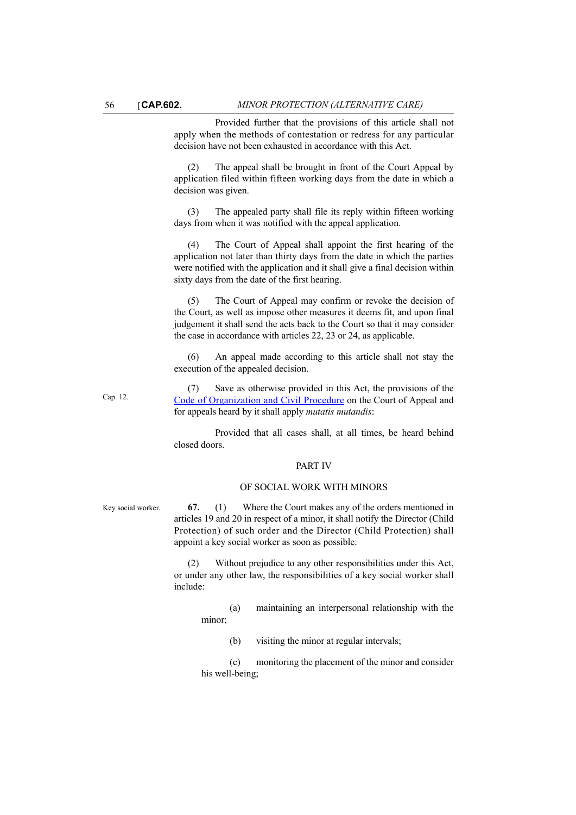Provided further that the provisions of this article shall not apply when the methods of contestation or redress for any particular decision have not been exhausted in accordance with this Act.

(2) The appeal shall be brought in front of the Court Appeal by application filed within fifteen working days from the date in which a decision was given.

(3) The appealed party shall file its reply within fifteen working days from when it was notified with the appeal application.

(4) The Court of Appeal shall appoint the first hearing of the application not later than thirty days from the date in which the parties were notified with the application and it shall give a final decision within sixty days from the date of the first hearing.

(5) The Court of Appeal may confirm or revoke the decision of the Court, as well as impose other measures it deems fit, and upon final judgement it shall send the acts back to the Court so that it may consider the case in accordance with articles 22, 23 or 24, as applicable.

(6) An appeal made according to this article shall not stay the execution of the appealed decision.

(7) Save as otherwise provided in this Act, the provisions of the [Code of Organization and Civil Procedure](http://www.justiceservices.gov.mt/DownloadDocument.aspx?app=lom&itemid=8577&l=1) on the Court of Appeal and for appeals heard by it shall apply *mutatis mutandis*:

Provided that all cases shall, at all times, be heard behind closed doors.

#### PART IV

#### OF SOCIAL WORK WITH MINORS

Key social worker. **67.** (1) Where the Court makes any of the orders mentioned in articles 19 and 20 in respect of a minor, it shall notify the Director (Child Protection) of such order and the Director (Child Protection) shall appoint a key social worker as soon as possible.

> (2) Without prejudice to any other responsibilities under this Act, or under any other law, the responsibilities of a key social worker shall include:

(a) maintaining an interpersonal relationship with the minor;

(b) visiting the minor at regular intervals;

(c) monitoring the placement of the minor and consider his well-being;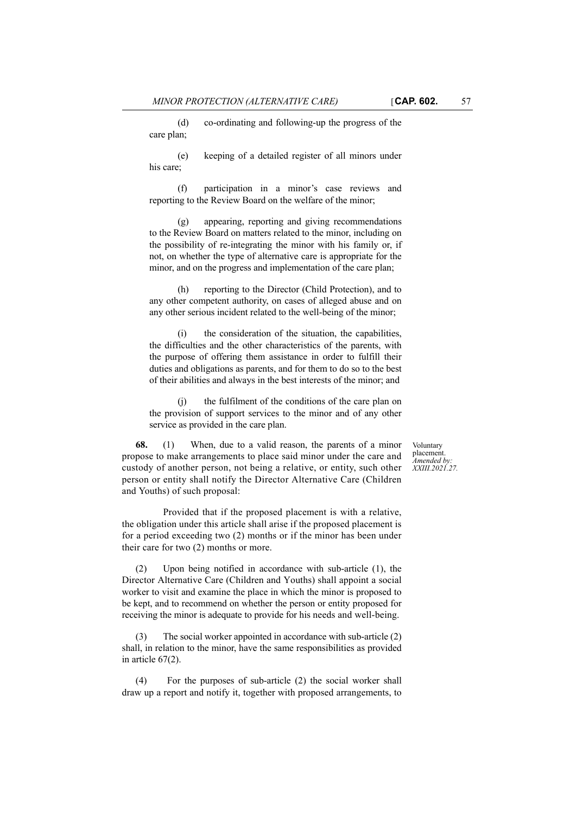(d) co-ordinating and following-up the progress of the care plan;

(e) keeping of a detailed register of all minors under his care;

(f) participation in a minor's case reviews and reporting to the Review Board on the welfare of the minor;

(g) appearing, reporting and giving recommendations to the Review Board on matters related to the minor, including on the possibility of re-integrating the minor with his family or, if not, on whether the type of alternative care is appropriate for the minor, and on the progress and implementation of the care plan;

(h) reporting to the Director (Child Protection), and to any other competent authority, on cases of alleged abuse and on any other serious incident related to the well-being of the minor;

(i) the consideration of the situation, the capabilities, the difficulties and the other characteristics of the parents, with the purpose of offering them assistance in order to fulfill their duties and obligations as parents, and for them to do so to the best of their abilities and always in the best interests of the minor; and

(j) the fulfilment of the conditions of the care plan on the provision of support services to the minor and of any other service as provided in the care plan.

**68.** (1) When, due to a valid reason, the parents of a minor propose to make arrangements to place said minor under the care and custody of another person, not being a relative, or entity, such other person or entity shall notify the Director Alternative Care (Children and Youths) of such proposal:

Provided that if the proposed placement is with a relative, the obligation under this article shall arise if the proposed placement is for a period exceeding two (2) months or if the minor has been under their care for two (2) months or more.

(2) Upon being notified in accordance with sub-article (1), the Director Alternative Care (Children and Youths) shall appoint a social worker to visit and examine the place in which the minor is proposed to be kept, and to recommend on whether the person or entity proposed for receiving the minor is adequate to provide for his needs and well-being.

(3) The social worker appointed in accordance with sub-article (2) shall, in relation to the minor, have the same responsibilities as provided in article 67(2).

(4) For the purposes of sub-article (2) the social worker shall draw up a report and notify it, together with proposed arrangements, to

Voluntary placement. *Amended by: XXIII.2021.27.*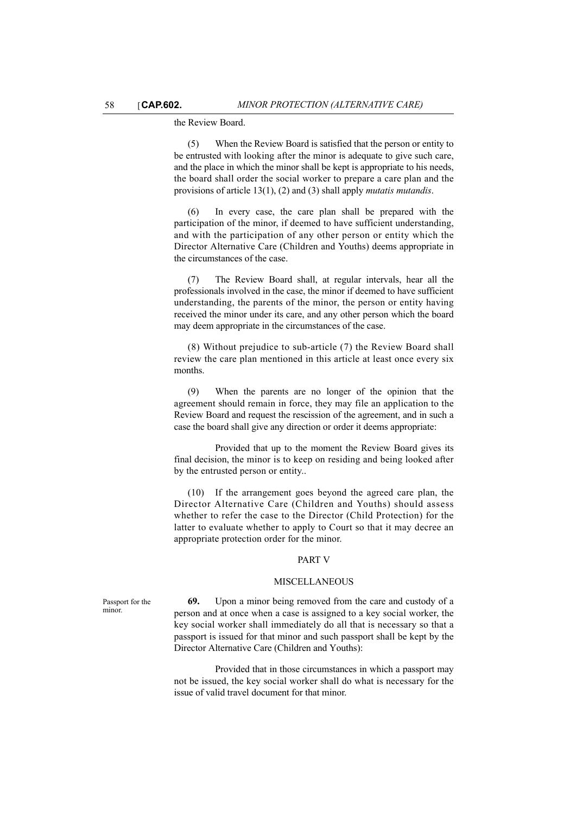#### the Review Board.

(5) When the Review Board is satisfied that the person or entity to be entrusted with looking after the minor is adequate to give such care, and the place in which the minor shall be kept is appropriate to his needs, the board shall order the social worker to prepare a care plan and the provisions of article 13(1), (2) and (3) shall apply *mutatis mutandis*.

In every case, the care plan shall be prepared with the participation of the minor, if deemed to have sufficient understanding, and with the participation of any other person or entity which the Director Alternative Care (Children and Youths) deems appropriate in the circumstances of the case.

(7) The Review Board shall, at regular intervals, hear all the professionals involved in the case, the minor if deemed to have sufficient understanding, the parents of the minor, the person or entity having received the minor under its care, and any other person which the board may deem appropriate in the circumstances of the case.

(8) Without prejudice to sub-article (7) the Review Board shall review the care plan mentioned in this article at least once every six months.

(9) When the parents are no longer of the opinion that the agreement should remain in force, they may file an application to the Review Board and request the rescission of the agreement, and in such a case the board shall give any direction or order it deems appropriate:

Provided that up to the moment the Review Board gives its final decision, the minor is to keep on residing and being looked after by the entrusted person or entity..

(10) If the arrangement goes beyond the agreed care plan, the Director Alternative Care (Children and Youths) should assess whether to refer the case to the Director (Child Protection) for the latter to evaluate whether to apply to Court so that it may decree an appropriate protection order for the minor.

#### PART V

#### MISCELLANEOUS

**69.** Upon a minor being removed from the care and custody of a person and at once when a case is assigned to a key social worker, the key social worker shall immediately do all that is necessary so that a passport is issued for that minor and such passport shall be kept by the Director Alternative Care (Children and Youths):

Provided that in those circumstances in which a passport may not be issued, the key social worker shall do what is necessary for the issue of valid travel document for that minor.

Passport for the minor.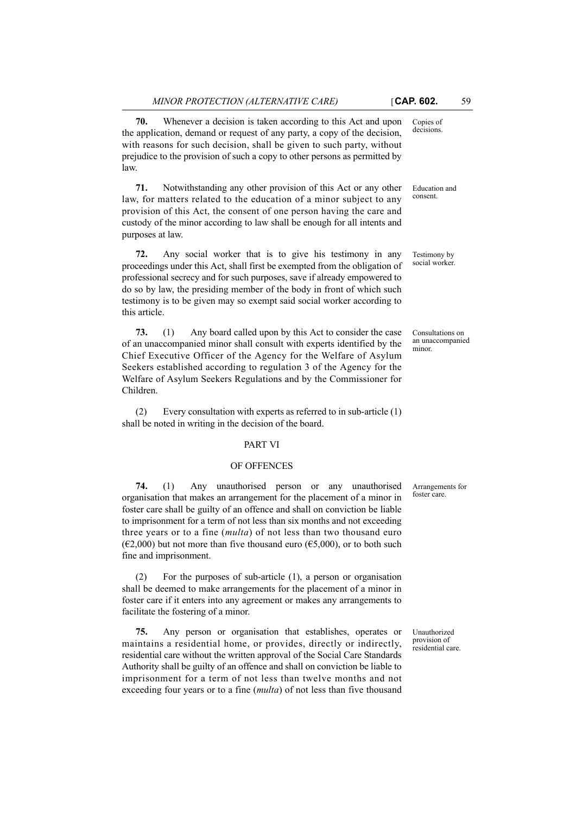**70.** Whenever a decision is taken according to this Act and upon the application, demand or request of any party, a copy of the decision, with reasons for such decision, shall be given to such party, without prejudice to the provision of such a copy to other persons as permitted by law.

**71.** Notwithstanding any other provision of this Act or any other law, for matters related to the education of a minor subject to any provision of this Act, the consent of one person having the care and custody of the minor according to law shall be enough for all intents and purposes at law.

**72.** Any social worker that is to give his testimony in any proceedings under this Act, shall first be exempted from the obligation of professional secrecy and for such purposes, save if already empowered to do so by law, the presiding member of the body in front of which such testimony is to be given may so exempt said social worker according to this article.

**73.** (1) Any board called upon by this Act to consider the case of an unaccompanied minor shall consult with experts identified by the Chief Executive Officer of the Agency for the Welfare of Asylum Seekers established according to regulation 3 of the Agency for the Welfare of Asylum Seekers Regulations and by the Commissioner for Children.

(2) Every consultation with experts as referred to in sub-article (1) shall be noted in writing in the decision of the board.

#### PART VI

#### OF OFFENCES

**74.** (1) Any unauthorised person or any unauthorised organisation that makes an arrangement for the placement of a minor in foster care shall be guilty of an offence and shall on conviction be liable to imprisonment for a term of not less than six months and not exceeding three years or to a fine (*multa*) of not less than two thousand euro ( $\epsilon$ 2,000) but not more than five thousand euro ( $\epsilon$ 5,000), or to both such fine and imprisonment.

(2) For the purposes of sub-article (1), a person or organisation shall be deemed to make arrangements for the placement of a minor in foster care if it enters into any agreement or makes any arrangements to facilitate the fostering of a minor.

**75.** Any person or organisation that establishes, operates or maintains a residential home, or provides, directly or indirectly, residential care without the written approval of the Social Care Standards Authority shall be guilty of an offence and shall on conviction be liable to imprisonment for a term of not less than twelve months and not exceeding four years or to a fine (*multa*) of not less than five thousand

Copies of decisions.

Education and consent.

Testimony by social worker.

Consultations on an unaccompanied minor.

Arrangements for foster care.

Unauthorized provision of residential care.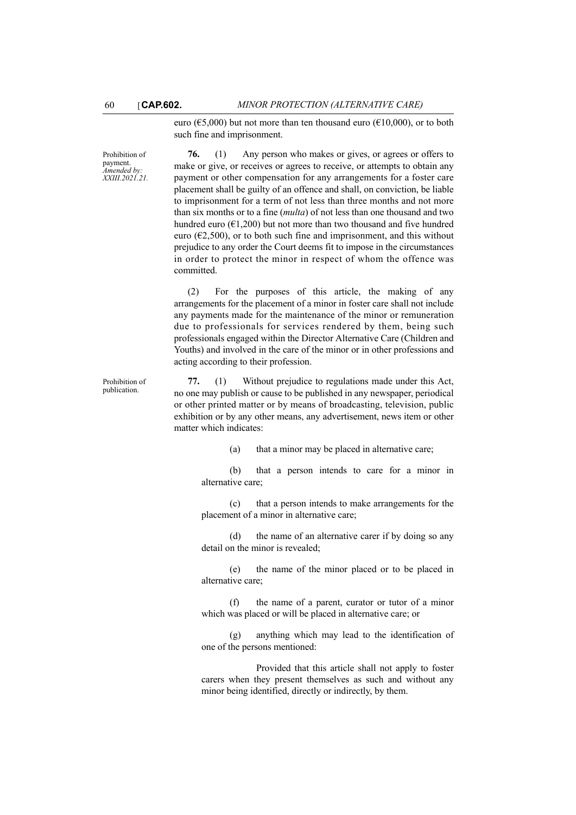euro ( $65,000$ ) but not more than ten thousand euro ( $610,000$ ), or to both such fine and imprisonment.

Prohibition of payment. *Amended by: XXIII.2021.21.*

Prohibition of publication.

**76.** (1) Any person who makes or gives, or agrees or offers to make or give, or receives or agrees to receive, or attempts to obtain any payment or other compensation for any arrangements for a foster care placement shall be guilty of an offence and shall, on conviction, be liable to imprisonment for a term of not less than three months and not more than six months or to a fine (*multa*) of not less than one thousand and two hundred euro ( $E1,200$ ) but not more than two thousand and five hundred euro ( $\epsilon$ 2,500), or to both such fine and imprisonment, and this without prejudice to any order the Court deems fit to impose in the circumstances in order to protect the minor in respect of whom the offence was committed.

(2) For the purposes of this article, the making of any arrangements for the placement of a minor in foster care shall not include any payments made for the maintenance of the minor or remuneration due to professionals for services rendered by them, being such professionals engaged within the Director Alternative Care (Children and Youths) and involved in the care of the minor or in other professions and acting according to their profession.

**77.** (1) Without prejudice to regulations made under this Act, no one may publish or cause to be published in any newspaper, periodical or other printed matter or by means of broadcasting, television, public exhibition or by any other means, any advertisement, news item or other matter which indicates:

(a) that a minor may be placed in alternative care;

(b) that a person intends to care for a minor in alternative care;

(c) that a person intends to make arrangements for the placement of a minor in alternative care;

(d) the name of an alternative carer if by doing so any detail on the minor is revealed;

(e) the name of the minor placed or to be placed in alternative care;

(f) the name of a parent, curator or tutor of a minor which was placed or will be placed in alternative care; or

(g) anything which may lead to the identification of one of the persons mentioned:

Provided that this article shall not apply to foster carers when they present themselves as such and without any minor being identified, directly or indirectly, by them.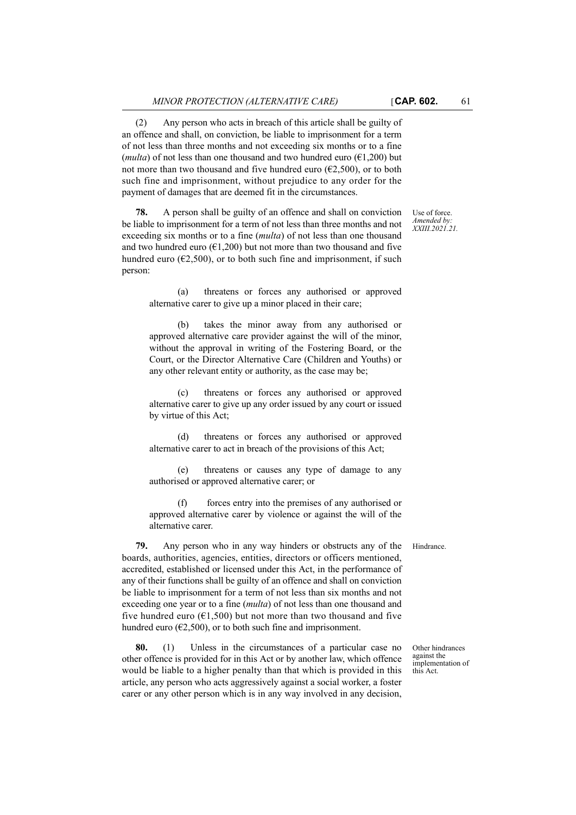(2) Any person who acts in breach of this article shall be guilty of an offence and shall, on conviction, be liable to imprisonment for a term

of not less than three months and not exceeding six months or to a fine (*multa*) of not less than one thousand and two hundred euro  $(61.200)$  but not more than two thousand and five hundred euro ( $E2,500$ ), or to both such fine and imprisonment, without prejudice to any order for the payment of damages that are deemed fit in the circumstances.

**78.** A person shall be guilty of an offence and shall on conviction be liable to imprisonment for a term of not less than three months and not exceeding six months or to a fine (*multa*) of not less than one thousand and two hundred euro ( $\epsilon$ 1,200) but not more than two thousand and five hundred euro ( $E2,500$ ), or to both such fine and imprisonment, if such person:

(a) threatens or forces any authorised or approved alternative carer to give up a minor placed in their care;

(b) takes the minor away from any authorised or approved alternative care provider against the will of the minor, without the approval in writing of the Fostering Board, or the Court, or the Director Alternative Care (Children and Youths) or any other relevant entity or authority, as the case may be;

(c) threatens or forces any authorised or approved alternative carer to give up any order issued by any court or issued by virtue of this Act;

(d) threatens or forces any authorised or approved alternative carer to act in breach of the provisions of this Act;

(e) threatens or causes any type of damage to any authorised or approved alternative carer; or

(f) forces entry into the premises of any authorised or approved alternative carer by violence or against the will of the alternative carer.

**79.** Any person who in any way hinders or obstructs any of the Hindrance. boards, authorities, agencies, entities, directors or officers mentioned, accredited, established or licensed under this Act, in the performance of any of their functions shall be guilty of an offence and shall on conviction be liable to imprisonment for a term of not less than six months and not exceeding one year or to a fine (*multa*) of not less than one thousand and five hundred euro ( $\epsilon$ 1,500) but not more than two thousand and five hundred euro ( $\epsilon$ 2,500), or to both such fine and imprisonment.

**80.** (1) Unless in the circumstances of a particular case no other offence is provided for in this Act or by another law, which offence would be liable to a higher penalty than that which is provided in this article, any person who acts aggressively against a social worker, a foster carer or any other person which is in any way involved in any decision,

Other hindrances against the implementation of this Act.

Use of force. *Amended by: XXIII.2021.21.*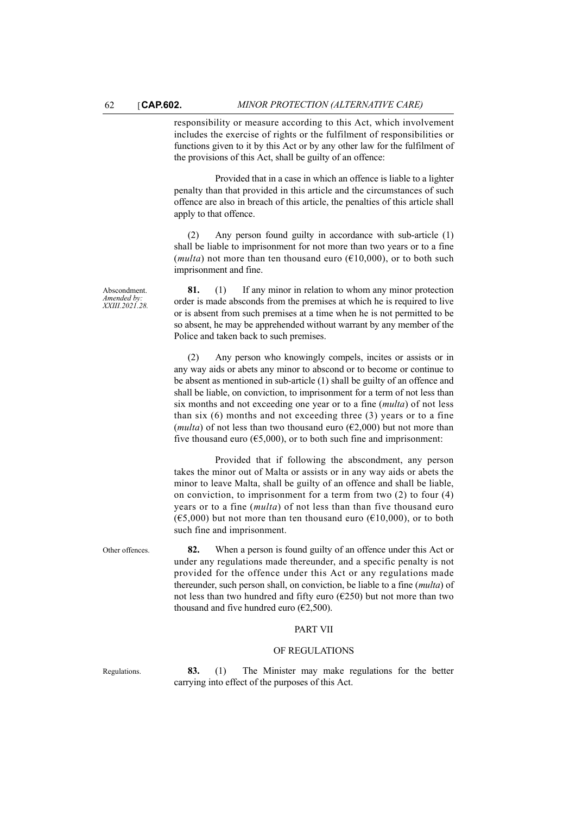responsibility or measure according to this Act, which involvement includes the exercise of rights or the fulfilment of responsibilities or functions given to it by this Act or by any other law for the fulfilment of the provisions of this Act, shall be guilty of an offence:

Provided that in a case in which an offence is liable to a lighter penalty than that provided in this article and the circumstances of such offence are also in breach of this article, the penalties of this article shall apply to that offence.

(2) Any person found guilty in accordance with sub-article (1) shall be liable to imprisonment for not more than two years or to a fine (*multa*) not more than ten thousand euro ( $\epsilon$ 10,000), or to both such imprisonment and fine.

**81.** (1) If any minor in relation to whom any minor protection order is made absconds from the premises at which he is required to live or is absent from such premises at a time when he is not permitted to be so absent, he may be apprehended without warrant by any member of the Police and taken back to such premises.

(2) Any person who knowingly compels, incites or assists or in any way aids or abets any minor to abscond or to become or continue to be absent as mentioned in sub-article (1) shall be guilty of an offence and shall be liable, on conviction, to imprisonment for a term of not less than six months and not exceeding one year or to a fine (*multa*) of not less than six  $(6)$  months and not exceeding three  $(3)$  years or to a fine (*multa*) of not less than two thousand euro ( $\epsilon$ 2,000) but not more than five thousand euro ( $65,000$ ), or to both such fine and imprisonment:

Provided that if following the abscondment, any person takes the minor out of Malta or assists or in any way aids or abets the minor to leave Malta, shall be guilty of an offence and shall be liable, on conviction, to imprisonment for a term from two (2) to four (4) years or to a fine (*multa*) of not less than than five thousand euro  $(65,000)$  but not more than ten thousand euro  $(610,000)$ , or to both such fine and imprisonment.

Other offences. **82.** When a person is found guilty of an offence under this Act or under any regulations made thereunder, and a specific penalty is not provided for the offence under this Act or any regulations made thereunder, such person shall, on conviction, be liable to a fine (*multa*) of not less than two hundred and fifty euro ( $E250$ ) but not more than two thousand and five hundred euro ( $\epsilon$ 2,500).

## PART VII

#### OF REGULATIONS

Regulations. **83.** (1) The Minister may make regulations for the better carrying into effect of the purposes of this Act.

Abscondment. *Amended by: XXIII.2021.28.*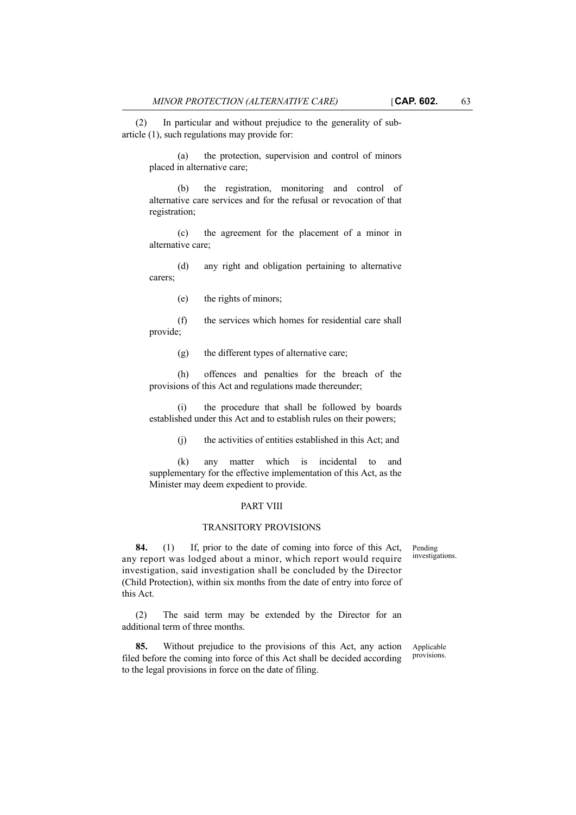(2) In particular and without prejudice to the generality of subarticle (1), such regulations may provide for:

(a) the protection, supervision and control of minors placed in alternative care;

(b) the registration, monitoring and control of alternative care services and for the refusal or revocation of that registration;

(c) the agreement for the placement of a minor in alternative care;

(d) any right and obligation pertaining to alternative carers;

(e) the rights of minors;

(f) the services which homes for residential care shall provide;

(g) the different types of alternative care;

(h) offences and penalties for the breach of the provisions of this Act and regulations made thereunder;

(i) the procedure that shall be followed by boards established under this Act and to establish rules on their powers;

(j) the activities of entities established in this Act; and

(k) any matter which is incidental to and supplementary for the effective implementation of this Act, as the Minister may deem expedient to provide.

#### PART VIII

#### TRANSITORY PROVISIONS

Pending investigations.

**84.** (1) If, prior to the date of coming into force of this Act, any report was lodged about a minor, which report would require investigation, said investigation shall be concluded by the Director (Child Protection), within six months from the date of entry into force of this Act.

(2) The said term may be extended by the Director for an additional term of three months.

**85.** Without prejudice to the provisions of this Act, any action filed before the coming into force of this Act shall be decided according to the legal provisions in force on the date of filing.

Applicable provisions.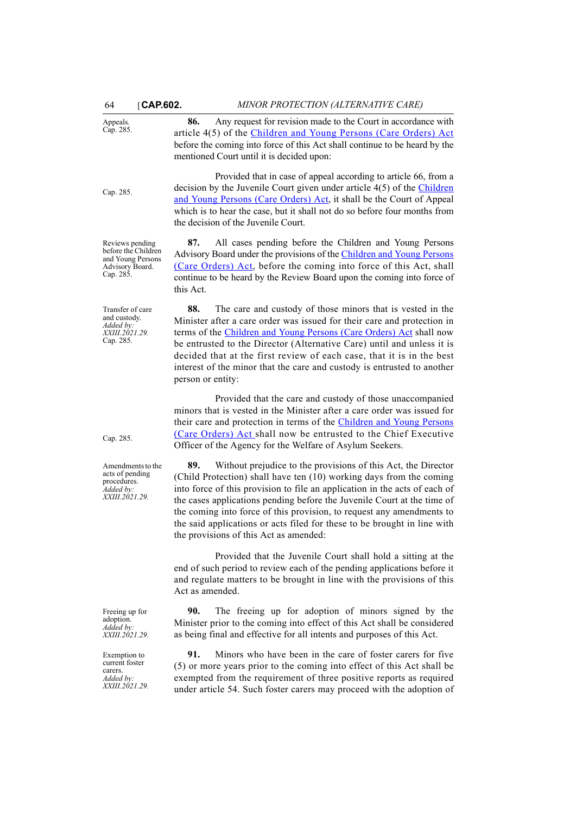Appeals. Cap. 285. **86.** Any request for revision made to the Court in accordance with article 4(5) of the [Children and Young Persons \(Care Orders\) Act](http://www.justiceservices.gov.mt/DownloadDocument.aspx?app=lom&itemid=8773&l=1) before the coming into force of this Act shall continue to be heard by the mentioned Court until it is decided upon: Cap. 285. Provided that in case of appeal according to article 66, from a decision by the Juvenile Court given under article 4(5) of the [Children](http://www.justiceservices.gov.mt/DownloadDocument.aspx?app=lom&itemid=8773&l=1) [and Young Persons \(Care Orders\) Act](http://www.justiceservices.gov.mt/DownloadDocument.aspx?app=lom&itemid=8773&l=1), it shall be the Court of Appeal which is to hear the case, but it shall not do so before four months from the decision of the Juvenile Court. Reviews pending before the Children and Young Persons Advisory Board. Cap. 285. **87.** All cases pending before the Children and Young Persons Advisory Board under the provisions of the [Children and Young Persons](http://www.justiceservices.gov.mt/DownloadDocument.aspx?app=lom&itemid=8773&l=1) [\(Care Orders\) Act](http://www.justiceservices.gov.mt/DownloadDocument.aspx?app=lom&itemid=8773&l=1), before the coming into force of this Act, shall continue to be heard by the Review Board upon the coming into force of this Act. Transfer of care and custody. *Added by: XXIII.2021.29.* Cap. 285. **88.** The care and custody of those minors that is vested in the Minister after a care order was issued for their care and protection in terms of the [Children and Young Persons \(Care Orders\) Act](
https://legislation.mt/eli/cap/285/eng) shall now be entrusted to the Director (Alternative Care) until and unless it is decided that at the first review of each case, that it is in the best interest of the minor that the care and custody is entrusted to another person or entity: Cap. 285. Provided that the care and custody of those unaccompanied minors that is vested in the Minister after a care order was issued for their care and protection in terms of the [Children and Young Persons](
https://legislation.mt/eli/cap/285/eng) [\(Care Orders\) Act](
https://legislation.mt/eli/cap/285/eng) shall now be entrusted to the Chief Executive Officer of the Agency for the Welfare of Asylum Seekers. Amendments to the acts of pending procedures. *Added by: XXIII.2021.29.* **89.** Without prejudice to the provisions of this Act, the Director (Child Protection) shall have ten (10) working days from the coming into force of this provision to file an application in the acts of each of the cases applications pending before the Juvenile Court at the time of the coming into force of this provision, to request any amendments to the said applications or acts filed for these to be brought in line with the provisions of this Act as amended: Provided that the Juvenile Court shall hold a sitting at the end of such period to review each of the pending applications before it and regulate matters to be brought in line with the provisions of this Act as amended. Freeing up for adoption. *Added by: XXIII.2021.29.* **90.** The freeing up for adoption of minors signed by the Minister prior to the coming into effect of this Act shall be considered as being final and effective for all intents and purposes of this Act. Exemption to current foster carers. *Added by: XXIII.2021.29.* **91.** Minors who have been in the care of foster carers for five (5) or more years prior to the coming into effect of this Act shall be exempted from the requirement of three positive reports as required under article 54. Such foster carers may proceed with the adoption of